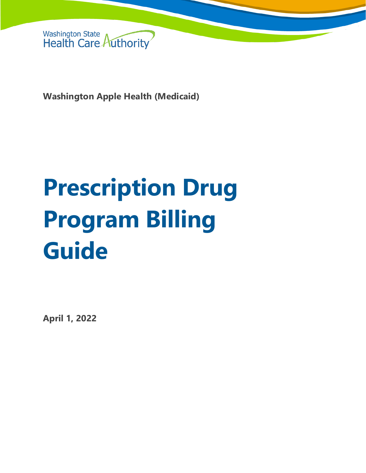

**Washington Apple Health (Medicaid)**

# **Prescription Drug Program Billing Guide**

**April 1, 2022**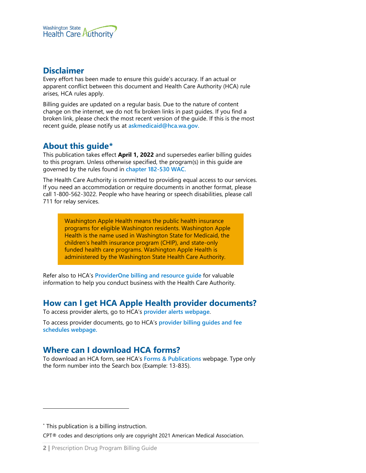

#### **Disclaimer**

Every effort has been made to ensure this guide's accuracy. If an actual or apparent conflict between this document and Health Care Authority (HCA) rule arises, HCA rules apply.

Billing guides are updated on a regular basis. Due to the nature of content change on the internet, we do not fix broken links in past guides. If you find a broken link, please check the most recent version of the guide. If this is the most recent guide, please notify us at **[askmedicaid@hca.wa.gov.](mailto:askmedicaid@hca.wa.gov)**

#### **About this guide[\\*](#page-1-0)**

This publication takes effect **April 1, 2022** and supersedes earlier billing guides to this program. Unless otherwise specified, the program(s) in this guide are governed by the rules found in **[chapter 182-530 WAC.](https://apps.leg.wa.gov/wac/default.aspx?cite=182-530)**

The Health Care Authority is committed to providing equal access to our services. If you need an accommodation or require documents in another format, please call 1-800-562-3022. People who have hearing or speech disabilities, please call 711 for relay services.

Washington Apple Health means the public health insurance programs for eligible Washington residents. Washington Apple Health is the name used in Washington State for Medicaid, the children's health insurance program (CHIP), and state-only funded health care programs. Washington Apple Health is administered by the Washington State Health Care Authority.

Refer also to HCA's **[ProviderOne billing and resource guide](http://www.hca.wa.gov/node/311)** for valuable information to help you conduct business with the Health Care Authority.

#### **How can I get HCA Apple Health provider documents?**

To access provider alerts, go to HCA's **[provider alerts webpage](http://www.hca.wa.gov/node/316)**.

To access provider documents, go to HCA's **[provider billing guides and fee](http://www.hca.wa.gov/node/301)  [schedules webpage.](http://www.hca.wa.gov/node/301)**

#### <span id="page-1-1"></span>**Where can I download HCA forms?**

To download an HCA form, see HCA's **[Forms & Publications](http://www.hca.wa.gov/billers-providers/forms-and-publications)** webpage. Type only the form number into the Search box (Example: 13-835).

<span id="page-1-0"></span>\* This publication is a billing instruction.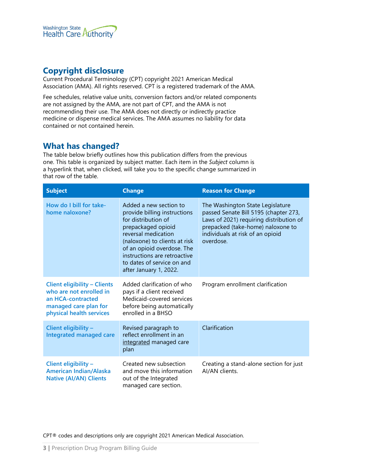

## **Copyright disclosure**

Current Procedural Terminology (CPT) copyright 2021 American Medical Association (AMA). All rights reserved. CPT is a registered trademark of the AMA.

Fee schedules, relative value units, conversion factors and/or related components are not assigned by the AMA, are not part of CPT, and the AMA is not recommending their use. The AMA does not directly or indirectly practice medicine or dispense medical services. The AMA assumes no liability for data contained or not contained herein.

#### **What has changed?**

The table below briefly outlines how this publication differs from the previous one. This table is organized by subject matter. Each item in the *Subject* column is a hyperlink that, when clicked, will take you to the specific change summarized in that row of the table.

| <b>Subject</b>                                                                                                                           | <b>Change</b>                                                                                                                                                                                                                                                                     | <b>Reason for Change</b>                                                                                                                                                                                   |  |
|------------------------------------------------------------------------------------------------------------------------------------------|-----------------------------------------------------------------------------------------------------------------------------------------------------------------------------------------------------------------------------------------------------------------------------------|------------------------------------------------------------------------------------------------------------------------------------------------------------------------------------------------------------|--|
| How do I bill for take-<br>home naloxone?                                                                                                | Added a new section to<br>provide billing instructions<br>for distribution of<br>prepackaged opioid<br>reversal medication<br>(naloxone) to clients at risk<br>of an opioid overdose. The<br>instructions are retroactive<br>to dates of service on and<br>after January 1, 2022. | The Washington State Legislature<br>passed Senate Bill 5195 (chapter 273,<br>Laws of 2021) requiring distribution of<br>prepacked (take-home) naloxone to<br>individuals at risk of an opioid<br>overdose. |  |
| <b>Client eligibility - Clients</b><br>who are not enrolled in<br>an HCA-contracted<br>managed care plan for<br>physical health services | Added clarification of who<br>pays if a client received<br>Medicaid-covered services<br>before being automatically<br>enrolled in a BHSO                                                                                                                                          | Program enrollment clarification                                                                                                                                                                           |  |
| Client eligibility -<br><b>Integrated managed care</b>                                                                                   | Revised paragraph to<br>reflect enrollment in an<br>integrated managed care<br>plan                                                                                                                                                                                               | Clarification                                                                                                                                                                                              |  |
| Client eligibility -<br><b>American Indian/Alaska</b><br><b>Native (AI/AN) Clients</b>                                                   | Created new subsection<br>and move this information<br>out of the Integrated<br>managed care section.                                                                                                                                                                             | Creating a stand-alone section for just<br>AI/AN clients.                                                                                                                                                  |  |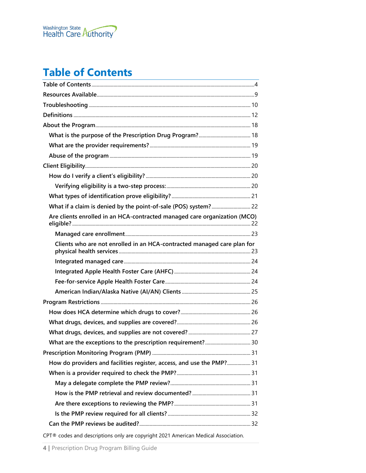

# <span id="page-3-0"></span>**Table of Contents**

| Are clients enrolled in an HCA-contracted managed care organization (MCO) |  |
|---------------------------------------------------------------------------|--|
|                                                                           |  |
| Clients who are not enrolled in an HCA-contracted managed care plan for   |  |
|                                                                           |  |
|                                                                           |  |
|                                                                           |  |
|                                                                           |  |
|                                                                           |  |
|                                                                           |  |
|                                                                           |  |
|                                                                           |  |
|                                                                           |  |
|                                                                           |  |
| How do providers and facilities register, access, and use the PMP? 31     |  |
|                                                                           |  |
|                                                                           |  |
|                                                                           |  |
|                                                                           |  |
|                                                                           |  |
|                                                                           |  |
|                                                                           |  |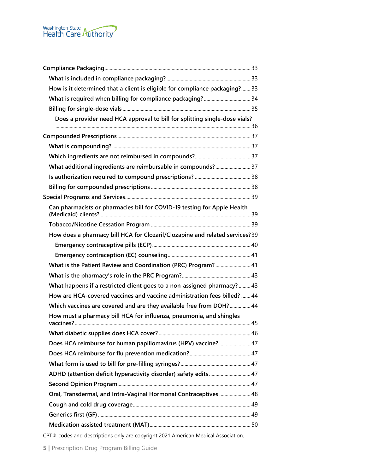| How is it determined that a client is eligible for compliance packaging? 33       |  |
|-----------------------------------------------------------------------------------|--|
|                                                                                   |  |
|                                                                                   |  |
| Does a provider need HCA approval to bill for splitting single-dose vials?        |  |
|                                                                                   |  |
|                                                                                   |  |
|                                                                                   |  |
|                                                                                   |  |
|                                                                                   |  |
|                                                                                   |  |
|                                                                                   |  |
| Can pharmacists or pharmacies bill for COVID-19 testing for Apple Health          |  |
|                                                                                   |  |
| How does a pharmacy bill HCA for Clozaril/Clozapine and related services?39       |  |
|                                                                                   |  |
|                                                                                   |  |
| What is the Patient Review and Coordination (PRC) Program? 41                     |  |
|                                                                                   |  |
| What happens if a restricted client goes to a non-assigned pharmacy?  43          |  |
| How are HCA-covered vaccines and vaccine administration fees billed?  44          |  |
| Which vaccines are covered and are they available free from DOH? 44               |  |
| How must a pharmacy bill HCA for influenza, pneumonia, and shingles               |  |
|                                                                                   |  |
| Does HCA reimburse for human papillomavirus (HPV) vaccine?  47                    |  |
|                                                                                   |  |
|                                                                                   |  |
|                                                                                   |  |
|                                                                                   |  |
| Oral, Transdermal, and Intra-Vaginal Hormonal Contraceptives  48                  |  |
|                                                                                   |  |
|                                                                                   |  |
|                                                                                   |  |
| CPT® codes and descriptions only are copyright 2021 American Medical Association. |  |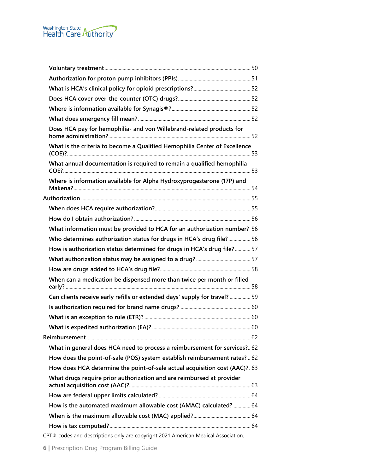

| Does HCA pay for hemophilia- and von Willebrand-related products for              |  |
|-----------------------------------------------------------------------------------|--|
| What is the criteria to become a Qualified Hemophilia Center of Excellence        |  |
| What annual documentation is required to remain a qualified hemophilia            |  |
| Where is information available for Alpha Hydroxyprogesterone (17P) and            |  |
|                                                                                   |  |
|                                                                                   |  |
|                                                                                   |  |
| What information must be provided to HCA for an authorization number? 56          |  |
| Who determines authorization status for drugs in HCA's drug file? 56              |  |
| How is authorization status determined for drugs in HCA's drug file? 57           |  |
|                                                                                   |  |
|                                                                                   |  |
| When can a medication be dispensed more than twice per month or filled            |  |
| Can clients receive early refills or extended days' supply for travel?  59        |  |
|                                                                                   |  |
|                                                                                   |  |
|                                                                                   |  |
|                                                                                   |  |
| What in general does HCA need to process a reimbursement for services? 62         |  |
| How does the point-of-sale (POS) system establish reimbursement rates?  62        |  |
| How does HCA determine the point-of-sale actual acquisition cost (AAC)? 63        |  |
| What drugs require prior authorization and are reimbursed at provider             |  |
|                                                                                   |  |
| How is the automated maximum allowable cost (AMAC) calculated?  64                |  |
|                                                                                   |  |
|                                                                                   |  |
| CPT® codes and descriptions only are copyright 2021 American Medical Association. |  |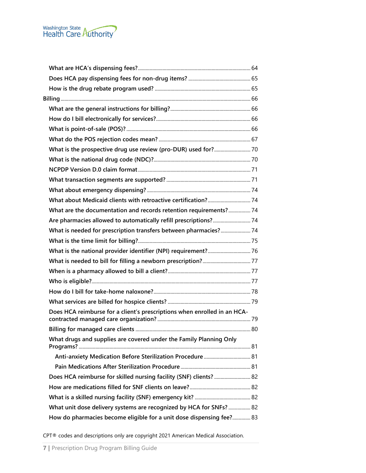

| What is the prospective drug use review (pro-DUR) used for? 70           |  |
|--------------------------------------------------------------------------|--|
|                                                                          |  |
|                                                                          |  |
|                                                                          |  |
|                                                                          |  |
|                                                                          |  |
| What are the documentation and records retention requirements? 74        |  |
|                                                                          |  |
| What is needed for prescription transfers between pharmacies? 74         |  |
|                                                                          |  |
|                                                                          |  |
|                                                                          |  |
|                                                                          |  |
|                                                                          |  |
|                                                                          |  |
|                                                                          |  |
| Does HCA reimburse for a client's prescriptions when enrolled in an HCA- |  |
|                                                                          |  |
| What drugs and supplies are covered under the Family Planning Only       |  |
| Anti-anxiety Medication Before Sterilization Procedure  81               |  |
|                                                                          |  |
| Does HCA reimburse for skilled nursing facility (SNF) clients?  82       |  |
|                                                                          |  |
|                                                                          |  |
| What unit dose delivery systems are recognized by HCA for SNFs?  82      |  |
| How do pharmacies become eligible for a unit dose dispensing fee? 83     |  |
|                                                                          |  |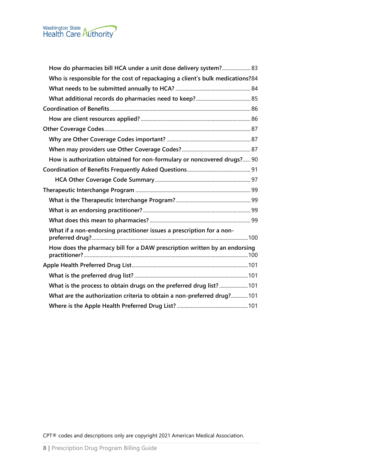| How do pharmacies bill HCA under a unit dose delivery system? 83              |  |
|-------------------------------------------------------------------------------|--|
| Who is responsible for the cost of repackaging a client's bulk medications?84 |  |
|                                                                               |  |
|                                                                               |  |
|                                                                               |  |
|                                                                               |  |
|                                                                               |  |
|                                                                               |  |
|                                                                               |  |
| How is authorization obtained for non-formulary or noncovered drugs? 90       |  |
|                                                                               |  |
|                                                                               |  |
|                                                                               |  |
|                                                                               |  |
|                                                                               |  |
|                                                                               |  |
| What if a non-endorsing practitioner issues a prescription for a non-         |  |
| How does the pharmacy bill for a DAW prescription written by an endorsing     |  |
|                                                                               |  |
|                                                                               |  |
| What is the process to obtain drugs on the preferred drug list?  101          |  |
| What are the authorization criteria to obtain a non-preferred drug?101        |  |
|                                                                               |  |
|                                                                               |  |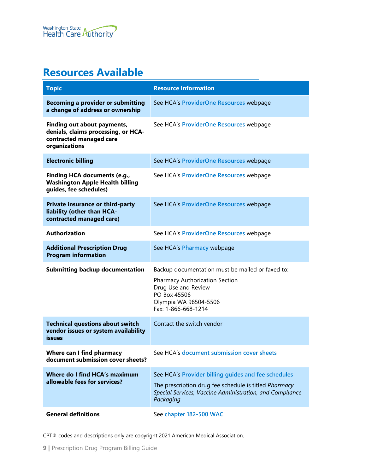# <span id="page-8-0"></span>**Resources Available**

| <b>Topic</b>                                                                                                   | <b>Resource Information</b>                                                                                                                                                           |  |  |
|----------------------------------------------------------------------------------------------------------------|---------------------------------------------------------------------------------------------------------------------------------------------------------------------------------------|--|--|
| <b>Becoming a provider or submitting</b><br>a change of address or ownership                                   | See HCA's ProviderOne Resources webpage                                                                                                                                               |  |  |
| Finding out about payments,<br>denials, claims processing, or HCA-<br>contracted managed care<br>organizations | See HCA's ProviderOne Resources webpage                                                                                                                                               |  |  |
| <b>Electronic billing</b>                                                                                      | See HCA's ProviderOne Resources webpage                                                                                                                                               |  |  |
| <b>Finding HCA documents (e.g.,</b><br><b>Washington Apple Health billing</b><br>guides, fee schedules)        | See HCA's ProviderOne Resources webpage                                                                                                                                               |  |  |
| Private insurance or third-party<br>liability (other than HCA-<br>contracted managed care)                     | See HCA's ProviderOne Resources webpage                                                                                                                                               |  |  |
| <b>Authorization</b>                                                                                           | See HCA's ProviderOne Resources webpage                                                                                                                                               |  |  |
| <b>Additional Prescription Drug</b><br><b>Program information</b>                                              | See HCA's Pharmacy webpage                                                                                                                                                            |  |  |
| <b>Submitting backup documentation</b>                                                                         | Backup documentation must be mailed or faxed to:<br>Pharmacy Authorization Section<br>Drug Use and Review<br>PO Box 45506<br>Olympia WA 98504-5506<br>Fax: 1-866-668-1214             |  |  |
| <b>Technical questions about switch</b><br>vendor issues or system availability<br>issues                      | Contact the switch vendor                                                                                                                                                             |  |  |
| Where can I find pharmacy<br>document submission cover sheets?                                                 | See HCA's document submission cover sheets                                                                                                                                            |  |  |
| Where do I find HCA's maximum<br>allowable fees for services?                                                  | See HCA's Provider billing quides and fee schedules<br>The prescription drug fee schedule is titled Pharmacy<br>Special Services, Vaccine Administration, and Compliance<br>Packaging |  |  |
| <b>General definitions</b>                                                                                     | See chapter 182-500 WAC                                                                                                                                                               |  |  |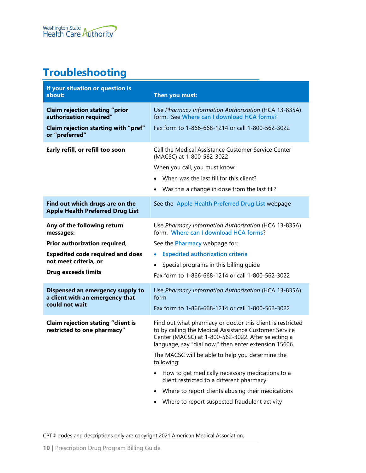# <span id="page-9-0"></span>**Troubleshooting**

| If your situation or question is<br>about:                                 | Then you must:                                                                                                                                                                                                                      |
|----------------------------------------------------------------------------|-------------------------------------------------------------------------------------------------------------------------------------------------------------------------------------------------------------------------------------|
| <b>Claim rejection stating "prior</b><br>authorization required"           | Use Pharmacy Information Authorization (HCA 13-835A)<br>form. See Where can I download HCA forms?                                                                                                                                   |
| Claim rejection starting with "pref"<br>or "preferred"                     | Fax form to 1-866-668-1214 or call 1-800-562-3022                                                                                                                                                                                   |
| Early refill, or refill too soon                                           | Call the Medical Assistance Customer Service Center<br>(MACSC) at 1-800-562-3022                                                                                                                                                    |
|                                                                            | When you call, you must know:                                                                                                                                                                                                       |
|                                                                            | When was the last fill for this client?                                                                                                                                                                                             |
|                                                                            | Was this a change in dose from the last fill?                                                                                                                                                                                       |
| Find out which drugs are on the<br><b>Apple Health Preferred Drug List</b> | See the Apple Health Preferred Drug List webpage                                                                                                                                                                                    |
| Any of the following return<br>messages:                                   | Use Pharmacy Information Authorization (HCA 13-835A)<br>form. Where can I download HCA forms?                                                                                                                                       |
| Prior authorization required,                                              | See the <b>Pharmacy</b> webpage for:                                                                                                                                                                                                |
| <b>Expedited code required and does</b>                                    | <b>Expedited authorization criteria</b><br>$\bullet$                                                                                                                                                                                |
| not meet criteria, or                                                      | Special programs in this billing guide<br>$\bullet$                                                                                                                                                                                 |
| <b>Drug exceeds limits</b>                                                 | Fax form to 1-866-668-1214 or call 1-800-562-3022                                                                                                                                                                                   |
| Dispensed an emergency supply to<br>a client with an emergency that        | Use Pharmacy Information Authorization (HCA 13-835A)<br>form                                                                                                                                                                        |
| could not wait                                                             | Fax form to 1-866-668-1214 or call 1-800-562-3022                                                                                                                                                                                   |
| <b>Claim rejection stating "client is</b><br>restricted to one pharmacy"   | Find out what pharmacy or doctor this client is restricted<br>to by calling the Medical Assistance Customer Service<br>Center (MACSC) at 1-800-562-3022. After selecting a<br>language, say "dial now," then enter extension 15606. |
|                                                                            | The MACSC will be able to help you determine the<br>following:                                                                                                                                                                      |
|                                                                            | How to get medically necessary medications to a<br>client restricted to a different pharmacy                                                                                                                                        |
|                                                                            | Where to report clients abusing their medications                                                                                                                                                                                   |
|                                                                            | Where to report suspected fraudulent activity                                                                                                                                                                                       |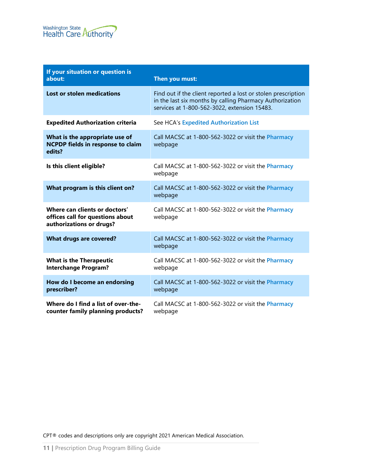| If your situation or question is<br>about:                                                    | Then you must:                                                                                                                                                            |
|-----------------------------------------------------------------------------------------------|---------------------------------------------------------------------------------------------------------------------------------------------------------------------------|
| <b>Lost or stolen medications</b>                                                             | Find out if the client reported a lost or stolen prescription<br>in the last six months by calling Pharmacy Authorization<br>services at 1-800-562-3022, extension 15483. |
| <b>Expedited Authorization criteria</b>                                                       | See HCA's Expedited Authorization List                                                                                                                                    |
| What is the appropriate use of<br><b>NCPDP fields in response to claim</b><br>edits?          | Call MACSC at 1-800-562-3022 or visit the Pharmacy<br>webpage                                                                                                             |
| Is this client eligible?                                                                      | Call MACSC at 1-800-562-3022 or visit the Pharmacy<br>webpage                                                                                                             |
| What program is this client on?                                                               | Call MACSC at 1-800-562-3022 or visit the Pharmacy<br>webpage                                                                                                             |
| Where can clients or doctors'<br>offices call for questions about<br>authorizations or drugs? | Call MACSC at 1-800-562-3022 or visit the Pharmacy<br>webpage                                                                                                             |
| <b>What drugs are covered?</b>                                                                | Call MACSC at 1-800-562-3022 or visit the Pharmacy<br>webpage                                                                                                             |
| <b>What is the Therapeutic</b><br><b>Interchange Program?</b>                                 | Call MACSC at 1-800-562-3022 or visit the Pharmacy<br>webpage                                                                                                             |
| How do I become an endorsing<br>prescriber?                                                   | Call MACSC at 1-800-562-3022 or visit the Pharmacy<br>webpage                                                                                                             |
| Where do I find a list of over-the-<br>counter family planning products?                      | Call MACSC at 1-800-562-3022 or visit the Pharmacy<br>webpage                                                                                                             |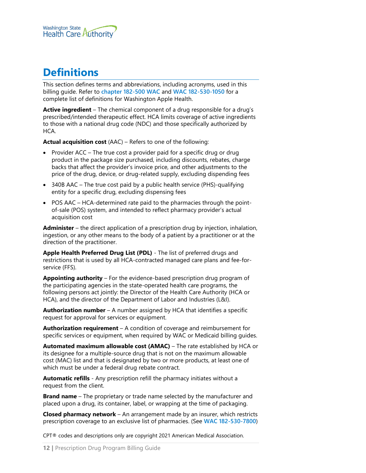

# <span id="page-11-0"></span>**Definitions**

This section defines terms and abbreviations, including acronyms, used in this billing guide. Refer to **[chapter 182-500 WAC](http://app.leg.wa.gov/WAC/default.aspx?cite=182-500)** and **[WAC 182-530-1050](https://apps.leg.wa.gov/wac/default.aspx?cite=182-530-1050)** for a complete list of definitions for Washington Apple Health.

**Active ingredient** – The chemical component of a drug responsible for a drug's prescribed/intended therapeutic effect. HCA limits coverage of active ingredients to those with a national drug code (NDC) and those specifically authorized by HCA.

**Actual acquisition cost** (AAC) – Refers to one of the following:

- Provider ACC The true cost a provider paid for a specific drug or drug product in the package size purchased, including discounts, rebates, charge backs that affect the provider's invoice price, and other adjustments to the price of the drug, device, or drug-related supply, excluding dispending fees
- 340B AAC The true cost paid by a public health service (PHS)-qualifying entity for a specific drug, excluding dispensing fees
- POS AAC HCA-determined rate paid to the pharmacies through the pointof-sale (POS) system, and intended to reflect pharmacy provider's actual acquisition cost

**Administer** – the direct application of a prescription drug by injection, inhalation, ingestion, or any other means to the body of a patient by a practitioner or at the direction of the practitioner.

**Apple Health Preferred Drug List (PDL)** - The list of preferred drugs and restrictions that is used by all HCA-contracted managed care plans and fee-forservice (FFS).

**Appointing authority** – For the evidence-based prescription drug program of the participating agencies in the state-operated health care programs, the following persons act jointly: the Director of the Health Care Authority (HCA or HCA), and the director of the Department of Labor and Industries (L&I).

**Authorization number** – A number assigned by HCA that identifies a specific request for approval for services or equipment.

**Authorization requirement** – A condition of coverage and reimbursement for specific services or equipment, when required by WAC or Medicaid billing guides.

**Automated maximum allowable cost (AMAC)** – The rate established by HCA or its designee for a multiple-source drug that is not on the maximum allowable cost (MAC) list and that is designated by two or more products, at least one of which must be under a federal drug rebate contract.

**Automatic refills** - Any prescription refill the pharmacy initiates without a request from the client.

**Brand name** – The proprietary or trade name selected by the manufacturer and placed upon a drug, its container, label, or wrapping at the time of packaging.

**Closed pharmacy network** – An arrangement made by an insurer, which restricts prescription coverage to an exclusive list of pharmacies. (See **[WAC 182-530-7800](http://app.leg.wa.gov/WAC/default.aspx?cite=182-530-7800)**)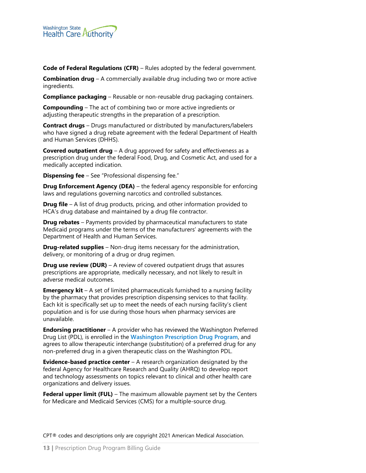

**Code of Federal Regulations (CFR)** – Rules adopted by the federal government.

**Combination drug** – A commercially available drug including two or more active ingredients.

**Compliance packaging** – Reusable or non-reusable drug packaging containers.

**Compounding** – The act of combining two or more active ingredients or adjusting therapeutic strengths in the preparation of a prescription.

**Contract drugs** – Drugs manufactured or distributed by manufacturers/labelers who have signed a drug rebate agreement with the federal Department of Health and Human Services (DHHS).

**Covered outpatient drug** – A drug approved for safety and effectiveness as a prescription drug under the federal Food, Drug, and Cosmetic Act, and used for a medically accepted indication.

**Dispensing fee** – See "Professional dispensing fee."

**Drug Enforcement Agency (DEA)** – the federal agency responsible for enforcing laws and regulations governing narcotics and controlled substances.

**Drug file** – A list of drug products, pricing, and other information provided to HCA's drug database and maintained by a drug file contractor.

**Drug rebates** – Payments provided by pharmaceutical manufacturers to state Medicaid programs under the terms of the manufacturers' agreements with the Department of Health and Human Services.

**Drug-related supplies** – Non-drug items necessary for the administration, delivery, or monitoring of a drug or drug regimen.

**Drug use review (DUR)** – A review of covered outpatient drugs that assures prescriptions are appropriate, medically necessary, and not likely to result in adverse medical outcomes.

**Emergency kit** – A set of limited pharmaceuticals furnished to a nursing facility by the pharmacy that provides prescription dispensing services to that facility. Each kit is specifically set up to meet the needs of each nursing facility's client population and is for use during those hours when pharmacy services are unavailable.

**Endorsing practitioner** – A provider who has reviewed the Washington Preferred Drug List (PDL), is enrolled in the **[Washington Prescription Drug Program](http://www.hca.wa.gov/about-hca/prescription-drug-program)**, and agrees to allow therapeutic interchange (substitution) of a preferred drug for any non-preferred drug in a given therapeutic class on the Washington PDL.

**Evidence-based practice center** – A research organization designated by the federal Agency for Healthcare Research and Quality (AHRQ) to develop report and technology assessments on topics relevant to clinical and other health care organizations and delivery issues.

**Federal upper limit (FUL)** – The maximum allowable payment set by the Centers for Medicare and Medicaid Services (CMS) for a multiple-source drug.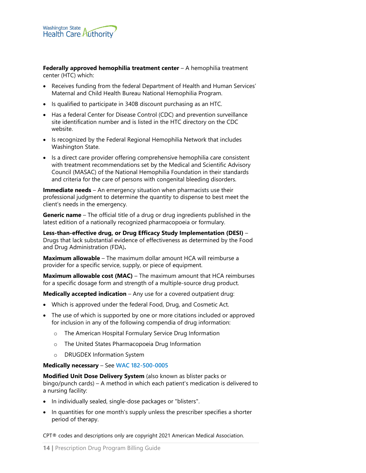**Federally approved hemophilia treatment center** – A hemophilia treatment center (HTC) which:

- Receives funding from the federal Department of Health and Human Services' Maternal and Child Health Bureau National Hemophilia Program.
- Is qualified to participate in 340B discount purchasing as an HTC.
- Has a federal Center for Disease Control (CDC) and prevention surveillance site identification number and is listed in the HTC directory on the CDC website.
- Is recognized by the Federal Regional Hemophilia Network that includes Washington State.
- Is a direct care provider offering comprehensive hemophilia care consistent with treatment recommendations set by the Medical and Scientific Advisory Council (MASAC) of the National Hemophilia Foundation in their standards and criteria for the care of persons with congenital bleeding disorders.

**Immediate needs** – An emergency situation when pharmacists use their professional judgment to determine the quantity to dispense to best meet the client's needs in the emergency.

**Generic name** – The official title of a drug or drug ingredients published in the latest edition of a nationally recognized pharmacopoeia or formulary.

**Less-than-effective drug, or Drug Efficacy Study Implementation (DESI)** – Drugs that lack substantial evidence of effectiveness as determined by the Food and Drug Administration (FDA)**.**

**Maximum allowable** – The maximum dollar amount HCA will reimburse a provider for a specific service, supply, or piece of equipment.

**Maximum allowable cost (MAC)** – The maximum amount that HCA reimburses for a specific dosage form and strength of a multiple-source drug product.

**Medically accepted indication** – Any use for a covered outpatient drug:

- Which is approved under the federal Food, Drug, and Cosmetic Act.
- The use of which is supported by one or more citations included or approved for inclusion in any of the following compendia of drug information:
	- o The American Hospital Formulary Service Drug Information
	- o The United States Pharmacopoeia Drug Information
	- o DRUGDEX Information System

#### **Medically necessary** – See **[WAC 182-500-0005](http://apps.leg.wa.gov/WAC/default.aspx?cite=182-500-0005)**

**Modified Unit Dose Delivery System** (also known as blister packs or bingo/punch cards) – A method in which each patient's medication is delivered to a nursing facility:

- In individually sealed, single-dose packages or "blisters".
- In quantities for one month's supply unless the prescriber specifies a shorter period of therapy.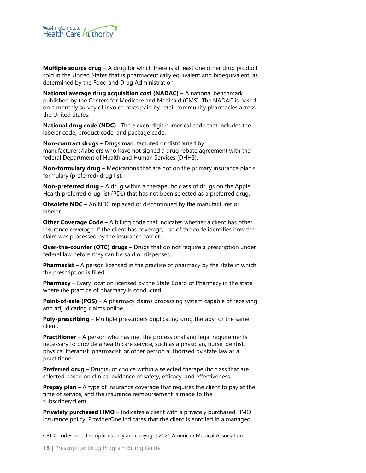

**Multiple source drug** – A drug for which there is at least one other drug product sold in the United States that is pharmaceutically equivalent and bioequivalent, as determined by the Food and Drug Administration.

**National average drug acquisition cost (NADAC)** – A national benchmark published by the Centers for Medicare and Medicaid (CMS). The NADAC is based on a monthly survey of invoice costs paid by retail community pharmacies across the United States.

**National drug code (NDC)** –The eleven-digit numerical code that includes the labeler code, product code, and package code.

**Non-contract drugs** – Drugs manufactured or distributed by manufacturers/labelers who have not signed a drug rebate agreement with the federal Department of Health and Human Services (DHHS).

**Non-formulary drug** – Medications that are not on the primary insurance plan's formulary (preferred) drug list.

**Non-preferred drug** – A drug within a therapeutic class of drugs on the Apple Health preferred drug list (PDL) that has not been selected as a preferred drug.

**Obsolete NDC** – An NDC replaced or discontinued by the manufacturer or labeler.

**Other Coverage Code** – A billing code that indicates whether a client has other insurance coverage. If the client has coverage, use of the code identifies how the claim was processed by the insurance carrier.

**Over-the-counter (OTC) drugs** – Drugs that do not require a prescription under federal law before they can be sold or dispensed.

**Pharmacist** – A person licensed in the practice of pharmacy by the state in which the prescription is filled.

**Pharmacy** – Every location licensed by the State Board of Pharmacy in the state where the practice of pharmacy is conducted.

**Point-of-sale (POS)** – A pharmacy claims processing system capable of receiving and adjudicating claims online.

**Poly-prescribing** – Multiple prescribers duplicating drug therapy for the same client.

**Practitioner** – A person who has met the professional and legal requirements necessary to provide a health care service, such as a physician, nurse, dentist, physical therapist, pharmacist, or other person authorized by state law as a practitioner.

**Preferred drug** – Drug(s) of choice within a selected therapeutic class that are selected based on clinical evidence of safety, efficacy, and effectiveness.

**Prepay plan** – A type of insurance coverage that requires the client to pay at the time of service, and the insurance reimbursement is made to the subscriber/client.

**Privately purchased HMO** – Indicates a client with a privately purchased HMO insurance policy. ProviderOne indicates that the client is enrolled in a managed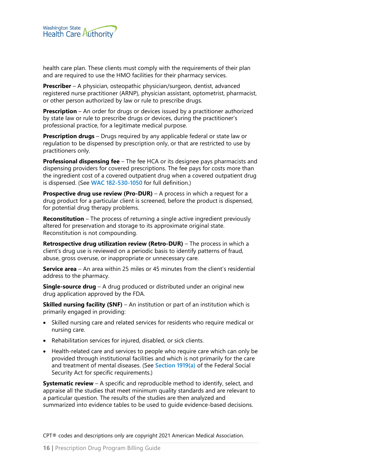

health care plan. These clients must comply with the requirements of their plan and are required to use the HMO facilities for their pharmacy services.

**Prescriber** – A physician, osteopathic physician/surgeon, dentist, advanced registered nurse practitioner (ARNP), physician assistant, optometrist, pharmacist, or other person authorized by law or rule to prescribe drugs.

**Prescription** – An order for drugs or devices issued by a practitioner authorized by state law or rule to prescribe drugs or devices, during the practitioner's professional practice, for a legitimate medical purpose.

**Prescription drugs** – Drugs required by any applicable federal or state law or regulation to be dispensed by prescription only, or that are restricted to use by practitioners only.

**Professional dispensing fee** – The fee HCA or its designee pays pharmacists and dispensing providers for covered prescriptions. The fee pays for costs more than the ingredient cost of a covered outpatient drug when a covered outpatient drug is dispensed. (See **[WAC 182-530-1050](http://apps.leg.wa.gov/WAC/default.aspx?cite=182-530-1050)** for full definition.)

**Prospective drug use review (Pro-DUR)** – A process in which a request for a drug product for a particular client is screened, before the product is dispensed, for potential drug therapy problems.

**Reconstitution** – The process of returning a single active ingredient previously altered for preservation and storage to its approximate original state. Reconstitution is not compounding.

**Retrospective drug utilization review (Retro-DUR)** – The process in which a client's drug use is reviewed on a periodic basis to identify patterns of fraud, abuse, gross overuse, or inappropriate or unnecessary care.

**Service area** – An area within 25 miles or 45 minutes from the client's residential address to the pharmacy.

**Single-source drug** – A drug produced or distributed under an original new drug application approved by the FDA.

**Skilled nursing facility (SNF)** – An institution or part of an institution which is primarily engaged in providing:

- Skilled nursing care and related services for residents who require medical or nursing care.
- Rehabilitation services for injured, disabled, or sick clients.
- Health-related care and services to people who require care which can only be provided through institutional facilities and which is not primarily for the care and treatment of mental diseases. (See **[Section 1919\(a\)](http://www.ssa.gov/OP_Home/ssact/title19/1919.htm)** of the Federal Social Security Act for specific requirements.)

**Systematic review** – A specific and reproducible method to identify, select, and appraise all the studies that meet minimum quality standards and are relevant to a particular question. The results of the studies are then analyzed and summarized into evidence tables to be used to guide evidence-based decisions.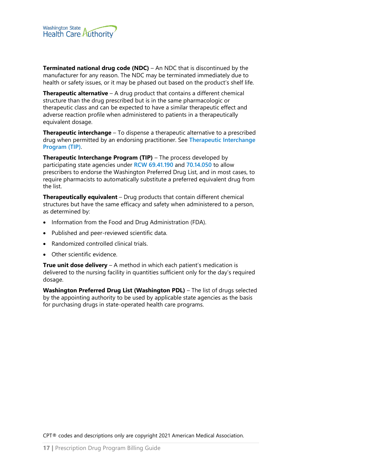

**Terminated national drug code (NDC)** – An NDC that is discontinued by the manufacturer for any reason. The NDC may be terminated immediately due to health or safety issues, or it may be phased out based on the product's shelf life.

**Therapeutic alternative** – A drug product that contains a different chemical structure than the drug prescribed but is in the same pharmacologic or therapeutic class and can be expected to have a similar therapeutic effect and adverse reaction profile when administered to patients in a therapeutically equivalent dosage.

**Therapeutic interchange** – To dispense a therapeutic alternative to a prescribed drug when permitted by an endorsing practitioner. See **[Therapeutic Interchange](#page-98-0)  [Program \(TIP\)](#page-98-0)**.

**Therapeutic Interchange Program (TIP)** – The process developed by participating state agencies under **[RCW 69.41.190](http://apps.leg.wa.gov/RCW/default.aspx?cite=69.41.190)** and **[70.14.050](http://apps.leg.wa.gov/RCW/default.aspx?cite=70.14.050)** to allow prescribers to endorse the Washington Preferred Drug List, and in most cases, to require pharmacists to automatically substitute a preferred equivalent drug from the list.

**Therapeutically equivalent** – Drug products that contain different chemical structures but have the same efficacy and safety when administered to a person, as determined by:

- Information from the Food and Drug Administration (FDA).
- Published and peer-reviewed scientific data.
- Randomized controlled clinical trials.
- Other scientific evidence.

**True unit dose delivery** – A method in which each patient's medication is delivered to the nursing facility in quantities sufficient only for the day's required dosage.

**Washington Preferred Drug List (Washington PDL)** – The list of drugs selected by the appointing authority to be used by applicable state agencies as the basis for purchasing drugs in state-operated health care programs.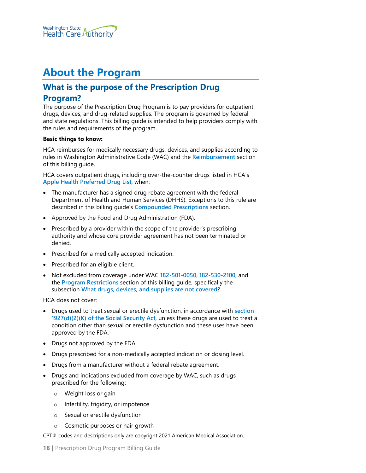

# <span id="page-17-0"></span>**About the Program**

# <span id="page-17-1"></span>**What is the purpose of the Prescription Drug**

#### **Program?**

The purpose of the Prescription Drug Program is to pay providers for outpatient drugs, devices, and drug-related supplies. The program is governed by federal and state regulations. This billing guide is intended to help providers comply with the rules and requirements of the program.

#### **Basic things to know:**

HCA reimburses for medically necessary drugs, devices, and supplies according to rules in Washington Administrative Code (WAC) and the **[Reimbursement](#page-61-0)** section of this billing guide.

HCA covers outpatient drugs, including over-the-counter drugs listed in HCA's **[Apple Health Preferred](https://www.hca.wa.gov/billers-providers-partners/programs-and-services/apple-health-preferred-drug-list-pdl) Drug List**, when:

- The manufacturer has a signed drug rebate agreement with the federal Department of Health and Human Services (DHHS). Exceptions to this rule are described in this billing guide's **[Compounded Prescriptions](#page-36-0)** section.
- Approved by the Food and Drug Administration (FDA).
- Prescribed by a provider within the scope of the provider's prescribing authority and whose core provider agreement has not been terminated or denied.
- Prescribed for a medically accepted indication.
- Prescribed for an eligible client.
- Not excluded from coverage under WAC **[182-501-0050](http://app.leg.wa.gov/WAC/default.aspx?cite=182-501-0050)**, **[182-530-2100](http://app.leg.wa.gov/WAC/default.aspx?cite=182-530-2100)**, and the **[Program Restrictions](#page-25-0)** section of this billing guide, specifically the subsection **[What drugs, devices, and supplies are not covered](#page-26-0)**?

HCA does not cover:

- Drugs used to treat sexual or erectile dysfunction, in accordance with **[section](http://www.socialsecurity.gov/OP_Home/ssact/title19/1927.htm)  [1927\(d\)\(2\)\(K\) of the Social Security Act](http://www.socialsecurity.gov/OP_Home/ssact/title19/1927.htm)**, unless these drugs are used to treat a condition other than sexual or erectile dysfunction and these uses have been approved by the FDA.
- Drugs not approved by the FDA.
- Drugs prescribed for a non-medically accepted indication or dosing level.
- Drugs from a manufacturer without a federal rebate agreement.
- Drugs and indications excluded from coverage by WAC, such as drugs prescribed for the following:
	- o Weight loss or gain
	- o Infertility, frigidity, or impotence
	- o Sexual or erectile dysfunction
	- o Cosmetic purposes or hair growth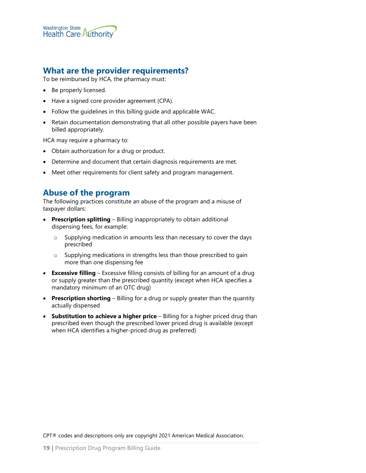

#### <span id="page-18-0"></span>**What are the provider requirements?**

To be reimbursed by HCA, the pharmacy must:

- Be properly licensed.
- Have a signed core provider agreement (CPA).
- Follow the guidelines in this billing guide and applicable WAC.
- Retain documentation demonstrating that all other possible payers have been billed appropriately.

HCA may require a pharmacy to:

- Obtain authorization for a drug or product.
- Determine and document that certain diagnosis requirements are met.
- Meet other requirements for client safety and program management.

#### <span id="page-18-1"></span>**Abuse of the program**

The following practices constitute an abuse of the program and a misuse of taxpayer dollars:

- **Prescription splitting** Billing inappropriately to obtain additional dispensing fees, for example:
	- o Supplying medication in amounts less than necessary to cover the days prescribed
	- o Supplying medications in strengths less than those prescribed to gain more than one dispensing fee
- **Excessive filling** Excessive filling consists of billing for an amount of a drug or supply greater than the prescribed quantity (except when HCA specifies a mandatory minimum of an OTC drug)
- **Prescription shorting** Billing for a drug or supply greater than the quantity actually dispensed
- **Substitution to achieve a higher price** Billing for a higher priced drug than prescribed even though the prescribed lower priced drug is available (except when HCA identifies a higher-priced drug as preferred)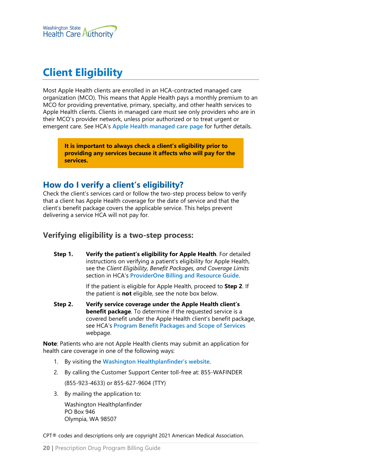

# <span id="page-19-0"></span>**Client Eligibility**

Most Apple Health clients are enrolled in an HCA-contracted managed care organization (MCO). This means that Apple Health pays a monthly premium to an MCO for providing preventative, primary, specialty, and other health services to Apple Health clients. Clients in managed care must see only providers who are in their MCO's provider network, unless prior authorized or to treat urgent or emergent care. See HCA's **[Apple Health managed care page](https://www.hca.wa.gov/node/831)** for further details.

**It is important to always check a client's eligibility prior to providing any services because it affects who will pay for the services.**

#### <span id="page-19-1"></span>**How do I verify a client's eligibility?**

Check the client's services card or follow the two-step process below to verify that a client has Apple Health coverage for the date of service and that the client's benefit package covers the applicable service. This helps prevent delivering a service HCA will not pay for.

#### <span id="page-19-2"></span>**Verifying eligibility is a two-step process:**

**Step 1. Verify the patient's eligibility for Apple Health**. For detailed instructions on verifying a patient's eligibility for Apple Health, see the *Client Eligibility, Benefit Packages, and Coverage Limits* section in HCA's **[ProviderOne Billing and Resource Guide](http://www.hca.wa.gov/node/311)**.

> If the patient is eligible for Apple Health, proceed to **Step 2**. If the patient is **not** eligible, see the note box below.

**Step 2. Verify service coverage under the Apple Health client's benefit package**. To determine if the requested service is a covered benefit under the Apple Health client's benefit package, see HCA's **[Program Benefit Packages and Scope of Services](http://www.hca.wa.gov/node/2391)** webpage.

**Note**: Patients who are not Apple Health clients may submit an application for health care coverage in one of the following ways:

- 1. By visiting the **[Washington Healthplanfinder's website](http://www.wahealthplanfinder.org/)**.
- 2. By calling the Customer Support Center toll-free at: 855-WAFINDER

(855-923-4633) or 855-627-9604 (TTY)

3. By mailing the application to:

Washington Healthplanfinder PO Box 946 Olympia, WA 98507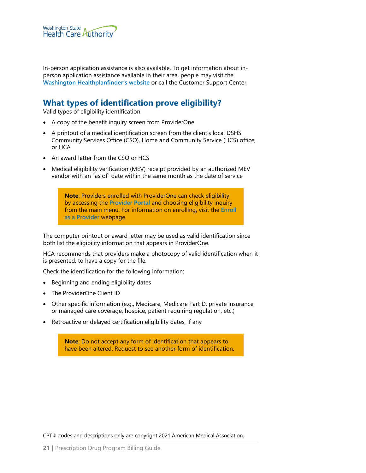

In-person application assistance is also available. To get information about inperson application assistance available in their area, people may visit the **[Washington Healthplanfinder's website](http://www.wahealthplanfinder.org/)** or call the Customer Support Center.

### <span id="page-20-0"></span>**What types of identification prove eligibility?**

Valid types of eligibility identification:

- A copy of the benefit inquiry screen from ProviderOne
- A printout of a medical identification screen from the client's local DSHS Community Services Office (CSO), Home and Community Service (HCS) office, or HCA
- An award letter from the CSO or HCS
- Medical eligibility verification (MEV) receipt provided by an authorized MEV vendor with an "as of" date within the same month as the date of service

**Note**: Providers enrolled with ProviderOne can check eligibility by accessing the **[Provider Portal](https://www.providerone.wa.gov/)** and choosing eligibility inquiry from the main menu. For information on enrolling, visit the **[Enroll](http://www.hca.wa.gov/billers-providers/apple-health-medicaid-providers/enroll-provider)  [as a Provider](http://www.hca.wa.gov/billers-providers/apple-health-medicaid-providers/enroll-provider)** webpage.

The computer printout or award letter may be used as valid identification since both list the eligibility information that appears in ProviderOne.

HCA recommends that providers make a photocopy of valid identification when it is presented, to have a copy for the file.

Check the identification for the following information:

- Beginning and ending eligibility dates
- The ProviderOne Client ID
- Other specific information (e.g., Medicare, Medicare Part D, private insurance, or managed care coverage, hospice, patient requiring regulation, etc.)
- Retroactive or delayed certification eligibility dates, if any

**Note**: Do not accept any form of identification that appears to have been altered. Request to see another form of identification.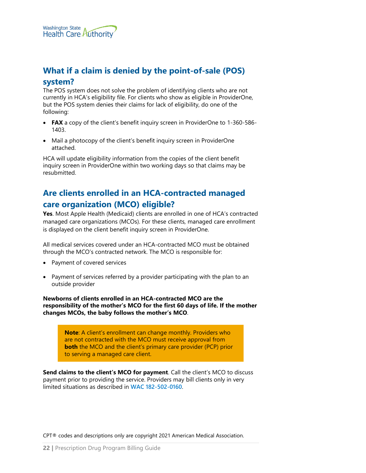

## <span id="page-21-0"></span>**What if a claim is denied by the point-of-sale (POS) system?**

The POS system does not solve the problem of identifying clients who are not currently in HCA's eligibility file. For clients who show as eligible in ProviderOne, but the POS system denies their claims for lack of eligibility, do one of the following:

- **FAX** a copy of the client's benefit inquiry screen in ProviderOne to 1-360-586- 1403.
- Mail a photocopy of the client's benefit inquiry screen in ProviderOne attached.

HCA will update eligibility information from the copies of the client benefit inquiry screen in ProviderOne within two working days so that claims may be resubmitted.

## <span id="page-21-1"></span>**Are clients enrolled in an HCA-contracted managed care organization (MCO) eligible?**

**Yes**. Most Apple Health (Medicaid) clients are enrolled in one of HCA's contracted managed care organizations (MCOs). For these clients, managed care enrollment is displayed on the client benefit inquiry screen in ProviderOne.

All medical services covered under an HCA-contracted MCO must be obtained through the MCO's contracted network. The MCO is responsible for:

- Payment of covered services
- Payment of services referred by a provider participating with the plan to an outside provider

**Newborns of clients enrolled in an HCA-contracted MCO are the responsibility of the mother's MCO for the first 60 days of life. If the mother changes MCOs, the baby follows the mother's MCO**.

**Note**: A client's enrollment can change monthly. Providers who are not contracted with the MCO must receive approval from **both** the MCO and the client's primary care provider (PCP) prior to serving a managed care client.

**Send claims to the client's MCO for payment**. Call the client's MCO to discuss payment prior to providing the service. Providers may bill clients only in very limited situations as described in **[WAC 182-502-0160](http://apps.leg.wa.gov/wac/default.aspx?cite=182-502-0160)**.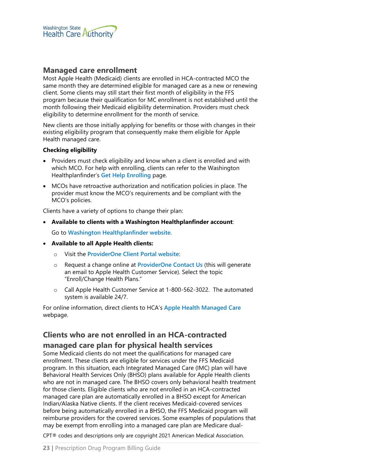

#### <span id="page-22-1"></span>**Managed care enrollment**

Most Apple Health (Medicaid) clients are enrolled in HCA-contracted MCO the same month they are determined eligible for managed care as a new or renewing client. Some clients may still start their first month of eligibility in the FFS program because their qualification for MC enrollment is not established until the month following their Medicaid eligibility determination. Providers must check eligibility to determine enrollment for the month of service.

New clients are those initially applying for benefits or those with changes in their existing eligibility program that consequently make them eligible for Apple Health managed care.

#### **Checking eligibility**

- Providers must check eligibility and know when a client is enrolled and with which MCO. For help with enrolling, clients can refer to the Washington Healthplanfinder's **[Get Help Enrolling](https://www.wahbexchange.org/new-customers/application-quick-tips/customer-support-network/)** page.
- MCOs have retroactive authorization and notification policies in place. The provider must know the MCO's requirements and be compliant with the MCO's policies.

Clients have a variety of options to change their plan:

• **Available to clients with a Washington Healthplanfinder account**:

Go to **[Washington Healthplanfinder website](http://www.wahealthplanfinder.org/)**.

- **Available to all Apple Health clients:**
	- o Visit the **[ProviderOne Client Portal website](https://www.providerone.wa.gov/)**:
	- o Request a change online at **[ProviderOne Contact Us](https://fortress.wa.gov/hca/p1contactus)** (this will generate an email to Apple Health Customer Service). Select the topic "Enroll/Change Health Plans."
	- o Call Apple Health Customer Service at 1-800-562-3022. The automated system is available 24/7.

For online information, direct clients to HCA's **[Apple Health Managed Care](https://www.hca.wa.gov/node/2446)** webpage.

#### <span id="page-22-0"></span>**Clients who are not enrolled in an HCA-contracted**

#### **managed care plan for physical health services**

Some Medicaid clients do not meet the qualifications for managed care enrollment. These clients are eligible for services under the FFS Medicaid program. In this situation, each Integrated Managed Care (IMC) plan will have Behavioral Health Services Only (BHSO) plans available for Apple Health clients who are not in managed care. The BHSO covers only behavioral health treatment for those clients. Eligible clients who are not enrolled in an HCA-contracted managed care plan are automatically enrolled in a BHSO except for American Indian/Alaska Native clients. If the client receives Medicaid-covered services before being automatically enrolled in a BHSO, the FFS Medicaid program will reimburse providers for the covered services. Some examples of populations that may be exempt from enrolling into a managed care plan are Medicare dual-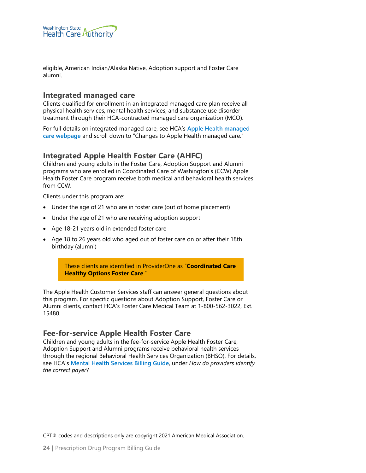

eligible, American Indian/Alaska Native, Adoption support and Foster Care alumni.

#### <span id="page-23-0"></span>**Integrated managed care**

Clients qualified for enrollment in an integrated managed care plan receive all physical health services, mental health services, and substance use disorder treatment through their HCA-contracted managed care organization (MCO).

For full details on integrated managed care, see HCA's **[Apple Health managed](https://hca.wa.gov/node/831)  [care webpage](https://hca.wa.gov/node/831)** and scroll down to "Changes to Apple Health managed care."

#### <span id="page-23-2"></span>**Integrated Apple Health Foster Care (AHFC)**

Children and young adults in the Foster Care, Adoption Support and Alumni programs who are enrolled in Coordinated Care of Washington's (CCW) Apple Health Foster Care program receive both medical and behavioral health services from CCW.

Clients under this program are:

- Under the age of 21 who are in foster care (out of home placement)
- Under the age of 21 who are receiving adoption support
- Age 18-21 years old in extended foster care
- Age 18 to 26 years old who aged out of foster care on or after their 18th birthday (alumni)

These clients are identified in ProviderOne as "**Coordinated Care Healthy Options Foster Care**."

The Apple Health Customer Services staff can answer general questions about this program. For specific questions about Adoption Support, Foster Care or Alumni clients, contact HCA's Foster Care Medical Team at 1-800-562-3022, Ext. 15480.

#### <span id="page-23-3"></span>**Fee-for-service Apple Health Foster Care**

<span id="page-23-1"></span>Children and young adults in the fee-for-service Apple Health Foster Care, Adoption Support and Alumni programs receive behavioral health services through the regional Behavioral Health Services Organization (BHSO). For details, see HCA's **[Mental Health Services Billing Guide](https://www.hca.wa.gov/node/301)**, under *How do providers identify the correct payer*?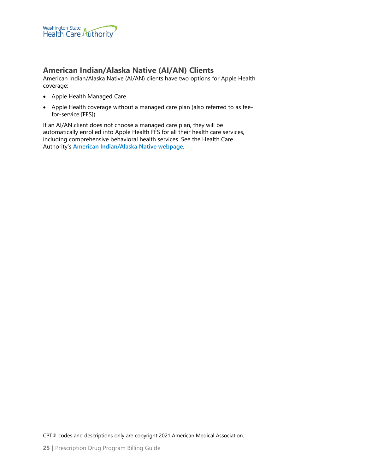

#### **American Indian/Alaska Native (AI/AN) Clients**

American Indian/Alaska Native (AI/AN) clients have two options for Apple Health coverage:

- Apple Health Managed Care
- Apple Health coverage without a managed care plan (also referred to as feefor-service [FFS])

If an AI/AN client does not choose a managed care plan, they will be automatically enrolled into Apple Health FFS for all their health care services, including comprehensive behavioral health services. See the Health Care Authority's **[American Indian/Alaska Native webpage](https://www.hca.wa.gov/node/826)**.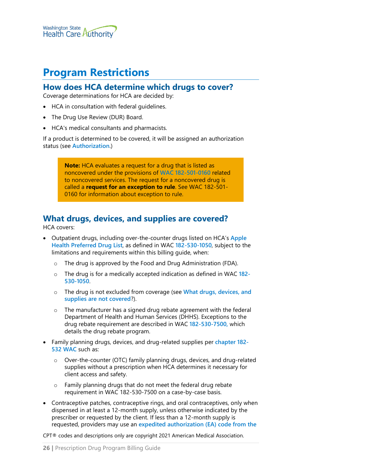

# <span id="page-25-0"></span>**Program Restrictions**

#### <span id="page-25-1"></span>**How does HCA determine which drugs to cover?**

Coverage determinations for HCA are decided by:

- HCA in consultation with federal guidelines.
- The Drug Use Review (DUR) Board.
- HCA's medical consultants and pharmacists.

If a product is determined to be covered, it will be assigned an authorization status (see **[Authorization](#page-54-0)**.)

> **Note:** HCA evaluates a request for a drug that is listed as noncovered under the provisions of **[WAC 182-501-0160](http://app.leg.wa.gov/WAC/default.aspx?cite=182-501-0160)** related to noncovered services. The request for a noncovered drug is called a **request for an exception to rule**. See WAC 182-501- 0160 for information about exception to rule.

## <span id="page-25-2"></span>**What drugs, devices, and supplies are covered?**

HCA covers:

- Outpatient drugs, including over-the-counter drugs listed on HCA's **[Apple](https://www.hca.wa.gov/billers-providers-partners/programs-and-services/apple-health-preferred-drug-list-pdl)  [Health Preferred Drug List](https://www.hca.wa.gov/billers-providers-partners/programs-and-services/apple-health-preferred-drug-list-pdl)**, as defined in WAC **[182-530-1050](http://app.leg.wa.gov/WAC/default.aspx?cite=182-530-1050)**, subject to the limitations and requirements within this billing guide, when:
	- o The drug is approved by the Food and Drug Administration (FDA).
	- o The drug is for a medically accepted indication as defined in WAC **[182-](http://app.leg.wa.gov/WAC/default.aspx?cite=182-530-1050) [530-1050](http://app.leg.wa.gov/WAC/default.aspx?cite=182-530-1050)**.
	- o The drug is not excluded from coverage (see **[What drugs, devices, and](#page-26-0)  [supplies are not covered](#page-26-0)**?).
	- o The manufacturer has a signed drug rebate agreement with the federal Department of Health and Human Services (DHHS). Exceptions to the drug rebate requirement are described in WAC **[182-530-7500,](http://app.leg.wa.gov/WAC/default.aspx?cite=182-530-7500)** which details the drug rebate program.
- Family planning drugs, devices, and drug-related supplies per **[chapter 182-](http://app.leg.wa.gov/WAC/default.aspx?cite=182-532) [532 WAC](http://app.leg.wa.gov/WAC/default.aspx?cite=182-532)** such as:
	- o Over-the-counter (OTC) family planning drugs, devices, and drug-related supplies without a prescription when HCA determines it necessary for client access and safety.
	- o Family planning drugs that do not meet the federal drug rebate requirement in WAC 182-530-7500 on a case-by-case basis.
- Contraceptive patches, contraceptive rings, and oral contraceptives, only when dispensed in at least a 12-month supply, unless otherwise indicated by the prescriber or requested by the client. If less than a 12-month supply is requested, providers may use an **[expedited authorization \(EA\) code from](https://www.hca.wa.gov/billers-providers-partners/prior-authorization-claims-and-billing/provider-billing-guides-and-fee-schedules#collapse_49_accordion) the**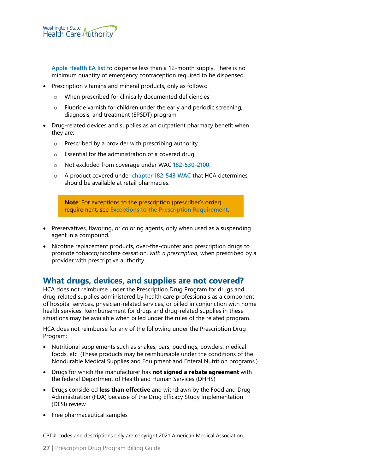**[Apple Health EA list](https://www.hca.wa.gov/billers-providers-partners/prior-authorization-claims-and-billing/provider-billing-guides-and-fee-schedules#collapse_49_accordion)** to dispense less than a 12-month supply. There is no minimum quantity of emergency contraception required to be dispensed.

- Prescription vitamins and mineral products, only as follows:
	- o When prescribed for clinically documented deficiencies
	- o Fluoride varnish for children under the early and periodic screening, diagnosis, and treatment (EPSDT) program
- Drug-related devices and supplies as an outpatient pharmacy benefit when they are:
	- o Prescribed by a provider with prescribing authority.
	- o Essential for the administration of a covered drug.
	- o Not excluded from coverage under WAC **[182-530-2100](http://app.leg.wa.gov/WAC/default.aspx?cite=182-530-2100)**.
	- o A product covered under **[chapter 182-543 WAC](http://app.leg.wa.gov/WAC/default.aspx?cite=182-543)** that HCA determines should be available at retail pharmacies.

**Note**: For exceptions to the prescription (prescriber's order) requirement, see **[Exceptions to the Prescription Requirement](#page-29-0)**.

- Preservatives, flavoring, or coloring agents, only when used as a suspending agent in a compound.
- Nicotine replacement products, over-the-counter and prescription drugs to promote tobacco/nicotine cessation, *with a prescription*, when prescribed by a provider with prescriptive authority.

#### <span id="page-26-0"></span>**What drugs, devices, and supplies are not covered?**

HCA does not reimburse under the Prescription Drug Program for drugs and drug-related supplies administered by health care professionals as a component of hospital services, physician-related services, or billed in conjunction with home health services. Reimbursement for drugs and drug-related supplies in these situations may be available when billed under the rules of the related program.

HCA does not reimburse for any of the following under the Prescription Drug Program:

- Nutritional supplements such as shakes, bars, puddings, powders, medical foods, etc. (These products may be reimbursable under the conditions of the Nondurable Medical Supplies and Equipment and Enteral Nutrition programs.)
- Drugs for which the manufacturer has **not signed a rebate agreement** with the federal Department of Health and Human Services (DHHS)
- Drugs considered **less than effective** and withdrawn by the Food and Drug Administration (FDA) because of the Drug Efficacy Study Implementation (DESI) review
- Free pharmaceutical samples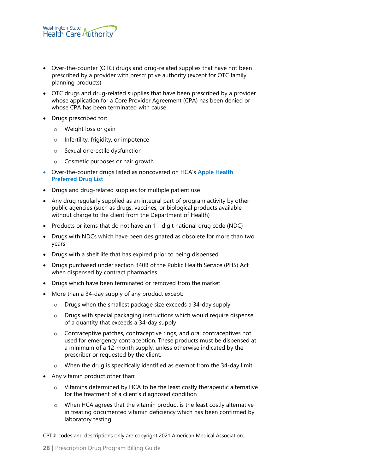- Over-the-counter (OTC) drugs and drug-related supplies that have not been prescribed by a provider with prescriptive authority (except for OTC family planning products)
- OTC drugs and drug-related supplies that have been prescribed by a provider whose application for a Core Provider Agreement (CPA) has been denied or whose CPA has been terminated with cause
- Drugs prescribed for:
	- o Weight loss or gain
	- o Infertility, frigidity, or impotence
	- o Sexual or erectile dysfunction
	- o Cosmetic purposes or hair growth
- Over-the-counter drugs listed as noncovered on HCA's **[Apple Health](https://www.hca.wa.gov/billers-providers-partners/programs-and-services/apple-health-preferred-drug-list-pdl)  [Preferred Drug List](https://www.hca.wa.gov/billers-providers-partners/programs-and-services/apple-health-preferred-drug-list-pdl)**
- Drugs and drug-related supplies for multiple patient use
- Any drug regularly supplied as an integral part of program activity by other public agencies (such as drugs, vaccines, or biological products available without charge to the client from the Department of Health)
- Products or items that do not have an 11-digit national drug code (NDC)
- Drugs with NDCs which have been designated as obsolete for more than two years
- Drugs with a shelf life that has expired prior to being dispensed
- Drugs purchased under section 340B of the Public Health Service (PHS) Act when dispensed by contract pharmacies
- Drugs which have been terminated or removed from the market
- More than a 34-day supply of any product except:
	- o Drugs when the smallest package size exceeds a 34-day supply
	- o Drugs with special packaging instructions which would require dispense of a quantity that exceeds a 34-day supply
	- o Contraceptive patches, contraceptive rings, and oral contraceptives not used for emergency contraception. These products must be dispensed at a minimum of a 12-month supply, unless otherwise indicated by the prescriber or requested by the client.
	- o When the drug is specifically identified as exempt from the 34-day limit
- Any vitamin product other than:
	- o Vitamins determined by HCA to be the least costly therapeutic alternative for the treatment of a client's diagnosed condition
	- o When HCA agrees that the vitamin product is the least costly alternative in treating documented vitamin deficiency which has been confirmed by laboratory testing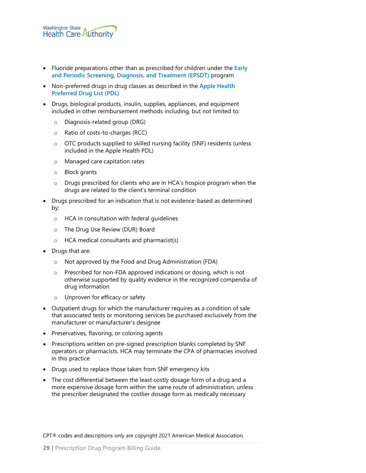

- Fluoride preparations other than as prescribed for children under the **[Early](http://www.hca.wa.gov/node/301)  [and Periodic Screening, Diagnosis, and Treatment \(EPSDT\)](http://www.hca.wa.gov/node/301)** program
- Non-preferred drugs in drug classes as described in the **[Apple Health](https://www.hca.wa.gov/billers-providers-partners/programs-and-services/apple-health-preferred-drug-list-pdl)  [Preferred Drug List \(PDL\)](https://www.hca.wa.gov/billers-providers-partners/programs-and-services/apple-health-preferred-drug-list-pdl)**
- Drugs, biological products, insulin, supplies, appliances, and equipment included in other reimbursement methods including, but not limited to:
	- o Diagnosis-related group (DRG)
	- o Ratio of costs-to-charges (RCC)
	- o OTC products supplied to skilled nursing facility (SNF) residents (unless included in the Apple Health PDL)
	- o Managed care capitation rates
	- o Block grants
	- o Drugs prescribed for clients who are in HCA's hospice program when the drugs are related to the client's terminal condition
- Drugs prescribed for an indication that is not evidence-based as determined by:
	- o HCA in consultation with federal guidelines
	- o The Drug Use Review (DUR) Board
	- o HCA medical consultants and pharmacist(s)
- Drugs that are:
	- o Not approved by the Food and Drug Administration (FDA)
	- o Prescribed for non-FDA approved indications or dosing, which is not otherwise supported by quality evidence in the recognized compendia of drug information
	- o Unproven for efficacy or safety
- Outpatient drugs for which the manufacturer requires as a condition of sale that associated tests or monitoring services be purchased exclusively from the manufacturer or manufacturer's designee
- Preservatives, flavoring, or coloring agents
- Prescriptions written on pre-signed prescription blanks completed by SNF operators or pharmacists. HCA may terminate the CPA of pharmacies involved in this practice
- Drugs used to replace those taken from SNF emergency kits
- The cost differential between the least costly dosage form of a drug and a more expensive dosage form within the same route of administration, unless the prescriber designated the costlier dosage form as medically necessary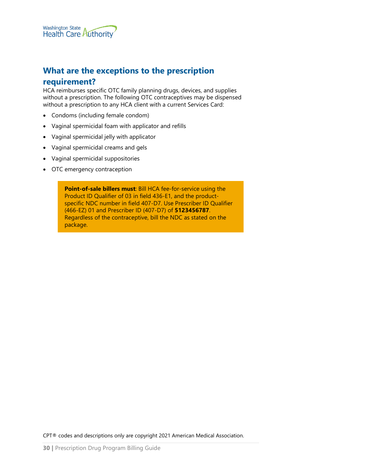## <span id="page-29-0"></span>**What are the exceptions to the prescription**

#### **requirement?**

HCA reimburses specific OTC family planning drugs, devices, and supplies without a prescription. The following OTC contraceptives may be dispensed without a prescription to any HCA client with a current Services Card:

- Condoms (including female condom)
- Vaginal spermicidal foam with applicator and refills
- Vaginal spermicidal jelly with applicator
- Vaginal spermicidal creams and gels
- Vaginal spermicidal suppositories
- OTC emergency contraception

**Point-of-sale billers must: Bill HCA fee-for-service using the** Product ID Qualifier of 03 in field 436-E1, and the productspecific NDC number in field 407-D7. Use Prescriber ID Qualifier (466-EZ) 01 and Prescriber ID (407-D7) of **5123456787**. Regardless of the contraceptive, bill the NDC as stated on the package.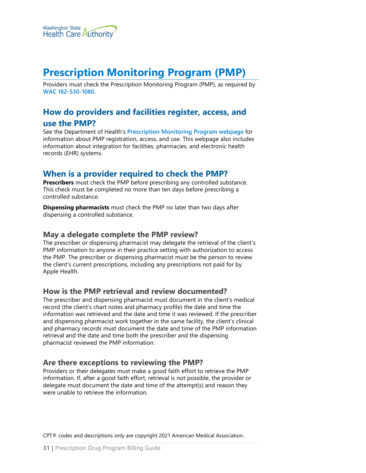

# <span id="page-30-0"></span>**Prescription Monitoring Program (PMP)**

Providers must check the Prescription Monitoring Program (PMP), as required by **[WAC 182-530-1080](https://app.leg.wa.gov/wac/default.aspx?cite=182-530-1080)**.

## <span id="page-30-1"></span>**How do providers and facilities register, access, and use the PMP?**

See the Department of Health's **[Prescription Monitoring Program webpage](https://www.doh.wa.gov/ForPublicHealthandHealthcareProviders/HealthcareProfessionsandFacilities/PrescriptionMonitoringProgramPMP#heading25416)** for information about PMP registration, access, and use. This webpage also includes information about integration for facilities, pharmacies, and electronic health records (EHR) systems.

#### <span id="page-30-2"></span>**When is a provider required to check the PMP?**

**Prescribers** must check the PMP before prescribing any controlled substance. This check must be completed no more than ten days before prescribing a controlled substance.

**Dispensing pharmacists** must check the PMP no later than two days after dispensing a controlled substance.

#### <span id="page-30-3"></span>**May a delegate complete the PMP review?**

The prescriber or dispensing pharmacist may delegate the retrieval of the client's PMP information to anyone in their practice setting with authorization to access the PMP. The prescriber or dispensing pharmacist must be the person to review the client's current prescriptions, including any prescriptions not paid for by Apple Health.

#### <span id="page-30-4"></span>**How is the PMP retrieval and review documented?**

The prescriber and dispensing pharmacist must document in the client's medical record (the client's chart notes and pharmacy profile) the date and time the information was retrieved and the date and time it was reviewed. If the prescriber and dispensing pharmacist work together in the same facility, the client's clinical and pharmacy records must document the date and time of the PMP information retrieval and the date and time both the prescriber and the dispensing pharmacist reviewed the PMP information.

#### <span id="page-30-5"></span>**Are there exceptions to reviewing the PMP?**

Providers or their delegates must make a good faith effort to retrieve the PMP information. If, after a good faith effort, retrieval is not possible, the provider or delegate must document the date and time of the attempt(s) and reason they were unable to retrieve the information.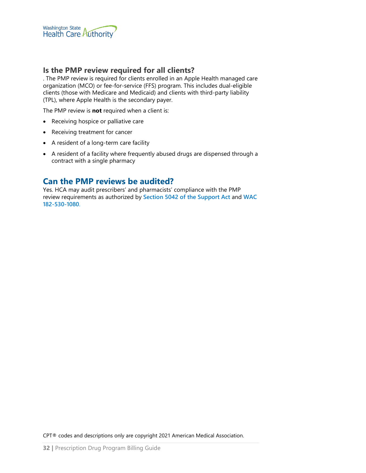

#### <span id="page-31-0"></span>**Is the PMP review required for all clients?**

. The PMP review is required for clients enrolled in an Apple Health managed care organization (MCO) or fee-for-service (FFS) program. This includes dual-eligible clients (those with Medicare and Medicaid) and clients with third-party liability (TPL), where Apple Health is the secondary payer.

The PMP review is **not** required when a client is:

- Receiving hospice or palliative care
- Receiving treatment for cancer
- A resident of a long-term care facility
- A resident of a facility where frequently abused drugs are dispensed through a contract with a single pharmacy

#### <span id="page-31-1"></span>**Can the PMP reviews be audited?**

Yes. HCA may audit prescribers' and pharmacists' compliance with the PMP review requirements as authorized by **Section 5042 [of the Support Act](https://www.congress.gov/bill/115th-congress/house-bill/6/text)** and **[WAC](https://app.leg.wa.gov/wac/default.aspx?cite=182-530-1080)  [182-530-1080](https://app.leg.wa.gov/wac/default.aspx?cite=182-530-1080)**.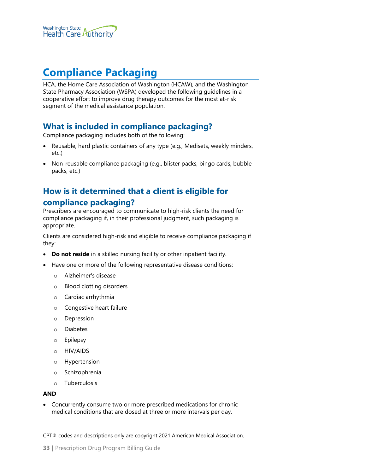

# <span id="page-32-0"></span>**Compliance Packaging**

HCA, the Home Care Association of Washington (HCAW), and the Washington State Pharmacy Association (WSPA) developed the following guidelines in a cooperative effort to improve drug therapy outcomes for the most at-risk segment of the medical assistance population.

#### <span id="page-32-1"></span>**What is included in compliance packaging?**

Compliance packaging includes both of the following:

- Reusable, hard plastic containers of any type (e.g., Medisets, weekly minders, etc.)
- Non-reusable compliance packaging (e.g., blister packs, bingo cards, bubble packs, etc.)

## <span id="page-32-2"></span>**How is it determined that a client is eligible for compliance packaging?**

Prescribers are encouraged to communicate to high-risk clients the need for compliance packaging if, in their professional judgment, such packaging is appropriate.

Clients are considered high-risk and eligible to receive compliance packaging if they:

- **Do not reside** in a skilled nursing facility or other inpatient facility.
- Have one or more of the following representative disease conditions:
	- o Alzheimer's disease
	- o Blood clotting disorders
	- o Cardiac arrhythmia
	- o Congestive heart failure
	- o Depression
	- o Diabetes
	- o Epilepsy
	- o HIV/AIDS
	- o Hypertension
	- o Schizophrenia
	- o Tuberculosis

#### **AND**

• Concurrently consume two or more prescribed medications for chronic medical conditions that are dosed at three or more intervals per day.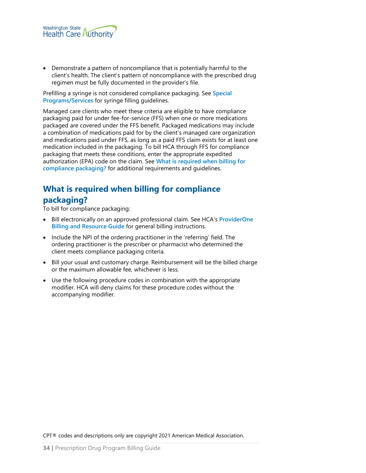

• Demonstrate a pattern of noncompliance that is potentially harmful to the client's health. The client's pattern of noncompliance with the prescribed drug regimen must be fully documented in the provider's file.

Prefilling a syringe is not considered compliance packaging. See **[Special](#page-38-0)  [Programs/Services](#page-38-0)** for syringe filling guidelines.

Managed care clients who meet these criteria are eligible to have compliance packaging paid for under fee-for-service (FFS) when one or more medications packaged are covered under the FFS benefit. Packaged medications may include a combination of medications paid for by the client's managed care organization and medications paid under FFS, as long as a paid FFS claim exists for at least one medication included in the packaging. To bill HCA through FFS for compliance packaging that meets these conditions, enter the appropriate expedited authorization (EPA) code on the claim. See **[What is required when billing for](#page-33-0)  [compliance packaging?](#page-33-0)** for additional requirements and guidelines.

## <span id="page-33-0"></span>**What is required when billing for compliance packaging?**

To bill for compliance packaging:

- Bill electronically on an approved professional claim. See HCA's **[ProviderOne](http://www.hca.wa.gov/node/311)  [Billing and Resource Guide](http://www.hca.wa.gov/node/311)** for general billing instructions.
- Include the NPI of the ordering practitioner in the 'referring' field. The ordering practitioner is the prescriber or pharmacist who determined the client meets compliance packaging criteria.
- Bill your usual and customary charge. Reimbursement will be the billed charge or the maximum allowable fee, whichever is less.
- Use the following procedure codes in combination with the appropriate modifier. HCA will deny claims for these procedure codes without the accompanying modifier.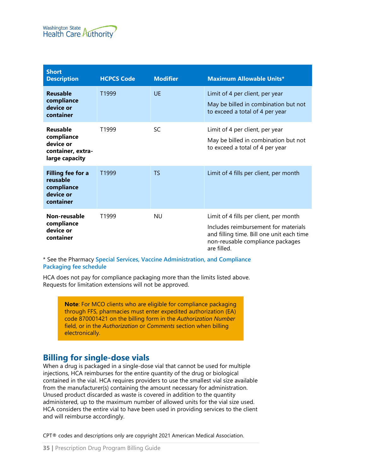

| <b>Short</b><br><b>Description</b>                                           | <b>HCPCS Code</b> | <b>Modifier</b> | <b>Maximum Allowable Units*</b>                                                                                                                                                |
|------------------------------------------------------------------------------|-------------------|-----------------|--------------------------------------------------------------------------------------------------------------------------------------------------------------------------------|
| <b>Reusable</b><br>compliance<br>device or<br>container                      | T1999             | UF              | Limit of 4 per client, per year<br>May be billed in combination but not<br>to exceed a total of 4 per year                                                                     |
| Reusable<br>compliance<br>device or<br>container, extra-<br>large capacity   | T1999             | SC              | Limit of 4 per client, per year<br>May be billed in combination but not<br>to exceed a total of 4 per year                                                                     |
| <b>Filling fee for a</b><br>reusable<br>compliance<br>device or<br>container | T1999             | TS              | Limit of 4 fills per client, per month                                                                                                                                         |
| Non-reusable<br>compliance<br>device or<br>container                         | T1999             | <b>NU</b>       | Limit of 4 fills per client, per month<br>Includes reimbursement for materials<br>and filling time. Bill one unit each time<br>non-reusable compliance packages<br>are filled. |

\* See the Pharmacy **[Special Services, Vaccine Administration, and Compliance](http://www.hca.wa.gov/node/301)  [Packaging fee schedule](http://www.hca.wa.gov/node/301)**

HCA does not pay for compliance packaging more than the limits listed above. Requests for limitation extensions will not be approved.

> **Note**: For MCO clients who are eligible for compliance packaging through FFS, pharmacies must enter expedited authorization (EA) code 870001421 on the billing form in the *Authorization Number* field, or in the *Authorization* or *Comments* section when billing electronically.

#### <span id="page-34-0"></span>**Billing for single-dose vials**

When a drug is packaged in a single-dose vial that cannot be used for multiple injections, HCA reimburses for the entire quantity of the drug or biological contained in the vial. HCA requires providers to use the smallest vial size available from the manufacturer(s) containing the amount necessary for administration. Unused product discarded as waste is covered in addition to the quantity administered, up to the maximum number of allowed units for the vial size used. HCA considers the entire vial to have been used in providing services to the client and will reimburse accordingly.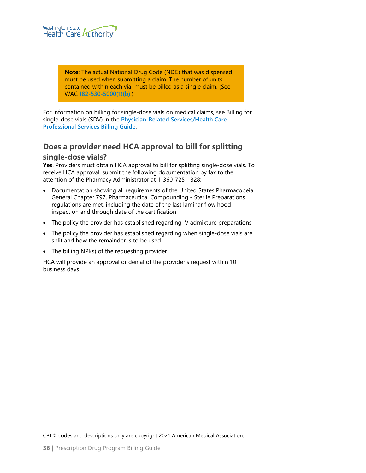

**Note**: The actual National Drug Code (NDC) that was dispensed must be used when submitting a claim. The number of units contained within each vial must be billed as a single claim. (See WAC **[182-530-5000\(1\)\(b\)](http://app.leg.wa.gov/wac/default.aspx?cite=182-530-5000)**.)

For information on billing for single-dose vials on medical claims, see Billing for single-dose vials (SDV) in the **[Physician-Related Services/Health Care](http://www.hca.wa.gov/node/301)  [Professional Services Billing Guide](http://www.hca.wa.gov/node/301)**.

## <span id="page-35-0"></span>**Does a provider need HCA approval to bill for splitting single-dose vials?**

**Yes**. Providers must obtain HCA approval to bill for splitting single-dose vials. To receive HCA approval, submit the following documentation by fax to the attention of the Pharmacy Administrator at 1-360-725-1328:

- Documentation showing all requirements of the United States Pharmacopeia General Chapter 797, Pharmaceutical Compounding - Sterile Preparations regulations are met, including the date of the last laminar flow hood inspection and through date of the certification
- The policy the provider has established regarding IV admixture preparations
- The policy the provider has established regarding when single-dose vials are split and how the remainder is to be used
- The billing NPI(s) of the requesting provider

HCA will provide an approval or denial of the provider's request within 10 business days.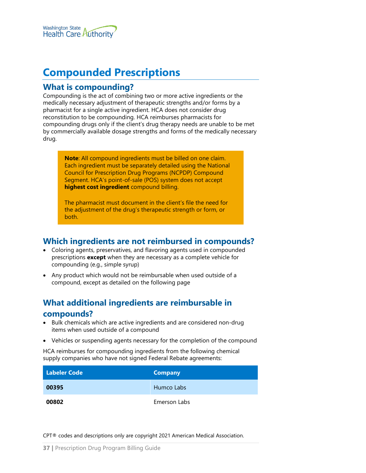

# **Compounded Prescriptions**

### **What is compounding?**

Compounding is the act of combining two or more active ingredients or the medically necessary adjustment of therapeutic strengths and/or forms by a pharmacist for a single active ingredient. HCA does not consider drug reconstitution to be compounding. HCA reimburses pharmacists for compounding drugs only if the client's drug therapy needs are unable to be met by commercially available dosage strengths and forms of the medically necessary drug.

**Note**: All compound ingredients must be billed on one claim. Each ingredient must be separately detailed using the National Council for Prescription Drug Programs (NCPDP) Compound Segment. HCA's point-of-sale (POS) system does not accept **highest cost ingredient** compound billing.

The pharmacist must document in the client's file the need for the adjustment of the drug's therapeutic strength or form, or both.

## **Which ingredients are not reimbursed in compounds?**

- Coloring agents, preservatives, and flavoring agents used in compounded prescriptions **except** when they are necessary as a complete vehicle for compounding (e.g., simple syrup)
- Any product which would not be reimbursable when used outside of a compound, except as detailed on the following page

# **What additional ingredients are reimbursable in**

#### **compounds?**

- Bulk chemicals which are active ingredients and are considered non-drug items when used outside of a compound
- Vehicles or suspending agents necessary for the completion of the compound

HCA reimburses for compounding ingredients from the following chemical supply companies who have not signed Federal Rebate agreements:

| <b>Labeler Code</b> | <b>Company</b> |
|---------------------|----------------|
| 00395               | Humco Labs     |
| 00802               | Emerson Labs   |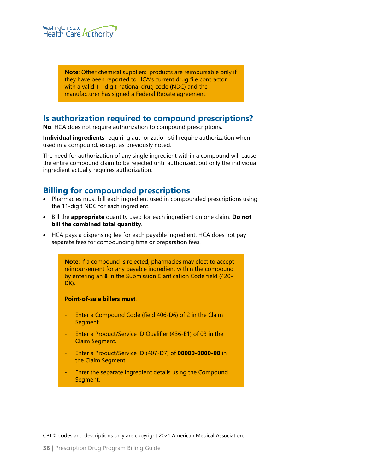

**Note**: Other chemical suppliers' products are reimbursable only if they have been reported to HCA's current drug file contractor with a valid 11-digit national drug code (NDC) and the manufacturer has signed a Federal Rebate agreement.

### **Is authorization required to compound prescriptions?**

**No**. HCA does not require authorization to compound prescriptions.

**Individual ingredients** requiring authorization still require authorization when used in a compound, except as previously noted.

The need for authorization of any single ingredient within a compound will cause the entire compound claim to be rejected until authorized, but only the individual ingredient actually requires authorization.

### **Billing for compounded prescriptions**

- Pharmacies must bill each ingredient used in compounded prescriptions using the 11-digit NDC for each ingredient.
- Bill the **appropriate** quantity used for each ingredient on one claim. **Do not bill the combined total quantity**.
- HCA pays a dispensing fee for each payable ingredient. HCA does not pay separate fees for compounding time or preparation fees.

**Note**: If a compound is rejected, pharmacies may elect to accept reimbursement for any payable ingredient within the compound by entering an **8** in the Submission Clarification Code field (420- DK).

#### **Point-of-sale billers must**:

- Enter a Compound Code (field 406-D6) of 2 in the Claim Segment.
- Enter a Product/Service ID Qualifier (436-E1) of 03 in the Claim Segment.
- Enter a Product/Service ID (407-D7) of **00000-0000-00** in the Claim Segment.
- Enter the separate ingredient details using the Compound Segment.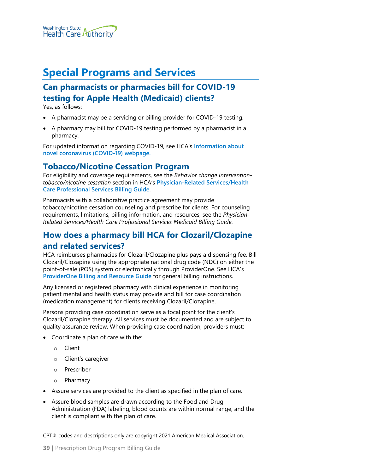

# **Special Programs and Services**

# **Can pharmacists or pharmacies bill for COVID-19 testing for Apple Health (Medicaid) clients?**

Yes, as follows:

- A pharmacist may be a servicing or billing provider for COVID-19 testing.
- A pharmacy may bill for COVID-19 testing performed by a pharmacist in a pharmacy.

For updated information regarding COVID-19, see HCA's **[Information about](https://www.hca.wa.gov/about-hca/information-about-novel-coronavirus-covid-19)  [novel coronavirus \(COVID-19\) webpage.](https://www.hca.wa.gov/about-hca/information-about-novel-coronavirus-covid-19)**

### **Tobacco/Nicotine Cessation Program**

For eligibility and coverage requirements, see the *Behavior change interventiontobacco/nicotine cessation* section in HCA's **[Physician-Related Services/Health](http://www.hca.wa.gov/node/301)  [Care Professional Services Billing Guide](http://www.hca.wa.gov/node/301)**.

Pharmacists with a collaborative practice agreement may provide tobacco/nicotine cessation counseling and prescribe for clients. For counseling requirements, limitations, billing information, and resources, see the *Physician-Related Services/Health Care Professional Services Medicaid Billing Guide*.

# **How does a pharmacy bill HCA for Clozaril/Clozapine and related services?**

HCA reimburses pharmacies for Clozaril/Clozapine plus pays a dispensing fee. Bill Clozaril/Clozapine using the appropriate national drug code (NDC) on either the point-of-sale (POS) system or electronically through ProviderOne. See HCA's **[ProviderOne Billing and Resource Guide](http://www.hca.wa.gov/node/311)** for general billing instructions.

Any licensed or registered pharmacy with clinical experience in monitoring patient mental and health status may provide and bill for case coordination (medication management) for clients receiving Clozaril/Clozapine.

Persons providing case coordination serve as a focal point for the client's Clozaril/Clozapine therapy. All services must be documented and are subject to quality assurance review. When providing case coordination, providers must:

- Coordinate a plan of care with the:
	- o Client
	- o Client's caregiver
	- o Prescriber
	- o Pharmacy
- Assure services are provided to the client as specified in the plan of care.
- Assure blood samples are drawn according to the Food and Drug Administration (FDA) labeling, blood counts are within normal range, and the client is compliant with the plan of care.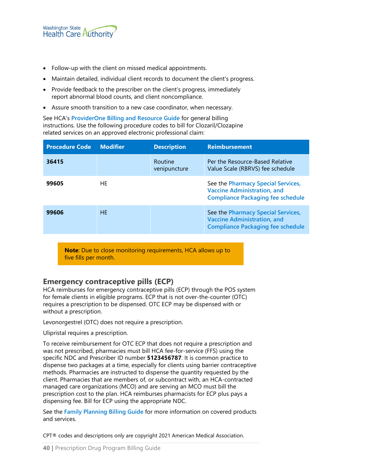- Follow-up with the client on missed medical appointments.
- Maintain detailed, individual client records to document the client's progress.
- Provide feedback to the prescriber on the client's progress, immediately report abnormal blood counts, and client noncompliance.
- Assure smooth transition to a new case coordinator, when necessary.

See HCA's **[ProviderOne Billing and Resource Guide](http://www.hca.wa.gov/node/311)** for general billing instructions. Use the following procedure codes to bill for Clozaril/Clozapine related services on an approved electronic professional claim:

| <b>Procedure Code</b> | <b>Modifier</b> | <b>Description</b>      | <b>Reimbursement</b>                                                                                                 |
|-----------------------|-----------------|-------------------------|----------------------------------------------------------------------------------------------------------------------|
| 36415                 |                 | Routine<br>venipuncture | Per the Resource-Based Relative<br>Value Scale (RBRVS) fee schedule                                                  |
| 99605                 | HF              |                         | See the Pharmacy Special Services,<br><b>Vaccine Administration, and</b><br><b>Compliance Packaging fee schedule</b> |
| 99606                 | HF              |                         | See the Pharmacy Special Services,<br><b>Vaccine Administration, and</b><br><b>Compliance Packaging fee schedule</b> |

**Note**: Due to close monitoring requirements, HCA allows up to five fills per month.

#### **Emergency contraceptive pills (ECP)**

HCA reimburses for emergency contraceptive pills (ECP) through the POS system for female clients in eligible programs. ECP that is not over-the-counter (OTC) requires a prescription to be dispensed. OTC ECP may be dispensed with or without a prescription.

Levonorgestrel (OTC) does not require a prescription.

Ulipristal requires a prescription.

To receive reimbursement for OTC ECP that does not require a prescription and was not prescribed, pharmacies must bill HCA fee-for-service (FFS) using the specific NDC and Prescriber ID number **5123456787**. It is common practice to dispense two packages at a time, especially for clients using barrier contraceptive methods. Pharmacies are instructed to dispense the quantity requested by the client. Pharmacies that are members of, or subcontract with, an HCA-contracted managed care organizations (MCO) and are serving an MCO must bill the prescription cost to the plan. HCA reimburses pharmacists for ECP plus pays a dispensing fee. Bill for ECP using the appropriate NDC.

See the **[Family Planning Billing Guide](https://www.hca.wa.gov/node/301)** for more information on covered products and services.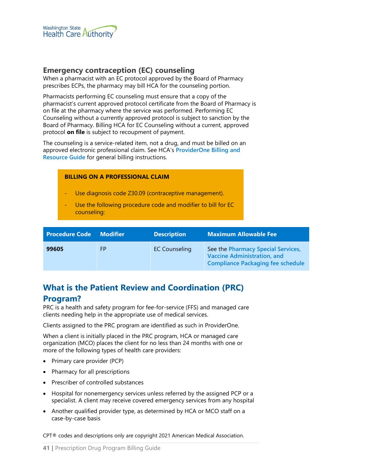

#### **Emergency contraception (EC) counseling**

When a pharmacist with an EC protocol approved by the Board of Pharmacy prescribes ECPs, the pharmacy may bill HCA for the counseling portion.

Pharmacists performing EC counseling must ensure that a copy of the pharmacist's current approved protocol certificate from the Board of Pharmacy is on file at the pharmacy where the service was performed. Performing EC Counseling without a currently approved protocol is subject to sanction by the Board of Pharmacy. Billing HCA for EC Counseling without a current, approved protocol **on file** is subject to recoupment of payment.

The counseling is a service-related item, not a drug, and must be billed on an approved electronic professional claim. See HCA's **[ProviderOne Billing and](http://www.hca.wa.gov/node/311)  [Resource Guide](http://www.hca.wa.gov/node/311)** for general billing instructions.

#### **BILLING ON A PROFESSIONAL CLAIM**

- Use diagnosis code Z30.09 (contraceptive management).
- Use the following procedure code and modifier to bill for EC counseling:

| <b>Procedure Code</b> | Modifier <b>Modifier</b> | <b>Description</b>   | Maximum Allowable Fee                                                                                                |
|-----------------------|--------------------------|----------------------|----------------------------------------------------------------------------------------------------------------------|
| 99605                 | FP                       | <b>EC Counseling</b> | See the Pharmacy Special Services,<br><b>Vaccine Administration, and</b><br><b>Compliance Packaging fee schedule</b> |

# **What is the Patient Review and Coordination (PRC)**

#### **Program?**

PRC is a health and safety program for fee-for-service (FFS) and managed care clients needing help in the appropriate use of medical services.

Clients assigned to the PRC program are identified as such in ProviderOne.

When a client is initially placed in the PRC program, HCA or managed care organization (MCO) places the client for no less than 24 months with one or more of the following types of health care providers:

- Primary care provider (PCP)
- Pharmacy for all prescriptions
- Prescriber of controlled substances
- Hospital for nonemergency services unless referred by the assigned PCP or a specialist. A client may receive covered emergency services from any hospital
- Another qualified provider type, as determined by HCA or MCO staff on a case-by-case basis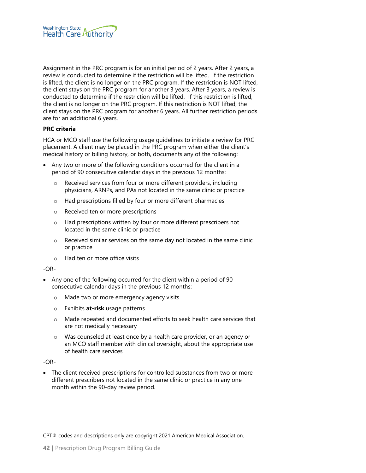

Assignment in the PRC program is for an initial period of 2 years. After 2 years, a review is conducted to determine if the restriction will be lifted. If the restriction is lifted, the client is no longer on the PRC program. If the restriction is NOT lifted, the client stays on the PRC program for another 3 years. After 3 years, a review is conducted to determine if the restriction will be lifted. If this restriction is lifted, the client is no longer on the PRC program. If this restriction is NOT lifted, the client stays on the PRC program for another 6 years. All further restriction periods are for an additional 6 years.

#### **PRC criteria**

HCA or MCO staff use the following usage guidelines to initiate a review for PRC placement. A client may be placed in the PRC program when either the client's medical history or billing history, or both, documents any of the following:

- Any two or more of the following conditions occurred for the client in a period of 90 consecutive calendar days in the previous 12 months:
	- o Received services from four or more different providers, including physicians, ARNPs, and PAs not located in the same clinic or practice
	- o Had prescriptions filled by four or more different pharmacies
	- o Received ten or more prescriptions
	- o Had prescriptions written by four or more different prescribers not located in the same clinic or practice
	- o Received similar services on the same day not located in the same clinic or practice
	- o Had ten or more office visits

-OR-

- Any one of the following occurred for the client within a period of 90 consecutive calendar days in the previous 12 months:
	- o Made two or more emergency agency visits
	- o Exhibits **at-risk** usage patterns
	- o Made repeated and documented efforts to seek health care services that are not medically necessary
	- o Was counseled at least once by a health care provider, or an agency or an MCO staff member with clinical oversight, about the appropriate use of health care services

-OR-

• The client received prescriptions for controlled substances from two or more different prescribers not located in the same clinic or practice in any one month within the 90-day review period.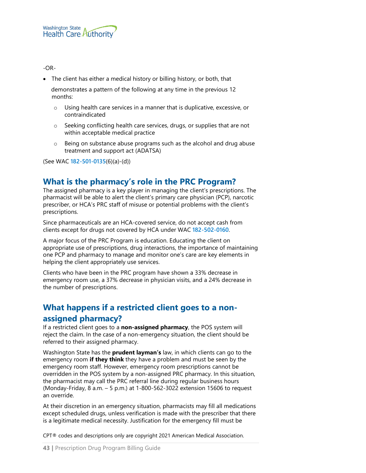#### -OR-

• The client has either a medical history or billing history, or both, that

 demonstrates a pattern of the following at any time in the previous 12 months:

- o Using health care services in a manner that is duplicative, excessive, or contraindicated
- o Seeking conflicting health care services, drugs, or supplies that are not within acceptable medical practice
- $\circ$  Being on substance abuse programs such as the alcohol and drug abuse treatment and support act (ADATSA)

(See WAC **[182-501-0135](http://app.leg.wa.gov/WAC/default.aspx?cite=182-501-0135)**(6)(a)-(d))

# **What is the pharmacy's role in the PRC Program?**

The assigned pharmacy is a key player in managing the client's prescriptions. The pharmacist will be able to alert the client's primary care physician (PCP), narcotic prescriber, or HCA's PRC staff of misuse or potential problems with the client's prescriptions.

Since pharmaceuticals are an HCA-covered service, do not accept cash from clients except for drugs not covered by HCA under WAC **[182-502-0160](http://app.leg.wa.gov/WAC/default.aspx?cite=182-502-0160)**.

A major focus of the PRC Program is education. Educating the client on appropriate use of prescriptions, drug interactions, the importance of maintaining one PCP and pharmacy to manage and monitor one's care are key elements in helping the client appropriately use services.

Clients who have been in the PRC program have shown a 33% decrease in emergency room use, a 37% decrease in physician visits, and a 24% decrease in the number of prescriptions.

# **What happens if a restricted client goes to a nonassigned pharmacy?**

If a restricted client goes to a **non-assigned pharmacy**, the POS system will reject the claim. In the case of a non-emergency situation, the client should be referred to their assigned pharmacy.

Washington State has the **prudent layman's** law, in which clients can go to the emergency room **if they think** they have a problem and must be seen by the emergency room staff. However, emergency room prescriptions cannot be overridden in the POS system by a non-assigned PRC pharmacy. In this situation, the pharmacist may call the PRC referral line during regular business hours (Monday-Friday, 8 a.m. – 5 p.m.) at 1-800-562-3022 extension 15606 to request an override.

At their discretion in an emergency situation, pharmacists may fill all medications except scheduled drugs, unless verification is made with the prescriber that there is a legitimate medical necessity. Justification for the emergency fill must be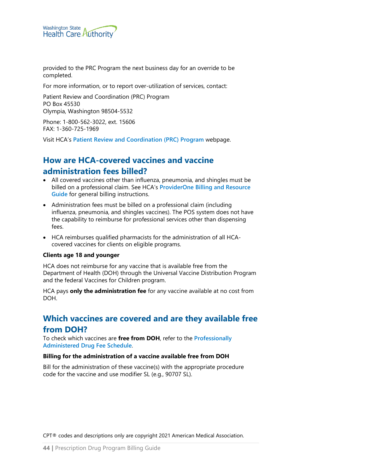

provided to the PRC Program the next business day for an override to be completed.

For more information, or to report over-utilization of services, contact:

Patient Review and Coordination (PRC) Program PO Box 45530 Olympia, Washington 98504-5532

Phone: 1-800-562-3022, ext. 15606 FAX: 1-360-725-1969

Visit HCA's **[Patient Review and Coordination \(PRC\) Program](http://www.hca.wa.gov/node/2681)** webpage.

# **How are HCA-covered vaccines and vaccine administration fees billed?**

- All covered vaccines other than influenza, pneumonia, and shingles must be billed on a professional claim. See HCA's **[ProviderOne Billing and Resource](http://www.hca.wa.gov/node/311)  [Guide](http://www.hca.wa.gov/node/311)** for general billing instructions.
- Administration fees must be billed on a professional claim (including influenza, pneumonia, and shingles vaccines). The POS system does not have the capability to reimburse for professional services other than dispensing fees.
- HCA reimburses qualified pharmacists for the administration of all HCAcovered vaccines for clients on eligible programs.

#### **Clients age 18 and younger**

HCA does not reimburse for any vaccine that is available free from the Department of Health (DOH) through the Universal Vaccine Distribution Program and the federal Vaccines for Children program.

HCA pays **only the administration fee** for any vaccine available at no cost from DOH.

# **Which vaccines are covered and are they available free from DOH?**

To check which vaccines are **free from DOH**, refer to the **[Professionally](https://www.hca.wa.gov/billers-providers-partners/prior-authorization-claims-and-billing/provider-billing-guides-and-fee-schedules#collapse_51_accordion)  [Administered Drug Fee Schedule](https://www.hca.wa.gov/billers-providers-partners/prior-authorization-claims-and-billing/provider-billing-guides-and-fee-schedules#collapse_51_accordion)**.

#### **Billing for the administration of a vaccine available free from DOH**

Bill for the administration of these vaccine(s) with the appropriate procedure code for the vaccine and use modifier SL (e.g., 90707 SL).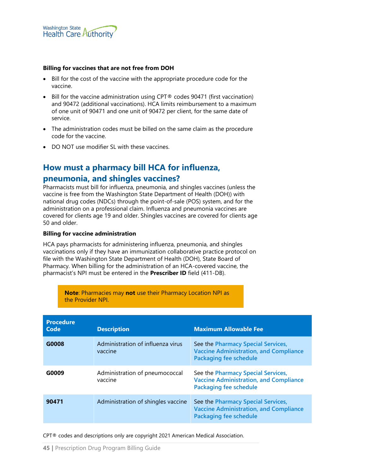

#### **Billing for vaccines that are not free from DOH**

- Bill for the cost of the vaccine with the appropriate procedure code for the vaccine.
- Bill for the vaccine administration using CPT® codes 90471 (first vaccination) and 90472 (additional vaccinations). HCA limits reimbursement to a maximum of one unit of 90471 and one unit of 90472 per client, for the same date of service.
- The administration codes must be billed on the same claim as the procedure code for the vaccine.
- DO NOT use modifier SL with these vaccines.

### **How must a pharmacy bill HCA for influenza,**

#### **pneumonia, and shingles vaccines?**

Pharmacists must bill for influenza, pneumonia, and shingles vaccines (unless the vaccine is free from the Washington State Department of Health (DOH)) with national drug codes (NDCs) through the point-of-sale (POS) system, and for the administration on a professional claim. Influenza and pneumonia vaccines are covered for clients age 19 and older. Shingles vaccines are covered for clients age 50 and older.

#### **Billing for vaccine administration**

HCA pays pharmacists for administering influenza, pneumonia, and shingles vaccinations only if they have an immunization collaborative practice protocol on file with the Washington State Department of Health (DOH), State Board of Pharmacy. When billing for the administration of an HCA-covered vaccine, the pharmacist's NPI must be entered in the **Prescriber ID** field (411-DB).

> **Note**: Pharmacies may **not** use their Pharmacy Location NPI as the Provider NPI.

| <b>Procedure</b><br>Code | <b>Description</b>                           | <b>Maximum Allowable Fee</b>                                                                                         |
|--------------------------|----------------------------------------------|----------------------------------------------------------------------------------------------------------------------|
| G0008                    | Administration of influenza virus<br>vaccine | See the Pharmacy Special Services,<br><b>Vaccine Administration, and Compliance</b><br><b>Packaging fee schedule</b> |
| G0009                    | Administration of pneumococcal<br>vaccine    | See the Pharmacy Special Services,<br><b>Vaccine Administration, and Compliance</b><br><b>Packaging fee schedule</b> |
| 90471                    | Administration of shingles vaccine           | See the Pharmacy Special Services,<br><b>Vaccine Administration, and Compliance</b><br><b>Packaging fee schedule</b> |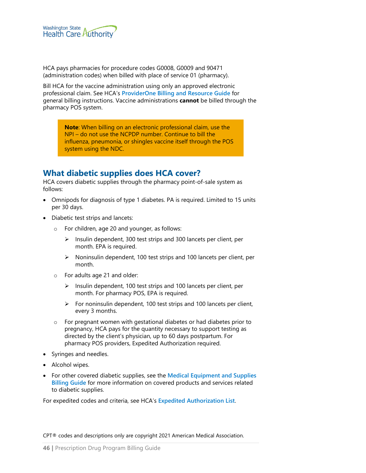

HCA pays pharmacies for procedure codes G0008, G0009 and 90471 (administration codes) when billed with place of service 01 (pharmacy).

Bill HCA for the vaccine administration using only an approved electronic professional claim. See HCA's **[ProviderOne Billing and Resource Guide](http://www.hca.wa.gov/node/311)** for general billing instructions. Vaccine administrations **cannot** be billed through the pharmacy POS system.

**Note**: When billing on an electronic professional claim, use the NPI – do not use the NCPDP number. Continue to bill the influenza, pneumonia, or shingles vaccine itself through the POS system using the NDC.

## **What diabetic supplies does HCA cover?**

HCA covers diabetic supplies through the pharmacy point-of-sale system as follows:

- Omnipods for diagnosis of type 1 diabetes. PA is required. Limited to 15 units per 30 days.
- Diabetic test strips and lancets:
	- o For children, age 20 and younger, as follows:
		- $\triangleright$  Insulin dependent, 300 test strips and 300 lancets per client, per month. EPA is required.
		- $\triangleright$  Noninsulin dependent, 100 test strips and 100 lancets per client, per month.
	- o For adults age 21 and older:
		- $\triangleright$  Insulin dependent, 100 test strips and 100 lancets per client, per month. For pharmacy POS, EPA is required.
		- $\triangleright$  For noninsulin dependent, 100 test strips and 100 lancets per client, every 3 months.
	- o For pregnant women with gestational diabetes or had diabetes prior to pregnancy, HCA pays for the quantity necessary to support testing as directed by the client's physician, up to 60 days postpartum. For pharmacy POS providers, Expedited Authorization required.
- Syringes and needles.
- Alcohol wipes.
- For other covered diabetic supplies, see the **[Medical Equipment and Supplies](https://www.hca.wa.gov/node/301)  [Billing Guide](https://www.hca.wa.gov/node/301)** for more information on covered products and services related to diabetic supplies.

For expedited codes and criteria, see HCA's **[Expedited Authorization List](https://www.hca.wa.gov/node/301)**.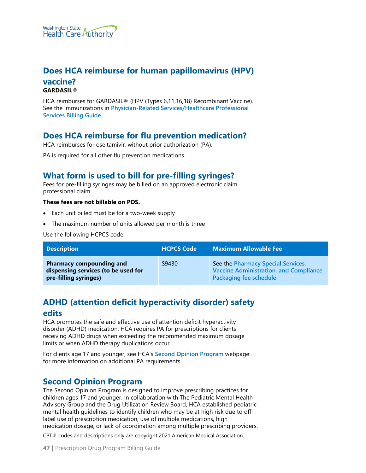

### **Does HCA reimburse for human papillomavirus (HPV) vaccine? GARDASIL**®

HCA reimburses for GARDASIL® (HPV (Types 6,11,16,18) Recombinant Vaccine). See the Immunizations in **[Physician-Related Services/Healthcare Professional](http://www.hca.wa.gov/node/301)  [Services Billing Guide](http://www.hca.wa.gov/node/301)**.

## **Does HCA reimburse for flu prevention medication?**

HCA reimburses for oseltamivir, without prior authorization (PA).

PA is required for all other flu prevention medications.

## **What form is used to bill for pre-filling syringes?**

Fees for pre-filling syringes may be billed on an approved electronic claim professional claim.

#### **These fees are not billable on POS.**

- Each unit billed must be for a two-week supply
- The maximum number of units allowed per month is three

Use the following HCPCS code:

| <b>Description</b>                                                                              | <b>HCPCS Code</b> | <b>Maximum Allowable Fee</b>                                                                                  |
|-------------------------------------------------------------------------------------------------|-------------------|---------------------------------------------------------------------------------------------------------------|
| <b>Pharmacy compounding and</b><br>dispensing services (to be used for<br>pre-filling syringes) | S9430             | See the Pharmacy Special Services,<br><b>Vaccine Administration, and Compliance</b><br>Packaging fee schedule |

# **ADHD (attention deficit hyperactivity disorder) safety**

#### **edits**

HCA promotes the safe and effective use of attention deficit hyperactivity disorder (ADHD) medication. HCA requires PA for prescriptions for clients receiving ADHD drugs when exceeding the recommended maximum dosage limits or when ADHD therapy duplications occur.

For clients age 17 and younger, see HCA's **[Second Opinion Program](https://www.hca.wa.gov/billers-providers-partners/programs-and-services/apple-health-second-opinion-program)** webpage for more information on additional PA requirements.

## **Second Opinion Program**

The Second Opinion Program is designed to improve prescribing practices for children ages 17 and younger. In collaboration with The Pediatric Mental Health Advisory Group and the Drug Utilization Review Board, HCA established pediatric mental health guidelines to identify children who may be at high risk due to offlabel use of prescription medication, use of multiple medications, high medication dosage, or lack of coordination among multiple prescribing providers.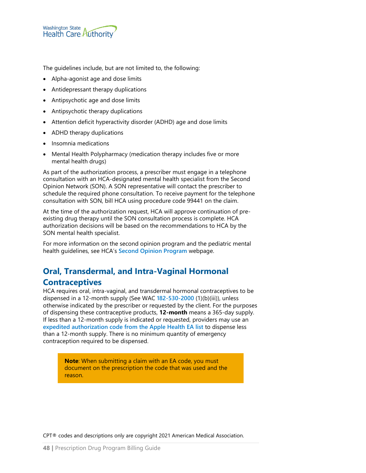

The guidelines include, but are not limited to, the following:

- Alpha-agonist age and dose limits
- Antidepressant therapy duplications
- Antipsychotic age and dose limits
- Antipsychotic therapy duplications
- Attention deficit hyperactivity disorder (ADHD) age and dose limits
- ADHD therapy duplications
- Insomnia medications
- Mental Health Polypharmacy (medication therapy includes five or more mental health drugs)

As part of the authorization process, a prescriber must engage in a telephone consultation with an HCA-designated mental health specialist from the Second Opinion Network (SON). A SON representative will contact the prescriber to schedule the required phone consultation. To receive payment for the telephone consultation with SON, bill HCA using procedure code 99441 on the claim.

At the time of the authorization request, HCA will approve continuation of preexisting drug therapy until the SON consultation process is complete. HCA authorization decisions will be based on the recommendations to HCA by the SON mental health specialist.

For more information on the second opinion program and the pediatric mental health guidelines, see HCA's **[Second Opinion Program](https://www.hca.wa.gov/billers-providers-partners/programs-and-services/apple-health-second-opinion-program)** webpage.

# **Oral, Transdermal, and Intra-Vaginal Hormonal**

## **Contraceptives**

HCA requires oral, intra-vaginal, and transdermal hormonal contraceptives to be dispensed in a 12-month supply (See WAC **[182-530-2000](http://app.leg.wa.gov/WAC/default.aspx?cite=182-530-2000)** (1)(b)(iii)), unless otherwise indicated by the prescriber or requested by the client. For the purposes of dispensing these contraceptive products, **12-month** means a 365-day supply. If less than a 12-month supply is indicated or requested, providers may use an **[expedited authorization code from the Apple Health EA list](https://www.hca.wa.gov/node/301#collapse_49_accordion)** to dispense less than a 12-month supply. There is no minimum quantity of emergency contraception required to be dispensed.

**Note**: When submitting a claim with an EA code, you must document on the prescription the code that was used and the reason.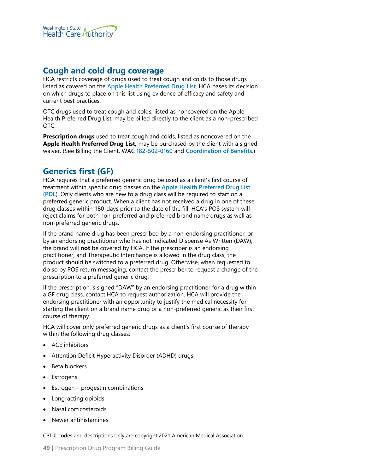

### **Cough and cold drug coverage**

HCA restricts coverage of drugs used to treat cough and colds to those drugs listed as covered on the **[Apple Health Preferred Drug List](https://www.hca.wa.gov/billers-providers-partners/programs-and-services/apple-health-preferred-drug-list-pdl)**. HCA bases its decision on which drugs to place on this list using evidence of efficacy and safety and current best practices.

OTC drugs used to treat cough and colds, listed as noncovered on the Apple Health Preferred Drug List, may be billed directly to the client as a non-prescribed OTC.

**Prescription drugs** used to treat cough and colds, listed as noncovered on the **Apple Health Preferred Drug List,** may be purchased by the client with a signed waiver. (See Billing the Client, WAC **[182-502-0160](http://app.leg.wa.gov/WAC/default.aspx?cite=182-502-0160)** and **[Coordination of Benefits](#page-85-0)**.)

## **Generics first (GF)**

HCA requires that a preferred generic drug be used as a client's first course of treatment within specific drug classes on the **[Apple Health Preferred Drug List](https://www.hca.wa.gov/billers-providers/programs-and-services/apple-health-preferred-drug-list-pdl)  [\(PDL](https://www.hca.wa.gov/billers-providers/programs-and-services/apple-health-preferred-drug-list-pdl)**). Only clients who are new to a drug class will be required to start on a preferred generic product. When a client has not received a drug in one of these drug classes within 180-days prior to the date of the fill, HCA's POS system will reject claims for both non-preferred and preferred brand name drugs as well as non-preferred generic drugs.

If the brand name drug has been prescribed by a non-endorsing practitioner, or by an endorsing practitioner who has not indicated Dispense As Written (DAW), the brand will **not** be covered by HCA. If the prescriber is an endorsing practitioner, and Therapeutic Interchange is allowed in the drug class, the product should be switched to a preferred drug. Otherwise, when requested to do so by POS return messaging, contact the prescriber to request a change of the prescription to a preferred generic drug.

If the prescription is signed "DAW" by an endorsing practitioner for a drug within a GF drug class, contact HCA to request authorization. HCA will provide the endorsing practitioner with an opportunity to justify the medical necessity for starting the client on a brand name drug or a non-preferred generic as their first course of therapy.

HCA will cover only preferred generic drugs as a client's first course of therapy within the following drug classes:

- ACE inhibitors
- Attention Deficit Hyperactivity Disorder (ADHD) drugs
- Beta blockers
- **Estrogens**
- $Estrogen$  progestin combinations
- Long-acting opioids
- Nasal corticosteroids
- Newer antihistamines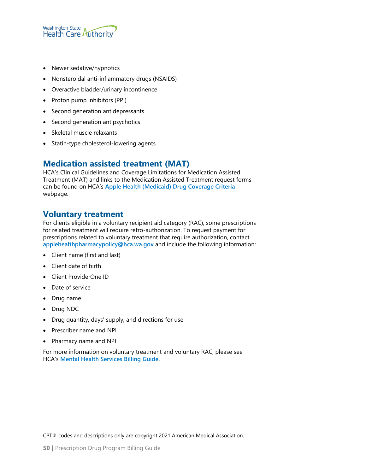

- Newer sedative/hypnotics
- Nonsteroidal anti-inflammatory drugs (NSAIDS)
- Overactive bladder/urinary incontinence
- Proton pump inhibitors (PPI)
- Second generation antidepressants
- Second generation antipsychotics
- Skeletal muscle relaxants
- Statin-type cholesterol-lowering agents

## **Medication assisted treatment (MAT)**

HCA's Clinical Guidelines and Coverage Limitations for Medication Assisted Treatment (MAT) and links to the Medication Assisted Treatment request forms can be found on HCA's **[Apple Health \(Medicaid\) Drug Coverage Criteria](https://www.hca.wa.gov/billers-providers/programs-and-services/apple-health-medicaid-drug-coverage-criteria)** webpage.

#### **Voluntary treatment**

For clients eligible in a voluntary recipient aid category (RAC), some prescriptions for related treatment will require retro-authorization. To request payment for prescriptions related to voluntary treatment that require authorization, contact **[applehealthpharmacypolicy@hca.wa.gov](mailto:applehealthpharmacypolicy@hca.wa.gov)** and include the following information:

- Client name (first and last)
- Client date of birth
- Client ProviderOne ID
- Date of service
- Drug name
- Drug NDC
- Drug quantity, days' supply, and directions for use
- Prescriber name and NPI
- Pharmacy name and NPI

For more information on voluntary treatment and voluntary RAC, please see HCA's **[Mental Health Services Billing Guide](https://www.hca.wa.gov/node/301)**.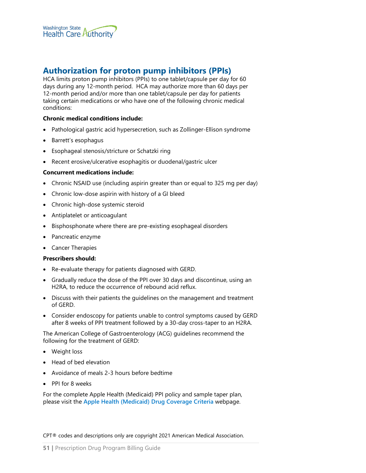

## **Authorization for proton pump inhibitors (PPIs)**

HCA limits proton pump inhibitors (PPIs) to one tablet/capsule per day for 60 days during any 12-month period. HCA may authorize more than 60 days per 12-month period and/or more than one tablet/capsule per day for patients taking certain medications or who have one of the following chronic medical conditions:

#### **Chronic medical conditions include:**

- Pathological gastric acid hypersecretion, such as Zollinger-Ellison syndrome
- Barrett's esophagus
- Esophageal stenosis/stricture or Schatzki ring
- Recent erosive/ulcerative esophagitis or duodenal/gastric ulcer

#### **Concurrent medications include:**

- Chronic NSAID use (including aspirin greater than or equal to 325 mg per day)
- Chronic low-dose aspirin with history of a GI bleed
- Chronic high-dose systemic steroid
- Antiplatelet or anticoagulant
- Bisphosphonate where there are pre-existing esophageal disorders
- Pancreatic enzyme
- Cancer Therapies

#### **Prescribers should:**

- Re-evaluate therapy for patients diagnosed with GERD.
- Gradually reduce the dose of the PPI over 30 days and discontinue, using an H2RA, to reduce the occurrence of rebound acid reflux.
- Discuss with their patients the guidelines on the management and treatment of GERD.
- Consider endoscopy for patients unable to control symptoms caused by GERD after 8 weeks of PPI treatment followed by a 30-day cross-taper to an H2RA.

The American College of Gastroenterology (ACG) guidelines recommend the following for the treatment of GERD:

- Weight loss
- Head of bed elevation
- Avoidance of meals 2-3 hours before bedtime
- PPI for 8 weeks

For the complete Apple Health (Medicaid) PPI policy and sample taper plan, please visit the **[Apple Health \(Medicaid\) Drug Coverage Criteria](https://www.hca.wa.gov/billers-providers/programs-and-services/apple-health-medicaid-drug-coverage-criteria)** webpage.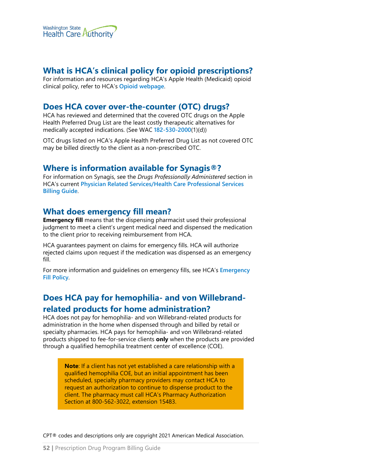

## **What is HCA's clinical policy for opioid prescriptions?**

For information and resources regarding HCA's Apple Health (Medicaid) opioid clinical policy, refer to HCA's **[Opioid webpage](https://www.hca.wa.gov/billers-providers/programs-and-services/opioids)**.

#### **Does HCA cover over-the-counter (OTC) drugs?**

HCA has reviewed and determined that the covered OTC drugs on the Apple Health Preferred Drug List are the least costly therapeutic alternatives for medically accepted indications. (See WAC **[182-530-2000](http://app.leg.wa.gov/WAC/default.aspx?cite=182-530-2000)**(1)(d))

OTC drugs listed on HCA's Apple Health Preferred Drug List as not covered OTC may be billed directly to the client as a non-prescribed OTC.

#### **Where is information available for Synagis®?**

For information on Synagis, see the *Drugs Professionally Administered* section in HCA's current **[Physician Related Services/Health Care](http://www.hca.wa.gov/node/301) Professional Services [Billing Guide](http://www.hca.wa.gov/node/301)**.

#### **What does emergency fill mean?**

**Emergency fill** means that the dispensing pharmacist used their professional judgment to meet a client's urgent medical need and dispensed the medication to the client prior to receiving reimbursement from HCA.

HCA guarantees payment on claims for emergency fills. HCA will authorize rejected claims upon request if the medication was dispensed as an emergency fill.

For more information and guidelines on emergency fills, see HCA's **[Emergency](https://www.hca.wa.gov/assets/billers-and-providers/emergency_fill_policy.pdf)  [Fill Policy](https://www.hca.wa.gov/assets/billers-and-providers/emergency_fill_policy.pdf)**.

# **Does HCA pay for hemophilia- and von Willebrandrelated products for home administration?**

HCA does not pay for hemophilia- and von Willebrand-related products for administration in the home when dispensed through and billed by retail or specialty pharmacies. HCA pays for hemophilia- and von Willebrand-related products shipped to fee-for-service clients **only** when the products are provided through a qualified hemophilia treatment center of excellence (COE).

> **Note**: If a client has not yet established a care relationship with a qualified hemophilia COE, but an initial appointment has been scheduled, specialty pharmacy providers may contact HCA to request an authorization to continue to dispense product to the client. The pharmacy must call HCA's Pharmacy Authorization Section at 800-562-3022, extension 15483.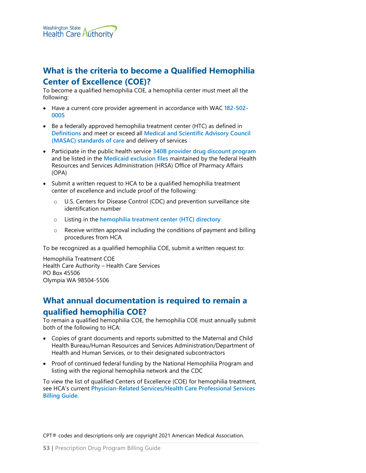

# **What is the criteria to become a Qualified Hemophilia Center of Excellence (COE)?**

To become a qualified hemophilia COE, a hemophilia center must meet all the following:

- Have a current core provider agreement in accordance with WAC **[182-502-](http://app.leg.wa.gov/wac/default.aspx?cite=182-502-0005) [0005](http://app.leg.wa.gov/wac/default.aspx?cite=182-502-0005)**
- Be a federally approved hemophilia treatment center (HTC) as defined in **[Definitions](#page-11-0)** and meet or exceed all **[Medical and Scientific Advisory Council](http://www.hemophilia.org/NHFWeb/MainPgs/MainNHF.aspx?menuid=57&contentid=220)  [\(MASAC\) standards of care](http://www.hemophilia.org/NHFWeb/MainPgs/MainNHF.aspx?menuid=57&contentid=220)** and delivery of services
- Participate in the public health service **[340B provider drug discount program](http://www.hrsa.gov/opa/index.html)** and be listed in the **[Medicaid exclusion files](http://www.hrsa.gov/opa/programrequirements/medicaidexclusion/index.html)** maintained by the federal Health Resources and Services Administration (HRSA) Office of Pharmacy Affairs (OPA)
- Submit a written request to HCA to be a qualified hemophilia treatment center of excellence and include proof of the following:
	- o U.S. Centers for Disease Control (CDC) and prevention surveillance site identification number
	- o Listing in the **[hemophilia treatment center \(HTC\) directory](https://dbdgateway.cdc.gov/HTCDirSearch.aspx#:%7E:text=Hemophilia%20Treatment%20Center%20%28HTC%29%20Directory%20CDC%20supports%20and,are%20part%20of%20the%20federally%20funded%20HTC%20network)**
	- o Receive written approval including the conditions of payment and billing procedures from HCA

To be recognized as a qualified hemophilia COE, submit a written request to:

Hemophilia Treatment COE Health Care Authority – Health Care Services PO Box 45506 Olympia WA 98504-5506

# **What annual documentation is required to remain a qualified hemophilia COE?**

To remain a qualified hemophilia COE, the hemophilia COE must annually submit both of the following to HCA:

- Copies of grant documents and reports submitted to the Maternal and Child Health Bureau/Human Resources and Services Administration/Department of Health and Human Services, or to their designated subcontractors
- Proof of continued federal funding by the National Hemophilia Program and listing with the regional hemophilia network and the CDC

To view the list of qualified Centers of Excellence (COE) for hemophilia treatment, see HCA's current **[Physician-Related Services/Health Care Professional Services](https://www.hca.wa.gov/node/301)  [Billing Guide](https://www.hca.wa.gov/node/301)**.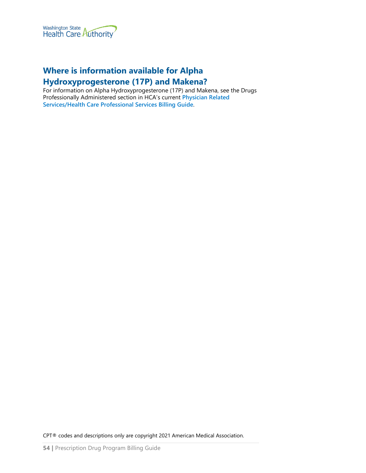

# **Where is information available for Alpha**

### **Hydroxyprogesterone (17P) and Makena?**

For information on Alpha Hydroxyprogesterone (17P) and Makena, see the Drugs Professionally Administered section in HCA's current **[Physician Related](https://www.hca.wa.gov/node/301)  [Services/Health Care Professional Services Billing Guide](https://www.hca.wa.gov/node/301)**.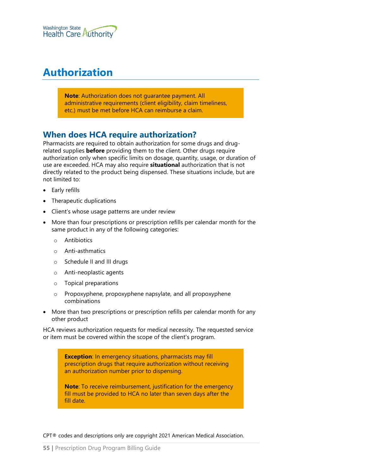

# <span id="page-54-0"></span>**Authorization**

**Note**: Authorization does not guarantee payment. All administrative requirements (client eligibility, claim timeliness, etc.) must be met before HCA can reimburse a claim.

## **When does HCA require authorization?**

Pharmacists are required to obtain authorization for some drugs and drugrelated supplies **before** providing them to the client. Other drugs require authorization only when specific limits on dosage, quantity, usage, or duration of use are exceeded. HCA may also require **situational** authorization that is not directly related to the product being dispensed. These situations include, but are not limited to:

- Early refills
- Therapeutic duplications
- Client's whose usage patterns are under review
- More than four prescriptions or prescription refills per calendar month for the same product in any of the following categories:
	- o Antibiotics
	- o Anti-asthmatics
	- o Schedule II and III drugs
	- o Anti-neoplastic agents
	- o Topical preparations
	- o Propoxyphene, propoxyphene napsylate, and all propoxyphene combinations
- More than two prescriptions or prescription refills per calendar month for any other product

HCA reviews authorization requests for medical necessity. The requested service or item must be covered within the scope of the client's program.

> **Exception:** In emergency situations, pharmacists may fill prescription drugs that require authorization without receiving an authorization number prior to dispensing.

**Note**: To receive reimbursement, justification for the emergency fill must be provided to HCA no later than seven days after the fill date.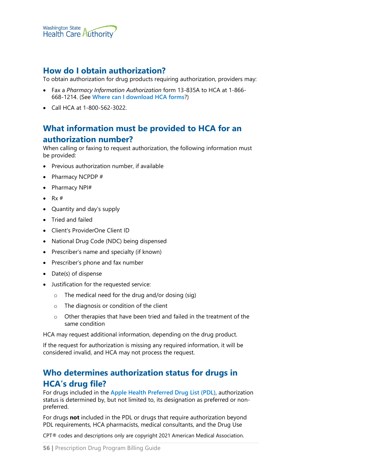

## **How do I obtain authorization?**

To obtain authorization for drug products requiring authorization, providers may:

- Fax a *Pharmacy Information Authorization* form 13-835A to HCA at 1-866- 668-1214. (See **[Where can I download HCA forms](#page-1-0)**?)
- Call HCA at 1-800-562-3022.

# **What information must be provided to HCA for an**

#### **authorization number?**

When calling or faxing to request authorization, the following information must be provided:

- Previous authorization number, if available
- Pharmacy NCPDP #
- Pharmacy NPI#
- $Rx#$
- Quantity and day's supply
- Tried and failed
- Client's ProviderOne Client ID
- National Drug Code (NDC) being dispensed
- Prescriber's name and specialty (if known)
- Prescriber's phone and fax number
- Date(s) of dispense
- Justification for the requested service:
	- $\circ$  The medical need for the drug and/or dosing (sig)
	- o The diagnosis or condition of the client
	- o Other therapies that have been tried and failed in the treatment of the same condition

HCA may request additional information, depending on the drug product.

If the request for authorization is missing any required information, it will be considered invalid, and HCA may not process the request.

# **Who determines authorization status for drugs in HCA's drug file?**

For drugs included in the **[Apple Health Preferred Drug List \(PDL\)](https://www.hca.wa.gov/billers-providers-partners/programs-and-services/apple-health-preferred-drug-list-pdl)**, authorization status is determined by, but not limited to, its designation as preferred or nonpreferred.

For drugs **not** included in the PDL or drugs that require authorization beyond PDL requirements, HCA pharmacists, medical consultants, and the Drug Use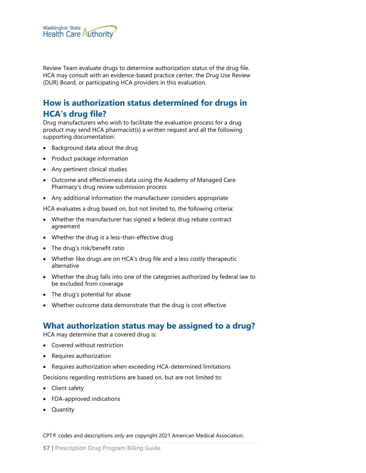

Review Team evaluate drugs to determine authorization status of the drug file. HCA may consult with an evidence-based practice center, the Drug Use Review (DUR) Board, or participating HCA providers in this evaluation.

# **How is authorization status determined for drugs in HCA's drug file?**

Drug manufacturers who wish to facilitate the evaluation process for a drug product may send HCA pharmacist(s) a written request and all the following supporting documentation:

- Background data about the drug
- Product package information
- Any pertinent clinical studies
- Outcome and effectiveness data using the Academy of Managed Care Pharmacy's drug review submission process
- Any additional information the manufacturer considers appropriate

HCA evaluates a drug based on, but not limited to, the following criteria:

- Whether the manufacturer has signed a federal drug rebate contract agreement
- Whether the drug is a less-than-effective drug
- The drug's risk/benefit ratio
- Whether like drugs are on HCA's drug file and a less costly therapeutic alternative
- Whether the drug falls into one of the categories authorized by federal law to be excluded from coverage
- The drug's potential for abuse
- Whether outcome data demonstrate that the drug is cost effective

#### **What authorization status may be assigned to a drug?**

HCA may determine that a covered drug is:

- Covered without restriction
- Requires authorization
- Requires authorization when exceeding HCA-determined limitations

Decisions regarding restrictions are based on, but are not limited to:

- Client safety
- FDA-approved indications
- Quantity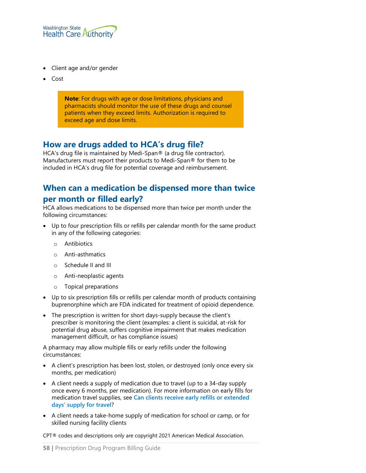

- Client age and/or gender
- Cost

**Note**: For drugs with age or dose limitations, physicians and pharmacists should monitor the use of these drugs and counsel patients when they exceed limits. Authorization is required to exceed age and dose limits.

## **How are drugs added to HCA's drug file?**

HCA's drug file is maintained by Medi-Span® (a drug file contractor). Manufacturers must report their products to Medi-Span® for them to be included in HCA's drug file for potential coverage and reimbursement.

# **When can a medication be dispensed more than twice per month or filled early?**

HCA allows medications to be dispensed more than twice per month under the following circumstances:

- Up to four prescription fills or refills per calendar month for the same product in any of the following categories:
	- o Antibiotics
	- o Anti-asthmatics
	- o Schedule II and III
	- o Anti-neoplastic agents
	- o Topical preparations
- Up to six prescription fills or refills per calendar month of products containing buprenorphine which are FDA indicated for treatment of opioid dependence.
- The prescription is written for short days-supply because the client's prescriber is monitoring the client (examples: a client is suicidal, at-risk for potential drug abuse, suffers cognitive impairment that makes medication management difficult, or has compliance issues)

A pharmacy may allow multiple fills or early refills under the following circumstances:

- A client's prescription has been lost, stolen, or destroyed (only once every six months, per medication)
- A client needs a supply of medication due to travel (up to a 34-day supply once every 6 months, per medication). For more information on early fills for medication travel supplies, see **[Can clients receive early refills or extended](#page-58-0)  [days' supply for travel](#page-58-0)**?
- A client needs a take-home supply of medication for school or camp, or for skilled nursing facility clients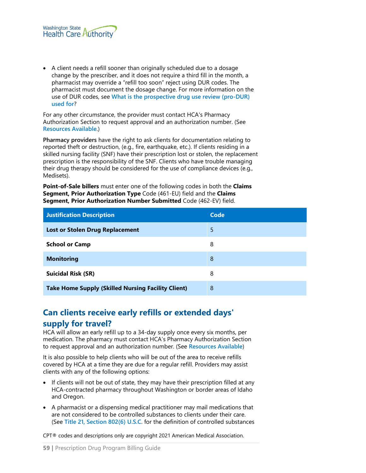

• A client needs a refill sooner than originally scheduled due to a dosage change by the prescriber, and it does not require a third fill in the month, a pharmacist may override a "refill too soon" reject using DUR codes. The pharmacist must document the dosage change. For more information on the use of DUR codes, see **[What is the prospective drug use review \(pro-DUR\)](#page-69-0)  [used for](#page-69-0)**?

For any other circumstance, the provider must contact HCA's Pharmacy Authorization Section to request approval and an authorization number. (See **[Resources Available](#page-8-0)**.)

**Pharmacy providers** have the right to ask clients for documentation relating to reported theft or destruction, (e.g., fire, earthquake, etc.). If clients residing in a skilled nursing facility (SNF) have their prescription lost or stolen, the replacement prescription is the responsibility of the SNF. Clients who have trouble managing their drug therapy should be considered for the use of compliance devices (e.g., Medisets).

**Point-of-Sale billers** must enter one of the following codes in both the **Claims Segment, Prior Authorization Type** Code (461-EU) field and the **Claims Segment, Prior Authorization Number Submitted** Code (462-EV) field.

| <b>Justification Description</b>                          | Code |
|-----------------------------------------------------------|------|
| <b>Lost or Stolen Drug Replacement</b>                    | 5    |
| <b>School or Camp</b>                                     | 8    |
| <b>Monitoring</b>                                         | 8    |
| <b>Suicidal Risk (SR)</b>                                 | 8    |
| <b>Take Home Supply (Skilled Nursing Facility Client)</b> | 8    |

# <span id="page-58-0"></span>**Can clients receive early refills or extended days'**

#### **supply for travel?**

HCA will allow an early refill up to a 34-day supply once every six months, per medication. The pharmacy must contact HCA's Pharmacy Authorization Section to request approval and an authorization number. (See **[Resources Available](#page-8-0)**)

It is also possible to help clients who will be out of the area to receive refills covered by HCA at a time they are due for a regular refill. Providers may assist clients with any of the following options:

- If clients will not be out of state, they may have their prescription filled at any HCA-contracted pharmacy throughout Washington or border areas of Idaho and Oregon.
- A pharmacist or a dispensing medical practitioner may mail medications that are not considered to be controlled substances to clients under their care. (See **[Title 21, Section 802\(6\) U.S.C](https://www.law.cornell.edu/uscode/text/21/802)**. for the definition of controlled substances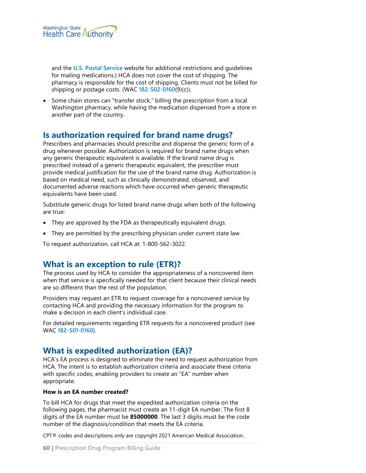

and the **[U.S. Postal Service](https://www.usps.com/ship/online-shipping.htm)** website for additional restrictions and guidelines for mailing medications.) HCA does not cover the cost of shipping. The pharmacy is responsible for the cost of shipping. Clients must not be billed for shipping or postage costs. (WAC **[182-502-0160](http://app.leg.wa.gov/wac/default.aspx?cite=182-502-0160)**(9)(c)).

• Some chain stores can "transfer stock," billing the prescription from a local Washington pharmacy, while having the medication dispensed from a store in another part of the country.

## **Is authorization required for brand name drugs?**

Prescribers and pharmacies should prescribe and dispense the generic form of a drug whenever possible. Authorization is required for brand name drugs when any generic therapeutic equivalent is available. If the brand name drug is prescribed instead of a generic therapeutic equivalent, the prescriber must provide medical justification for the use of the brand name drug. Authorization is based on medical need, such as clinically demonstrated, observed, and documented adverse reactions which have occurred when generic therapeutic equivalents have been used.

Substitute generic drugs for listed brand name drugs when both of the following are true:

- They are approved by the FDA as therapeutically equivalent drugs.
- They are permitted by the prescribing physician under current state law.

To request authorization, call HCA at: 1-800-562-3022.

## **What is an exception to rule (ETR)?**

The process used by HCA to consider the appropriateness of a noncovered item when that service is specifically needed for that client because their clinical needs are so different than the rest of the population.

Providers may request an ETR to request coverage for a noncovered service by contacting HCA and providing the necessary information for the program to make a decision in each client's individual case.

For detailed requirements regarding ETR requests for a noncovered product (see WAC **[182-501-0160](http://app.leg.wa.gov/WAC/default.aspx?cite=182-501-0160)**).

## **What is expedited authorization (EA)?**

HCA's EA process is designed to eliminate the need to request authorization from HCA. The intent is to establish authorization criteria and associate these criteria with specific codes, enabling providers to create an "EA" number when appropriate.

#### **How is an EA number created?**

To bill HCA for drugs that meet the expedited authorization criteria on the following pages, the pharmacist must create an 11-digit EA number. The first 8 digits of the EA number must be **85000000**. The last 3 digits must be the code number of the diagnosis/condition that meets the EA criteria.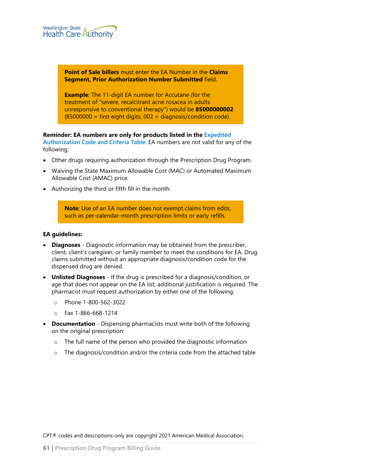

**Point of Sale billers** must enter the EA Number in the **Claims Segment, Prior Authorization Number Submitted** field.

**Example**: The 11-digit EA number for Accutane (for the treatment of "severe, recalcitrant acne rosacea in adults unresponsive to conventional therapy") would be **85000000002**  $(85000000)$  = first eight digits,  $002$  = diagnosis/condition code).

# **Reminder: EA numbers are only for products listed in the [Expedited](https://www.hca.wa.gov/billers-providers-partners/prior-authorization-claims-and-billing/provider-billing-guides-and-fee-schedules)**

**[Authorization Code and Criteria Table](https://www.hca.wa.gov/billers-providers-partners/prior-authorization-claims-and-billing/provider-billing-guides-and-fee-schedules)**. EA numbers are not valid for any of the following:

- Other drugs requiring authorization through the Prescription Drug Program.
- Waiving the State Maximum Allowable Cost (MAC) or Automated Maximum Allowable Cost (AMAC) price.
- Authorizing the third or fifth fill in the month.

**Note**: Use of an EA number does not exempt claims from edits, such as per-calendar-month prescription limits or early refills.

#### **EA guidelines:**

- **Diagnoses** Diagnostic information may be obtained from the prescriber, client, client's caregiver, or family member to meet the conditions for EA. Drug claims submitted without an appropriate diagnosis/condition code for the dispensed drug are denied.
- **Unlisted Diagnoses** If the drug is prescribed for a diagnosis/condition, or age that does not appear on the EA list, additional justification is required. The pharmacist must request authorization by either one of the following:
	- o Phone 1-800-562-3022
	- o Fax 1-866-668-1214
- **Documentation** Dispensing pharmacists must write both of the following on the original prescription:
	- o The full name of the person who provided the diagnostic information
	- o The diagnosis/condition and/or the criteria code from the attached table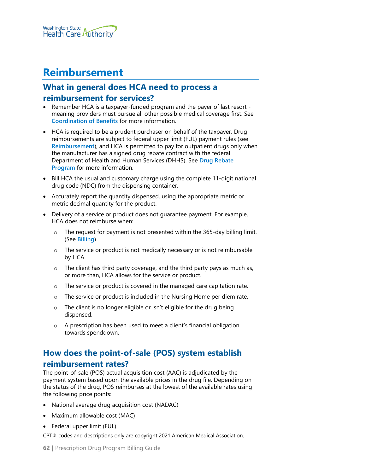

# <span id="page-61-0"></span>**Reimbursement**

## **What in general does HCA need to process a reimbursement for services?**

- Remember HCA is a taxpayer-funded program and the payer of last resort meaning providers must pursue all other possible medical coverage first. See **[Coordination of Benefits](#page-85-0)** for more information.
- HCA is required to be a prudent purchaser on behalf of the taxpayer. Drug reimbursements are subject to federal upper limit (FUL) payment rules (see **[Reimbursement](#page-61-0)**), and HCA is permitted to pay for outpatient drugs only when the manufacturer has a signed drug rebate contract with the federal Department of Health and Human Services (DHHS). See **[Drug Rebate](#page-64-0)  [Program](#page-64-0)** for more information.
- Bill HCA the usual and customary charge using the complete 11-digit national drug code (NDC) from the dispensing container.
- Accurately report the quantity dispensed, using the appropriate metric or metric decimal quantity for the product.
- Delivery of a service or product does not guarantee payment. For example, HCA does not reimburse when:
	- o The request for payment is not presented within the 365-day billing limit. (See **[Billing](#page-65-0)**)
	- o The service or product is not medically necessary or is not reimbursable by HCA.
	- $\circ$  The client has third party coverage, and the third party pays as much as, or more than, HCA allows for the service or product.
	- o The service or product is covered in the managed care capitation rate.
	- o The service or product is included in the Nursing Home per diem rate.
	- $\circ$  The client is no longer eligible or isn't eligible for the drug being dispensed.
	- o A prescription has been used to meet a client's financial obligation towards spenddown.

# **How does the point-of-sale (POS) system establish reimbursement rates?**

The point-of-sale (POS) actual acquisition cost (AAC) is adjudicated by the payment system based upon the available prices in the drug file. Depending on the status of the drug, POS reimburses at the lowest of the available rates using the following price points:

- National average drug acquisition cost (NADAC)
- Maximum allowable cost (MAC)
- Federal upper limit (FUL)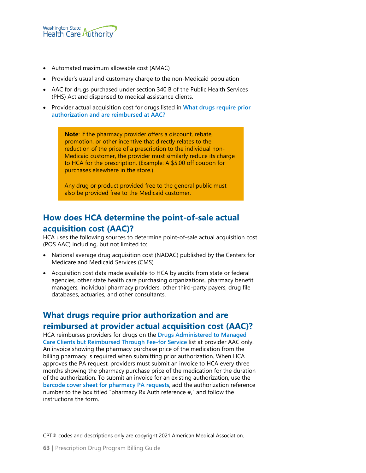

- Automated maximum allowable cost (AMAC)
- Provider's usual and customary charge to the non-Medicaid population
- AAC for drugs purchased under section 340 B of the Public Health Services (PHS) Act and dispensed to medical assistance clients.
- Provider actual acquisition cost for drugs listed in **[What drugs require prior](#page-62-0)  [authorization and are reimbursed at AAC?](#page-62-0)**

**Note**: If the pharmacy provider offers a discount, rebate, promotion, or other incentive that directly relates to the reduction of the price of a prescription to the individual non-Medicaid customer, the provider must similarly reduce its charge to HCA for the prescription. (Example: A \$5.00 off coupon for purchases elsewhere in the store.)

Any drug or product provided free to the general public must also be provided free to the Medicaid customer.

# **How does HCA determine the point-of-sale actual acquisition cost (AAC)?**

HCA uses the following sources to determine point-of-sale actual acquisition cost (POS AAC) including, but not limited to:

- National average drug acquisition cost (NADAC) published by the Centers for Medicare and Medicaid Services (CMS)
- Acquisition cost data made available to HCA by audits from state or federal agencies, other state health care purchasing organizations, pharmacy benefit managers, individual pharmacy providers, other third-party payers, drug file databases, actuaries, and other consultants.

# <span id="page-62-0"></span>**What drugs require prior authorization and are reimbursed at provider actual acquisition cost (AAC)?**

HCA reimburses providers for drugs on the **[Drugs Administered to Managed](https://www.hca.wa.gov/assets/billers-and-providers/MCO-admin-drugs-reimbursed-FFS.xlsx)  [Care Clients but Reimbursed Through Fee-for Service](https://www.hca.wa.gov/assets/billers-and-providers/MCO-admin-drugs-reimbursed-FFS.xlsx)** list at provider AAC only. An invoice showing the pharmacy purchase price of the medication from the billing pharmacy is required when submitting prior authorization. When HCA approves the PA request, providers must submit an invoice to HCA every three months showing the pharmacy purchase price of the medication for the duration of the authorization. To submit an invoice for an existing authorization, use the **[barcode cover sheet for pharmacy PA requests](https://www.hca.wa.gov/assets/billers-and-providers/42_pharmacy_pa_supporting_docs.pdf)**, add the authorization reference number to the box titled "pharmacy Rx Auth reference #," and follow the instructions the form.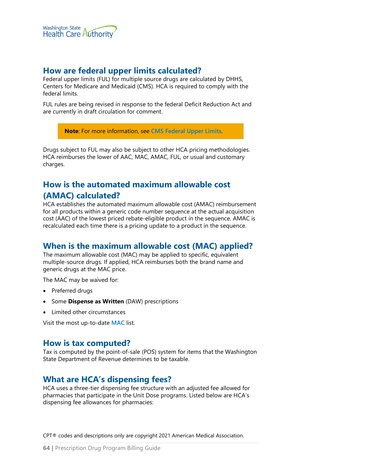

### **How are federal upper limits calculated?**

Federal upper limits (FUL) for multiple source drugs are calculated by DHHS, Centers for Medicare and Medicaid (CMS). HCA is required to comply with the federal limits.

FUL rules are being revised in response to the federal Deficit Reduction Act and are currently in draft circulation for comment.

**Note**: For more information, see **[CMS Federal Upper Limits](https://www.medicaid.gov/medicaid/prescription-drugs/federal-upper-limits/index.html)**.

Drugs subject to FUL may also be subject to other HCA pricing methodologies. HCA reimburses the lower of AAC, MAC, AMAC, FUL, or usual and customary charges.

## **How is the automated maximum allowable cost**

#### **(AMAC) calculated?**

HCA establishes the automated maximum allowable cost (AMAC) reimbursement for all products within a generic code number sequence at the actual acquisition cost (AAC) of the lowest priced rebate-eligible product in the sequence. AMAC is recalculated each time there is a pricing update to a product in the sequence.

## **When is the maximum allowable cost (MAC) applied?**

The maximum allowable cost (MAC) may be applied to specific, equivalent multiple-source drugs. If applied, HCA reimburses both the brand name and generic drugs at the MAC price.

The MAC may be waived for:

- Preferred drugs
- Some **Dispense as Written** (DAW) prescriptions
- Limited other circumstances

Visit the most up-to-date **[MAC](https://www.hca.wa.gov/search/site/smac%20list?section=%2A)** list.

#### **How is tax computed?**

Tax is computed by the point-of-sale (POS) system for items that the Washington State Department of Revenue determines to be taxable.

#### **What are HCA's dispensing fees?**

HCA uses a three-tier dispensing fee structure with an adjusted fee allowed for pharmacies that participate in the Unit Dose programs. Listed below are HCA's dispensing fee allowances for pharmacies: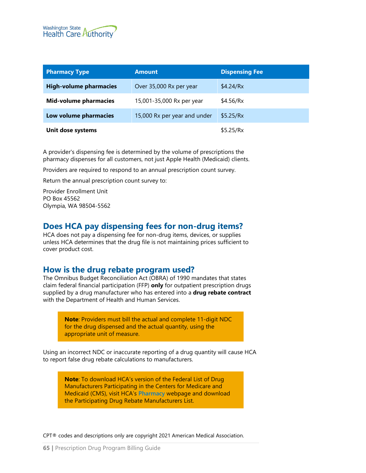

| <b>Pharmacy Type</b>          | <b>Amount</b>                | <b>Dispensing Fee</b> |
|-------------------------------|------------------------------|-----------------------|
| <b>High-volume pharmacies</b> | Over 35,000 Rx per year      | \$4.24/Rx             |
| <b>Mid-volume pharmacies</b>  | 15,001-35,000 Rx per year    | \$4.56/Rx             |
| Low volume pharmacies         | 15,000 Rx per year and under | \$5.25/Rx             |
| Unit dose systems             |                              | \$5.25/Rx             |

A provider's dispensing fee is determined by the volume of prescriptions the pharmacy dispenses for all customers, not just Apple Health (Medicaid) clients.

Providers are required to respond to an annual prescription count survey.

Return the annual prescription count survey to:

Provider Enrollment Unit PO Box 45562 Olympia, WA 98504-5562

#### **Does HCA pay dispensing fees for non-drug items?**

HCA does not pay a dispensing fee for non-drug items, devices, or supplies unless HCA determines that the drug file is not maintaining prices sufficient to cover product cost.

#### <span id="page-64-0"></span>**How is the drug rebate program used?**

The Omnibus Budget Reconciliation Act (OBRA) of 1990 mandates that states claim federal financial participation (FFP) **only** for outpatient prescription drugs supplied by a drug manufacturer who has entered into a **drug rebate contract** with the Department of Health and Human Services.

> **Note**: Providers must bill the actual and complete 11-digit NDC for the drug dispensed and the actual quantity, using the appropriate unit of measure.

Using an incorrect NDC or inaccurate reporting of a drug quantity will cause HCA to report false drug rebate calculations to manufacturers.

**Note**: To download HCA's version of the Federal List of Drug Manufacturers Participating in the Centers for Medicare and Medicaid (CMS), visit HCA's **[Pharmacy](https://www.hca.wa.gov/billers-providers/programs-and-services/pharmacy#Pharmacies)** webpage and download the Participating Drug Rebate Manufacturers List.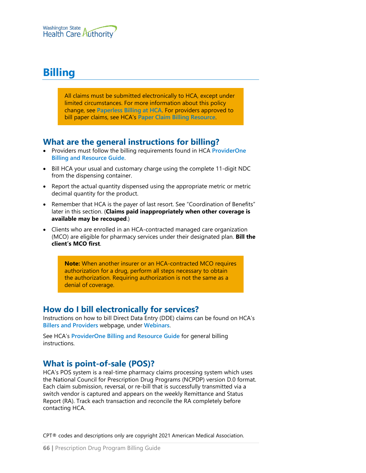# <span id="page-65-0"></span>**Billing**

All claims must be submitted electronically to HCA, except under limited circumstances. For more information about this policy change, see **[Paperless Billing at HCA](http://www.hca.wa.gov/billers-providers/providerone/providerone-billing-and-resource-guide#paperless-billing-at-hca)**. For providers approved to bill paper claims, see HCA's **[Paper Claim Billing Resource](http://www.hca.wa.gov/assets/billers-and-providers/paper-claim-billing-resource.pdf)**.

## **What are the general instructions for billing?**

- Providers must follow the billing requirements found in HCA **[ProviderOne](http://www.hca.wa.gov/node/311)  [Billing and Resource Guide](http://www.hca.wa.gov/node/311)**.
- Bill HCA your usual and customary charge using the complete 11-digit NDC from the dispensing container.
- Report the actual quantity dispensed using the appropriate metric or metric decimal quantity for the product.
- Remember that HCA is the payer of last resort. See "Coordination of Benefits" later in this section. (**Claims paid inappropriately when other coverage is available may be recouped**.)
- Clients who are enrolled in an HCA-contracted managed care organization (MCO) are eligible for pharmacy services under their designated plan. **Bill the client's MCO first**.

**Note:** When another insurer or an HCA-contracted MCO requires authorization for a drug, perform all steps necessary to obtain the authorization. Requiring authorization is not the same as a denial of coverage.

## **How do I bill electronically for services?**

Instructions on how to bill Direct Data Entry (DDE) claims can be found on HCA's **[Billers and Providers](http://hca.wa.gov/billers-providers)** webpage, under **[Webinars](http://www.hca.wa.gov/node/2386)**.

See HCA's **[ProviderOne Billing and Resource Guide](http://www.hca.wa.gov/node/311)** for general billing instructions.

# **What is point-of-sale (POS)?**

HCA's POS system is a real-time pharmacy claims processing system which uses the National Council for Prescription Drug Programs (NCPDP) version D.0 format. Each claim submission, reversal, or re-bill that is successfully transmitted via a switch vendor is captured and appears on the weekly Remittance and Status Report (RA). Track each transaction and reconcile the RA completely before contacting HCA.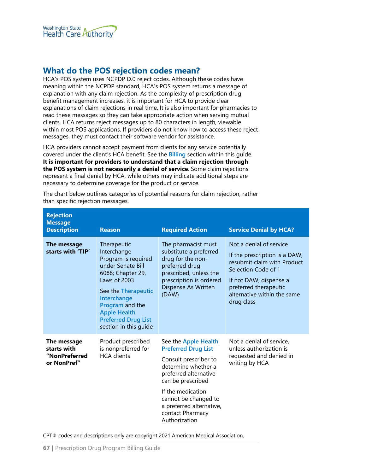

## **What do the POS rejection codes mean?**

HCA's POS system uses NCPDP D.0 reject codes. Although these codes have meaning within the NCPDP standard, HCA's POS system returns a message of explanation with any claim rejection. As the complexity of prescription drug benefit management increases, it is important for HCA to provide clear explanations of claim rejections in real time. It is also important for pharmacies to read these messages so they can take appropriate action when serving mutual clients. HCA returns reject messages up to 80 characters in length, viewable within most POS applications. If providers do not know how to access these reject messages, they must contact their software vendor for assistance.

HCA providers cannot accept payment from clients for any service potentially covered under the client's HCA benefit. See the **[Billing](#page-65-0)** section within this guide. **It is important for providers to understand that a claim rejection through the POS system is not necessarily a denial of service**. Some claim rejections represent a final denial by HCA, while others may indicate additional steps are necessary to determine coverage for the product or service.

| <b>Rejection</b><br><b>Message</b><br><b>Description</b>   | <b>Reason</b>                                                                                                                                                                                                                                      | <b>Required Action</b>                                                                                                                                                                                                                                         | <b>Service Denial by HCA?</b>                                                                                                                                                                                  |
|------------------------------------------------------------|----------------------------------------------------------------------------------------------------------------------------------------------------------------------------------------------------------------------------------------------------|----------------------------------------------------------------------------------------------------------------------------------------------------------------------------------------------------------------------------------------------------------------|----------------------------------------------------------------------------------------------------------------------------------------------------------------------------------------------------------------|
| The message<br>starts with 'TIP'                           | Therapeutic<br>Interchange<br>Program is required<br>under Senate Bill<br>6088; Chapter 29,<br>Laws of 2003<br>See the Therapeutic<br>Interchange<br>Program and the<br><b>Apple Health</b><br><b>Preferred Drug List</b><br>section in this guide | The pharmacist must<br>substitute a preferred<br>drug for the non-<br>preferred drug<br>prescribed, unless the<br>prescription is ordered<br>Dispense As Written<br>(DAW)                                                                                      | Not a denial of service<br>If the prescription is a DAW,<br>resubmit claim with Product<br>Selection Code of 1<br>If not DAW, dispense a<br>preferred therapeutic<br>alternative within the same<br>drug class |
| The message<br>starts with<br>"NonPreferred<br>or NonPref" | Product prescribed<br>is nonpreferred for<br><b>HCA</b> clients                                                                                                                                                                                    | See the Apple Health<br><b>Preferred Drug List</b><br>Consult prescriber to<br>determine whether a<br>preferred alternative<br>can be prescribed<br>If the medication<br>cannot be changed to<br>a preferred alternative,<br>contact Pharmacy<br>Authorization | Not a denial of service,<br>unless authorization is<br>requested and denied in<br>writing by HCA                                                                                                               |

The chart below outlines categories of potential reasons for claim rejection, rather than specific rejection messages.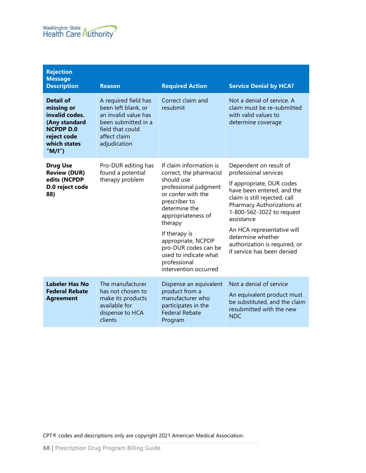

| <b>Rejection</b><br><b>Message</b><br><b>Description</b>                                                                           | <b>Reason</b>                                                                                                                                  | <b>Required Action</b>                                                                                                                                                                                                                                                                                              | <b>Service Denial by HCA?</b>                                                                                                                                                                                                                                                                                                          |
|------------------------------------------------------------------------------------------------------------------------------------|------------------------------------------------------------------------------------------------------------------------------------------------|---------------------------------------------------------------------------------------------------------------------------------------------------------------------------------------------------------------------------------------------------------------------------------------------------------------------|----------------------------------------------------------------------------------------------------------------------------------------------------------------------------------------------------------------------------------------------------------------------------------------------------------------------------------------|
| <b>Detail of</b><br>missing or<br>invalid codes.<br>(Any standard<br><b>NCPDP D.0</b><br>reject code<br>which states<br>" $M/I$ ") | A required field has<br>been left blank, or<br>an invalid value has<br>been submitted in a<br>field that could<br>affect claim<br>adjudication | Correct claim and<br>resubmit                                                                                                                                                                                                                                                                                       | Not a denial of service. A<br>claim must be re-submitted<br>with valid values to<br>determine coverage                                                                                                                                                                                                                                 |
| <b>Drug Use</b><br><b>Review (DUR)</b><br>edits (NCPDP<br>D.0 reject code<br>88)                                                   | Pro-DUR editing has<br>found a potential<br>therapy problem                                                                                    | If claim information is<br>correct, the pharmacist<br>should use<br>professional judgment<br>or confer with the<br>prescriber to<br>determine the<br>appropriateness of<br>therapy<br>If therapy is<br>appropriate, NCPDP<br>pro-DUR codes can be<br>used to indicate what<br>professional<br>intervention occurred | Dependent on result of<br>professional services<br>If appropriate, DUR codes<br>have been entered, and the<br>claim is still rejected, call<br>Pharmacy Authorizations at<br>1-800-562-3022 to request<br>assistance<br>An HCA representative will<br>determine whether<br>authorization is required, or<br>if service has been denied |
| <b>Labeler Has No</b><br><b>Federal Rebate</b><br><b>Agreement</b>                                                                 | The manufacturer<br>has not chosen to<br>make its products<br>available for<br>dispense to HCA<br>clients                                      | Dispense an equivalent<br>product from a<br>manufacturer who<br>participates in the<br><b>Federal Rebate</b><br>Program                                                                                                                                                                                             | Not a denial of service<br>An equivalent product must<br>be substituted, and the claim<br>resubmitted with the new<br><b>NDC</b>                                                                                                                                                                                                       |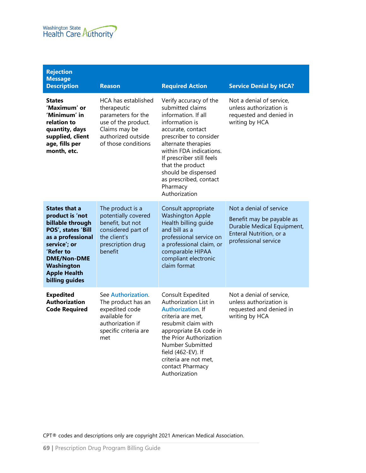

| <b>Rejection</b><br><b>Message</b><br><b>Description</b>                                                                                                                                                         | <b>Reason</b>                                                                                                                                 | <b>Required Action</b>                                                                                                                                                                                                                                                                                              | <b>Service Denial by HCA?</b>                                                                                                         |
|------------------------------------------------------------------------------------------------------------------------------------------------------------------------------------------------------------------|-----------------------------------------------------------------------------------------------------------------------------------------------|---------------------------------------------------------------------------------------------------------------------------------------------------------------------------------------------------------------------------------------------------------------------------------------------------------------------|---------------------------------------------------------------------------------------------------------------------------------------|
| <b>States</b><br>'Maximum' or<br>'Minimum' in<br>relation to<br>quantity, days<br>supplied, client<br>age, fills per<br>month, etc.                                                                              | HCA has established<br>therapeutic<br>parameters for the<br>use of the product.<br>Claims may be<br>authorized outside<br>of those conditions | Verify accuracy of the<br>submitted claims<br>information. If all<br>information is<br>accurate, contact<br>prescriber to consider<br>alternate therapies<br>within FDA indications.<br>If prescriber still feels<br>that the product<br>should be dispensed<br>as prescribed, contact<br>Pharmacy<br>Authorization | Not a denial of service,<br>unless authorization is<br>requested and denied in<br>writing by HCA                                      |
| <b>States that a</b><br>product is 'not<br>billable through<br>POS', states 'Bill<br>as a professional<br>service'; or<br>'Refer to<br><b>DME/Non-DME</b><br>Washington<br><b>Apple Health</b><br>billing guides | The product is a<br>potentially covered<br>benefit, but not<br>considered part of<br>the client's<br>prescription drug<br>benefit             | Consult appropriate<br><b>Washington Apple</b><br>Health billing guide<br>and bill as a<br>professional service on<br>a professional claim, or<br>comparable HIPAA<br>compliant electronic<br>claim format                                                                                                          | Not a denial of service<br>Benefit may be payable as<br>Durable Medical Equipment,<br>Enteral Nutrition, or a<br>professional service |
| <b>Expedited</b><br><b>Authorization</b><br><b>Code Required</b>                                                                                                                                                 | See Authorization.<br>The product has an<br>expedited code<br>available for<br>authorization if<br>specific criteria are<br>met               | Consult Expedited<br>Authorization List in<br><b>Authorization. If</b><br>criteria are met,<br>resubmit claim with<br>appropriate EA code in<br>the Prior Authorization<br>Number Submitted<br>field (462-EV). If<br>criteria are not met,<br>contact Pharmacy<br>Authorization                                     | Not a denial of service.<br>unless authorization is<br>requested and denied in<br>writing by HCA                                      |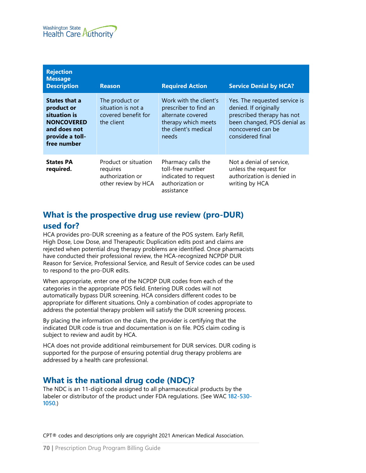| <b>Rejection</b><br><b>Message</b><br><b>Description</b>                                                                  | <b>Reason</b>                                                               | <b>Required Action</b>                                                                                                       | <b>Service Denial by HCA?</b>                                                                                                                                |
|---------------------------------------------------------------------------------------------------------------------------|-----------------------------------------------------------------------------|------------------------------------------------------------------------------------------------------------------------------|--------------------------------------------------------------------------------------------------------------------------------------------------------------|
| <b>States that a</b><br>product or<br>situation is<br><b>NONCOVERED</b><br>and does not<br>provide a toll-<br>free number | The product or<br>situation is not a<br>covered benefit for<br>the client   | Work with the client's<br>prescriber to find an<br>alternate covered<br>therapy which meets<br>the client's medical<br>needs | Yes. The requested service is<br>denied. If originally<br>prescribed therapy has not<br>been changed, POS denial as<br>noncovered can be<br>considered final |
| <b>States PA</b><br>required.                                                                                             | Product or situation<br>requires<br>authorization or<br>other review by HCA | Pharmacy calls the<br>toll-free number<br>indicated to request<br>authorization or<br>assistance                             | Not a denial of service,<br>unless the request for<br>authorization is denied in<br>writing by HCA                                                           |

# <span id="page-69-0"></span>**What is the prospective drug use review (pro-DUR) used for?**

HCA provides pro-DUR screening as a feature of the POS system. Early Refill, High Dose, Low Dose, and Therapeutic Duplication edits post and claims are rejected when potential drug therapy problems are identified. Once pharmacists have conducted their professional review, the HCA-recognized NCPDP DUR Reason for Service, Professional Service, and Result of Service codes can be used to respond to the pro-DUR edits.

When appropriate, enter one of the NCPDP DUR codes from each of the categories in the appropriate POS field. Entering DUR codes will not automatically bypass DUR screening. HCA considers different codes to be appropriate for different situations. Only a combination of codes appropriate to address the potential therapy problem will satisfy the DUR screening process.

By placing the information on the claim, the provider is certifying that the indicated DUR code is true and documentation is on file. POS claim coding is subject to review and audit by HCA.

HCA does not provide additional reimbursement for DUR services. DUR coding is supported for the purpose of ensuring potential drug therapy problems are addressed by a health care professional.

## **What is the national drug code (NDC)?**

The NDC is an 11-digit code assigned to all pharmaceutical products by the labeler or distributor of the product under FDA regulations. (See WAC **[182-530-](http://app.leg.wa.gov/WAC/default.aspx?cite=182-530-1050) [1050](http://app.leg.wa.gov/WAC/default.aspx?cite=182-530-1050)**.)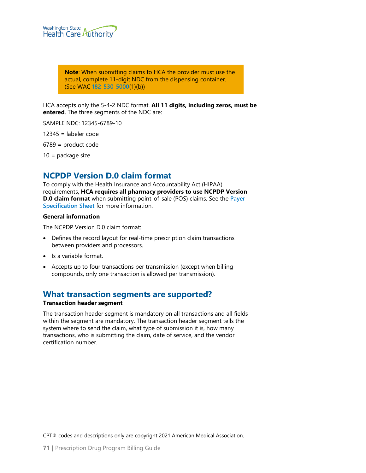

**Note**: When submitting claims to HCA the provider must use the actual, complete 11-digit NDC from the dispensing container. (See WAC **[182-530-5000](http://app.leg.wa.gov/WAC/default.aspx?cite=182-530-5000)**(1)(b))

HCA accepts only the 5-4-2 NDC format. **All 11 digits, including zeros, must be entered**. The three segments of the NDC are:

SAMPLE NDC: 12345-6789-10

12345 = labeler code

6789 = product code

10 = package size

### **NCPDP Version D.0 claim format**

To comply with the Health Insurance and Accountability Act (HIPAA) requirements, **HCA requires all pharmacy providers to use NCPDP Version D.0 claim format** when submitting point-of-sale (POS) claims. See the **[Payer](http://www.hca.wa.gov/assets/billers-and-providers/do_payer_sheet.pdf)  [Specification Sheet](http://www.hca.wa.gov/assets/billers-and-providers/do_payer_sheet.pdf)** for more information.

#### **General information**

The NCPDP Version D.0 claim format:

- Defines the record layout for real-time prescription claim transactions between providers and processors.
- Is a variable format.
- Accepts up to four transactions per transmission (except when billing compounds, only one transaction is allowed per transmission).

# **What transaction segments are supported?**

#### **Transaction header segment**

The transaction header segment is mandatory on all transactions and all fields within the segment are mandatory. The transaction header segment tells the system where to send the claim, what type of submission it is, how many transactions, who is submitting the claim, date of service, and the vendor certification number.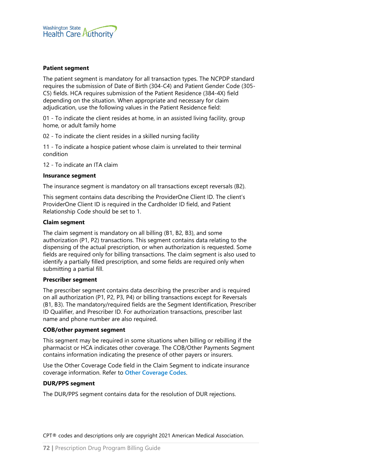

#### **Patient segment**

The patient segment is mandatory for all transaction types. The NCPDP standard requires the submission of Date of Birth (304-C4) and Patient Gender Code (305- C5) fields. HCA requires submission of the Patient Residence (384-4X) field depending on the situation. When appropriate and necessary for claim adjudication, use the following values in the Patient Residence field:

01 - To indicate the client resides at home, in an assisted living facility, group home, or adult family home

02 - To indicate the client resides in a skilled nursing facility

11 - To indicate a hospice patient whose claim is unrelated to their terminal condition

12 - To indicate an ITA claim

#### **Insurance segment**

The insurance segment is mandatory on all transactions except reversals (B2).

This segment contains data describing the ProviderOne Client ID. The client's ProviderOne Client ID is required in the Cardholder ID field, and Patient Relationship Code should be set to 1.

#### **Claim segment**

The claim segment is mandatory on all billing (B1, B2, B3), and some authorization (P1, P2) transactions. This segment contains data relating to the dispensing of the actual prescription, or when authorization is requested. Some fields are required only for billing transactions. The claim segment is also used to identify a partially filled prescription, and some fields are required only when submitting a partial fill.

#### **Prescriber segment**

The prescriber segment contains data describing the prescriber and is required on all authorization (P1, P2, P3, P4) or billing transactions except for Reversals (B1, B3). The mandatory/required fields are the Segment Identification, Prescriber ID Qualifier, and Prescriber ID. For authorization transactions, prescriber last name and phone number are also required.

#### **COB/other payment segment**

This segment may be required in some situations when billing or rebilling if the pharmacist or HCA indicates other coverage. The COB/Other Payments Segment contains information indicating the presence of other payers or insurers.

Use the Other Coverage Code field in the Claim Segment to indicate insurance coverage information. Refer to **[Other Coverage Codes](#page-86-0)**.

#### **DUR/PPS segment**

The DUR/PPS segment contains data for the resolution of DUR rejections.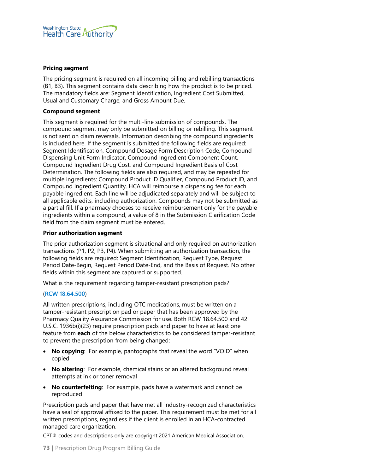

#### **Pricing segment**

The pricing segment is required on all incoming billing and rebilling transactions (B1, B3). This segment contains data describing how the product is to be priced. The mandatory fields are: Segment Identification, Ingredient Cost Submitted, Usual and Customary Charge, and Gross Amount Due.

#### **Compound segment**

This segment is required for the multi-line submission of compounds. The compound segment may only be submitted on billing or rebilling. This segment is not sent on claim reversals. Information describing the compound ingredients is included here. If the segment is submitted the following fields are required: Segment Identification, Compound Dosage Form Description Code, Compound Dispensing Unit Form Indicator, Compound Ingredient Component Count, Compound Ingredient Drug Cost, and Compound Ingredient Basis of Cost Determination. The following fields are also required, and may be repeated for multiple ingredients: Compound Product ID Qualifier, Compound Product ID, and Compound Ingredient Quantity. HCA will reimburse a dispensing fee for each payable ingredient. Each line will be adjudicated separately and will be subject to all applicable edits, including authorization. Compounds may not be submitted as a partial fill. If a pharmacy chooses to receive reimbursement only for the payable ingredients within a compound, a value of 8 in the Submission Clarification Code field from the claim segment must be entered.

#### **Prior authorization segment**

The prior authorization segment is situational and only required on authorization transactions (P1, P2, P3, P4). When submitting an authorization transaction, the following fields are required: Segment Identification, Request Type, Request Period Date-Begin, Request Period Date-End, and the Basis of Request. No other fields within this segment are captured or supported.

What is the requirement regarding tamper-resistant prescription pads?

#### (**[RCW 18.64.500](http://app.leg.wa.gov/RCW/default.aspx?cite=18.64.500)**)

All written prescriptions, including OTC medications, must be written on a tamper-resistant prescription pad or paper that has been approved by the Pharmacy Quality Assurance Commission for use. Both RCW 18.64.500 and 42 U.S.C. 1936b(i)(23) require prescription pads and paper to have at least one feature from **each** of the below characteristics to be considered tamper-resistant to prevent the prescription from being changed:

- **No copying**: For example, pantographs that reveal the word "VOID" when copied
- **No altering**: For example, chemical stains or an altered background reveal attempts at ink or toner removal
- **No counterfeiting**: For example, pads have a watermark and cannot be reproduced

Prescription pads and paper that have met all industry-recognized characteristics have a seal of approval affixed to the paper. This requirement must be met for all written prescriptions, regardless if the client is enrolled in an HCA-contracted managed care organization.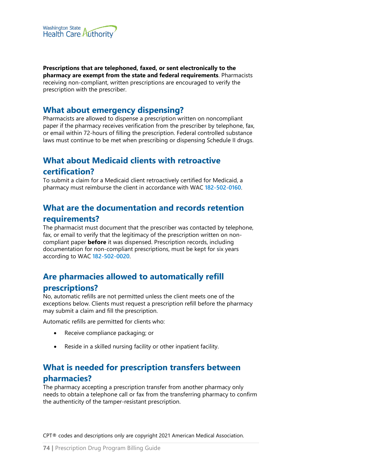

**Prescriptions that are telephoned, faxed, or sent electronically to the pharmacy are exempt from the state and federal requirements**. Pharmacists receiving non-compliant, written prescriptions are encouraged to verify the prescription with the prescriber.

## **What about emergency dispensing?**

Pharmacists are allowed to dispense a prescription written on noncompliant paper if the pharmacy receives verification from the prescriber by telephone, fax, or email within 72-hours of filling the prescription. Federal controlled substance laws must continue to be met when prescribing or dispensing Schedule II drugs.

# **What about Medicaid clients with retroactive certification?**

To submit a claim for a Medicaid client retroactively certified for Medicaid, a pharmacy must reimburse the client in accordance with WAC **[182-502-0160](http://app.leg.wa.gov/WAC/default.aspx?cite=182-502-0160)**.

# **What are the documentation and records retention requirements?**

The pharmacist must document that the prescriber was contacted by telephone, fax, or email to verify that the legitimacy of the prescription written on noncompliant paper **before** it was dispensed. Prescription records, including documentation for non-compliant prescriptions, must be kept for six years according to WAC **[182-502-0020](http://app.leg.wa.gov/WAC/default.aspx?cite=182-502-0020)**.

# **Are pharmacies allowed to automatically refill**

## **prescriptions?**

No, automatic refills are not permitted unless the client meets one of the exceptions below. Clients must request a prescription refill before the pharmacy may submit a claim and fill the prescription.

Automatic refills are permitted for clients who:

- Receive compliance packaging; or
- Reside in a skilled nursing facility or other inpatient facility.

# **What is needed for prescription transfers between pharmacies?**

The pharmacy accepting a prescription transfer from another pharmacy only needs to obtain a telephone call or fax from the transferring pharmacy to confirm the authenticity of the tamper-resistant prescription.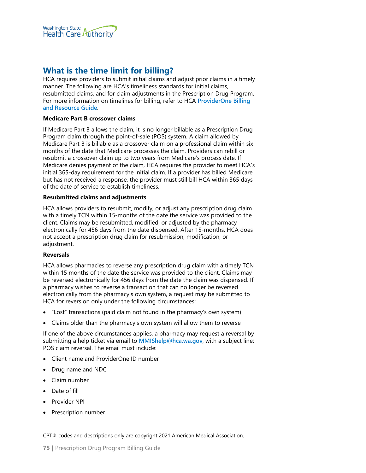

## **What is the time limit for billing?**

HCA requires providers to submit initial claims and adjust prior claims in a timely manner. The following are HCA's timeliness standards for initial claims, resubmitted claims, and for claim adjustments in the Prescription Drug Program. For more information on timelines for billing, refer to HCA **[ProviderOne Billing](http://www.hca.wa.gov/node/311)  [and Resource Guide](http://www.hca.wa.gov/node/311)**.

#### **Medicare Part B crossover claims**

If Medicare Part B allows the claim, it is no longer billable as a Prescription Drug Program claim through the point-of-sale (POS) system. A claim allowed by Medicare Part B is billable as a crossover claim on a professional claim within six months of the date that Medicare processes the claim. Providers can rebill or resubmit a crossover claim up to two years from Medicare's process date. If Medicare denies payment of the claim, HCA requires the provider to meet HCA's initial 365-day requirement for the initial claim. If a provider has billed Medicare but has not received a response, the provider must still bill HCA within 365 days of the date of service to establish timeliness.

#### **Resubmitted claims and adjustments**

HCA allows providers to resubmit, modify, or adjust any prescription drug claim with a timely TCN within 15-months of the date the service was provided to the client. Claims may be resubmitted, modified, or adjusted by the pharmacy electronically for 456 days from the date dispensed. After 15-months, HCA does not accept a prescription drug claim for resubmission, modification, or adjustment.

#### **Reversals**

HCA allows pharmacies to reverse any prescription drug claim with a timely TCN within 15 months of the date the service was provided to the client. Claims may be reversed electronically for 456 days from the date the claim was dispensed. If a pharmacy wishes to reverse a transaction that can no longer be reversed electronically from the pharmacy's own system, a request may be submitted to HCA for reversion only under the following circumstances:

- "Lost" transactions (paid claim not found in the pharmacy's own system)
- Claims older than the pharmacy's own system will allow them to reverse

If one of the above circumstances applies, a pharmacy may request a reversal by submitting a help ticket via email to **[MMIShelp@hca.wa.gov](mailto:MMIShelp@hca.wa.gov)**, with a subject line: POS claim reversal. The email must include:

- Client name and ProviderOne ID number
- Drug name and NDC
- Claim number
- Date of fill
- Provider NPI
- Prescription number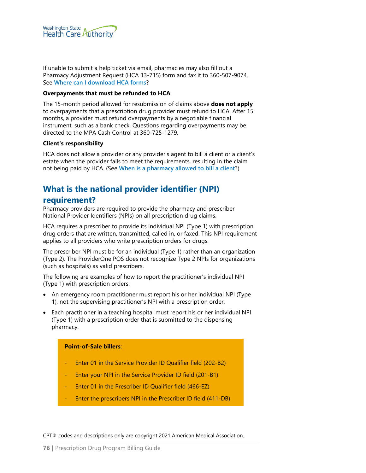

If unable to submit a help ticket via email, pharmacies may also fill out a Pharmacy Adjustment Request (HCA 13-715) form and fax it to 360-507-9074. See **[Where can I download HCA forms](#page-1-0)**?

#### **Overpayments that must be refunded to HCA**

The 15-month period allowed for resubmission of claims above **does not apply** to overpayments that a prescription drug provider must refund to HCA. After 15 months, a provider must refund overpayments by a negotiable financial instrument, such as a bank check. Questions regarding overpayments may be directed to the MPA Cash Control at 360-725-1279.

#### **Client's responsibility**

HCA does not allow a provider or any provider's agent to bill a client or a client's estate when the provider fails to meet the requirements, resulting in the claim not being paid by HCA. (See **[When is a pharmacy allowed to bill a client](#page-76-0)**?)

## **What is the national provider identifier (NPI)**

### **requirement?**

Pharmacy providers are required to provide the pharmacy and prescriber National Provider Identifiers (NPIs) on all prescription drug claims.

HCA requires a prescriber to provide its individual NPI (Type 1) with prescription drug orders that are written, transmitted, called in, or faxed. This NPI requirement applies to all providers who write prescription orders for drugs.

The prescriber NPI must be for an individual (Type 1) rather than an organization (Type 2). The ProviderOne POS does not recognize Type 2 NPIs for organizations (such as hospitals) as valid prescribers.

The following are examples of how to report the practitioner's individual NPI (Type 1) with prescription orders:

- An emergency room practitioner must report his or her individual NPI (Type 1), not the supervising practitioner's NPI with a prescription order.
- Each practitioner in a teaching hospital must report his or her individual NPI (Type 1) with a prescription order that is submitted to the dispensing pharmacy.

#### **Point-of-Sale billers**:

- Enter 01 in the Service Provider ID Qualifier field (202-B2)
- Enter your NPI in the Service Provider ID field (201-B1)
- Enter 01 in the Prescriber ID Qualifier field (466-EZ)
- Enter the prescribers NPI in the Prescriber ID field (411-DB)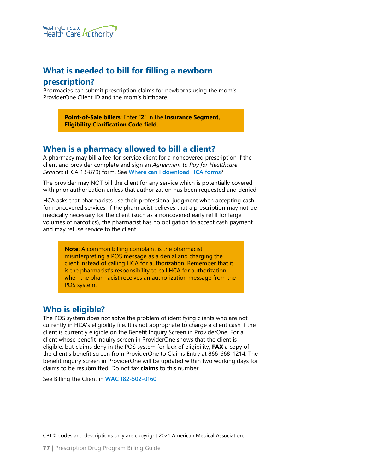

## **What is needed to bill for filling a newborn**

## **prescription?**

Pharmacies can submit prescription claims for newborns using the mom's ProviderOne Client ID and the mom's birthdate.

> **Point-of-Sale billers**: Enter "**2**" in the **Insurance Segment, Eligibility Clarification Code field**.

## <span id="page-76-0"></span>**When is a pharmacy allowed to bill a client?**

A pharmacy may bill a fee-for-service client for a noncovered prescription if the client and provider complete and sign an *Agreement to Pay for Healthcare Services* (HCA 13-879) form. See **[Where can I download HCA forms](#page-1-0)**?

The provider may NOT bill the client for any service which is potentially covered with prior authorization unless that authorization has been requested and denied.

HCA asks that pharmacists use their professional judgment when accepting cash for noncovered services. If the pharmacist believes that a prescription may not be medically necessary for the client (such as a noncovered early refill for large volumes of narcotics), the pharmacist has no obligation to accept cash payment and may refuse service to the client.

**Note**: A common billing complaint is the pharmacist misinterpreting a POS message as a denial and charging the client instead of calling HCA for authorization. Remember that it is the pharmacist's responsibility to call HCA for authorization when the pharmacist receives an authorization message from the POS system.

## **Who is eligible?**

The POS system does not solve the problem of identifying clients who are not currently in HCA's eligibility file. It is not appropriate to charge a client cash if the client is currently eligible on the Benefit Inquiry Screen in ProviderOne. For a client whose benefit inquiry screen in ProviderOne shows that the client is eligible, but claims deny in the POS system for lack of eligibility, **FAX** a copy of the client's benefit screen from ProviderOne to Claims Entry at 866-668-1214. The benefit inquiry screen in ProviderOne will be updated within two working days for claims to be resubmitted. Do not fax **claims** to this number.

See Billing the Client in **[WAC 182-502-0160](http://app.leg.wa.gov/WAC/default.aspx?cite=182-502-0160)**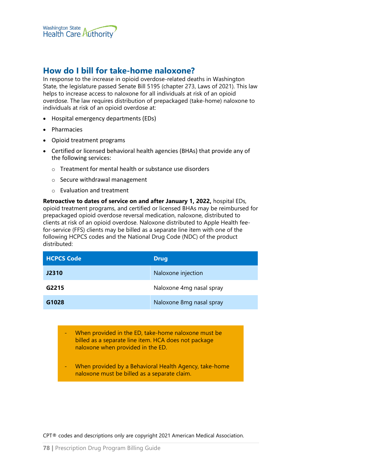

## **How do I bill for take-home naloxone?**

In response to the increase in opioid overdose-related deaths in Washington State, the legislature passed Senate Bill 5195 (chapter 273, Laws of 2021). [This](https://app.leg.wa.gov/billsummary?BillNumber=5195&Year=2021&Initiative=false) law helps to increase access to naloxone for all individuals at risk of an opioid overdose. The law requires distribution of prepackaged (take-home) naloxone to individuals at risk of an opioid overdose at:

- Hospital emergency departments (EDs)
- Pharmacies
- Opioid treatment programs
- Certified or licensed behavioral health agencies (BHAs) that provide any of the following services:
	- o Treatment for mental health or substance use disorders
	- o Secure withdrawal management
	- o Evaluation and treatment

**Retroactive to dates of service on and after January 1, 2022,** hospital EDs, opioid treatment programs, and certified or licensed BHAs may be reimbursed for prepackaged opioid overdose reversal medication, naloxone, distributed to clients at risk of an opioid overdose. Naloxone distributed to Apple Health feefor-service (FFS) clients may be billed as a separate line item with one of the following HCPCS codes and the National Drug Code (NDC) of the product distributed:

| <b>HCPCS Code</b> | <b>Drug</b>              |
|-------------------|--------------------------|
| J2310             | Naloxone injection       |
| G2215             | Naloxone 4mg nasal spray |
| G1028             | Naloxone 8mg nasal spray |

- When provided in the ED, take-home naloxone must be billed as a separate line item. HCA does not package naloxone when provided in the ED.
- When provided by a Behavioral Health Agency, take-home naloxone must be billed as a separate claim.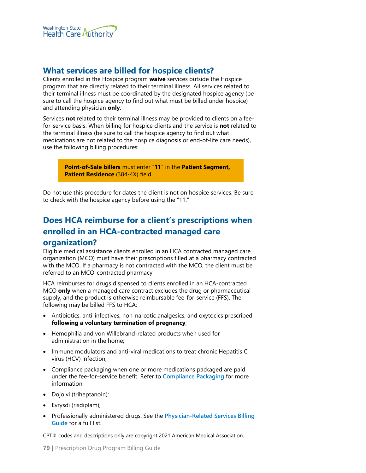

## **What services are billed for hospice clients?**

Clients enrolled in the Hospice program **waive** services outside the Hospice program that are directly related to their terminal illness. All services related to their terminal illness must be coordinated by the designated hospice agency (be sure to call the hospice agency to find out what must be billed under hospice) and attending physician **only**.

Services **not** related to their terminal illness may be provided to clients on a feefor-service basis. When billing for hospice clients and the service is **not** related to the terminal illness (be sure to call the hospice agency to find out what medications are not related to the hospice diagnosis or end-of-life care needs), use the following billing procedures:

> **Point-of-Sale billers** must enter "**11**" in the **Patient Segment, Patient Residence** (384-4X) field.

Do not use this procedure for dates the client is not on hospice services. Be sure to check with the hospice agency before using the "11."

# **Does HCA reimburse for a client's prescriptions when enrolled in an HCA-contracted managed care organization?**

Eligible medical assistance clients enrolled in an HCA contracted managed care organization (MCO) must have their prescriptions filled at a pharmacy contracted with the MCO. If a pharmacy is not contracted with the MCO, the client must be referred to an MCO-contracted pharmacy.

HCA reimburses for drugs dispensed to clients enrolled in an HCA-contracted MCO **only** when a managed care contract excludes the drug or pharmaceutical supply, and the product is otherwise reimbursable fee-for-service (FFS). The following may be billed FFS to HCA:

- Antibiotics, anti-infectives, non-narcotic analgesics, and oxytocics prescribed **following a voluntary termination of pregnancy**;
- Hemophilia and von Willebrand-related products when used for administration in the home;
- Immune modulators and anti-viral medications to treat chronic Hepatitis C virus (HCV) infection;
- Compliance packaging when one or more medications packaged are paid under the fee-for-service benefit. Refer to **[Compliance Packaging](#page-32-0)** for more information.
- Dojolvi (triheptanoin);
- Evrysdi (risdiplam);
- Professionally administered drugs. See the **[Physician-Related Services Billing](http://www.hca.wa.gov/node/301)  [Guide](http://www.hca.wa.gov/node/301)** for a full list.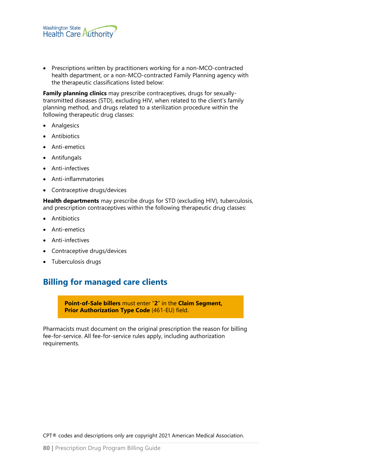

• Prescriptions written by practitioners working for a non-MCO-contracted health department, or a non-MCO-contracted Family Planning agency with the therapeutic classifications listed below:

**Family planning clinics** may prescribe contraceptives, drugs for sexuallytransmitted diseases (STD), excluding HIV, when related to the client's family planning method, and drugs related to a sterilization procedure within the following therapeutic drug classes:

- Analgesics
- Antibiotics
- Anti-emetics
- Antifungals
- Anti-infectives
- Anti-inflammatories
- Contraceptive drugs/devices

**Health departments** may prescribe drugs for STD (excluding HIV), tuberculosis, and prescription contraceptives within the following therapeutic drug classes:

- Antibiotics
- Anti-emetics
- Anti-infectives
- Contraceptive drugs/devices
- Tuberculosis drugs

## **Billing for managed care clients**

**Point-of-Sale billers** must enter "**2**" in the **Claim Segment, Prior Authorization Type Code** (461-EU) field.

Pharmacists must document on the original prescription the reason for billing fee-for-service. All fee-for-service rules apply, including authorization requirements.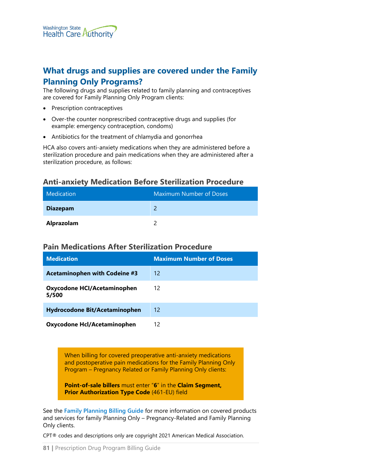# **What drugs and supplies are covered under the Family Planning Only Programs?**

The following drugs and supplies related to family planning and contraceptives are covered for Family Planning Only Program clients:

- Prescription contraceptives
- Over-the counter nonprescribed contraceptive drugs and supplies (for example: emergency contraception, condoms)
- Antibiotics for the treatment of chlamydia and gonorrhea

HCA also covers anti-anxiety medications when they are administered before a sterilization procedure and pain medications when they are administered after a sterilization procedure, as follows:

## **Anti-anxiety Medication Before Sterilization Procedure**

| Medication      | <b>Maximum Number of Doses</b> |
|-----------------|--------------------------------|
| <b>Diazepam</b> |                                |
| Alprazolam      |                                |

#### **Pain Medications After Sterilization Procedure**

| <b>Medication</b>                           | <b>Maximum Number of Doses</b> |
|---------------------------------------------|--------------------------------|
| <b>Acetaminophen with Codeine #3</b>        | 12 <sub>1</sub>                |
| <b>Oxycodone HCI/Acetaminophen</b><br>5/500 | 12                             |
| <b>Hydrocodone Bit/Acetaminophen</b>        | 12                             |
| Oxycodone Hcl/Acetaminophen                 | 12                             |

When billing for covered preoperative anti-anxiety medications and postoperative pain medications for the Family Planning Only Program – Pregnancy Related or Family Planning Only clients:

**Point-of-sale billers** must enter "**6**" in the **Claim Segment, Prior Authorization Type Code** (461-EU) field

See the **[Family Planning Billing Guide](https://www.hca.wa.gov/node/311)** for more information on covered products and services for family Planning Only – Pregnancy-Related and Family Planning Only clients.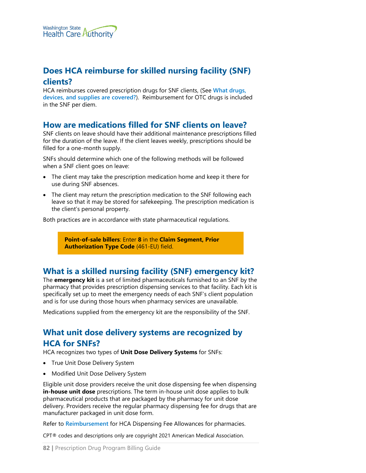

# **Does HCA reimburse for skilled nursing facility (SNF) clients?**

HCA reimburses covered prescription drugs for SNF clients, (See **[What drugs,](#page-25-0)  [devices, and supplies are covered?](#page-25-0)**). Reimbursement for OTC drugs is included in the SNF per diem.

## **How are medications filled for SNF clients on leave?**

SNF clients on leave should have their additional maintenance prescriptions filled for the duration of the leave. If the client leaves weekly, prescriptions should be filled for a one-month supply.

SNFs should determine which one of the following methods will be followed when a SNF client goes on leave:

- The client may take the prescription medication home and keep it there for use during SNF absences.
- The client may return the prescription medication to the SNF following each leave so that it may be stored for safekeeping. The prescription medication is the client's personal property.

Both practices are in accordance with state pharmaceutical regulations.

**Point-of-sale billers**: Enter **8** in the **Claim Segment, Prior Authorization Type Code** (461-EU) field.

## **What is a skilled nursing facility (SNF) emergency kit?**

The **emergency kit** is a set of limited pharmaceuticals furnished to an SNF by the pharmacy that provides prescription dispensing services to that facility. Each kit is specifically set up to meet the emergency needs of each SNF's client population and is for use during those hours when pharmacy services are unavailable.

Medications supplied from the emergency kit are the responsibility of the SNF.

## **What unit dose delivery systems are recognized by HCA for SNFs?**

HCA recognizes two types of **Unit Dose Delivery Systems** for SNFs:

- True Unit Dose Delivery System
- Modified Unit Dose Delivery System

Eligible unit dose providers receive the unit dose dispensing fee when dispensing **in-house unit dose** prescriptions. The term in-house unit dose applies to bulk pharmaceutical products that are packaged by the pharmacy for unit dose delivery. Providers receive the regular pharmacy dispensing fee for drugs that are manufacturer packaged in unit dose form.

Refer to **[Reimbursement](#page-61-0)** for HCA Dispensing Fee Allowances for pharmacies.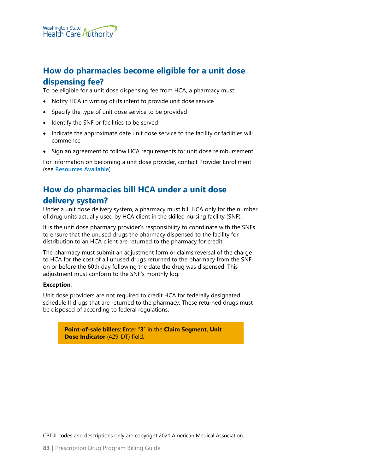# **How do pharmacies become eligible for a unit dose dispensing fee?**

To be eligible for a unit dose dispensing fee from HCA, a pharmacy must:

- Notify HCA in writing of its intent to provide unit dose service
- Specify the type of unit dose service to be provided
- Identify the SNF or facilities to be served
- Indicate the approximate date unit dose service to the facility or facilities will commence
- Sign an agreement to follow HCA requirements for unit dose reimbursement

For information on becoming a unit dose provider, contact Provider Enrollment (see **[Resources Available](#page-8-0)**).

# **How do pharmacies bill HCA under a unit dose delivery system?**

Under a unit dose delivery system, a pharmacy must bill HCA only for the number of drug units actually used by HCA client in the skilled nursing facility (SNF).

It is the unit dose pharmacy provider's responsibility to coordinate with the SNFs to ensure that the unused drugs the pharmacy dispensed to the facility for distribution to an HCA client are returned to the pharmacy for credit.

The pharmacy must submit an adjustment form or claims reversal of the charge to HCA for the cost of all unused drugs returned to the pharmacy from the SNF on or before the 60th day following the date the drug was dispensed. This adjustment must conform to the SNF's monthly log.

#### **Exception**:

Unit dose providers are not required to credit HCA for federally designated schedule II drugs that are returned to the pharmacy. These returned drugs must be disposed of according to federal regulations.

> **Point-of-sale billers**: Enter "**3**" in the **Claim Segment, Unit Dose Indicator** (429-DT) field.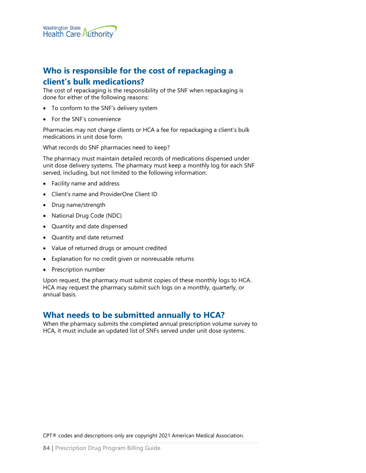

# **Who is responsible for the cost of repackaging a client's bulk medications?**

The cost of repackaging is the responsibility of the SNF when repackaging is done for either of the following reasons:

- To conform to the SNF's delivery system
- For the SNF's convenience

Pharmacies may not charge clients or HCA a fee for repackaging a client's bulk medications in unit dose form.

What records do SNF pharmacies need to keep?

The pharmacy must maintain detailed records of medications dispensed under unit dose delivery systems. The pharmacy must keep a monthly log for each SNF served, including, but not limited to the following information:

- Facility name and address
- Client's name and ProviderOne Client ID
- Drug name/strength
- National Drug Code (NDC)
- Quantity and date dispensed
- Quantity and date returned
- Value of returned drugs or amount credited
- Explanation for no credit given or nonreusable returns
- Prescription number

Upon request, the pharmacy must submit copies of these monthly logs to HCA. HCA may request the pharmacy submit such logs on a monthly, quarterly, or annual basis.

## **What needs to be submitted annually to HCA?**

When the pharmacy submits the completed annual prescription volume survey to HCA, it must include an updated list of SNFs served under unit dose systems.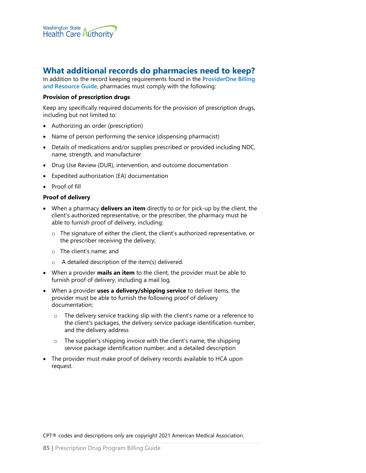

## **What additional records do pharmacies need to keep?**

In addition to the record keeping requirements found in the **[ProviderOne Billing](https://www.hca.wa.gov/node/311)  [and Resource Guide](https://www.hca.wa.gov/node/311)**, pharmacies must comply with the following:

#### **Provision of prescription drugs**

Keep any specifically required documents for the provision of prescription drugs, including but not limited to:

- Authorizing an order (prescription)
- Name of person performing the service (dispensing pharmacist)
- Details of medications and/or supplies prescribed or provided including NDC, name, strength, and manufacturer
- Drug Use Review (DUR), intervention, and outcome documentation
- Expedited authorization (EA) documentation
- Proof of fill

#### **Proof of delivery**

- When a pharmacy **delivers an item** directly to or for pick-up by the client, the client's authorized representative, or the prescriber, the pharmacy must be able to furnish proof of delivery, including:
	- o The signature of either the client, the client's authorized representative, or the prescriber receiving the delivery;
	- o The client's name; and
	- o A detailed description of the item(s) delivered.
- When a provider **mails an item** to the client, the provider must be able to furnish proof of delivery, including a mail log.
- When a provider **uses a delivery/shipping service** to deliver items, the provider must be able to furnish the following proof of delivery documentation:
	- o The delivery service tracking slip with the client's name or a reference to the client's packages, the delivery service package identification number, and the delivery address
	- o The supplier's shipping invoice with the client's name, the shipping service package identification number, and a detailed description
- The provider must make proof of delivery records available to HCA upon request.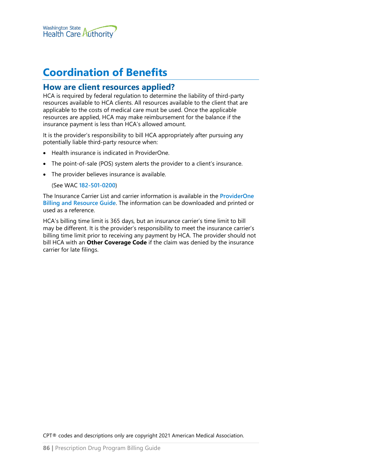

# **Coordination of Benefits**

### **How are client resources applied?**

HCA is required by federal regulation to determine the liability of third-party resources available to HCA clients. All resources available to the client that are applicable to the costs of medical care must be used. Once the applicable resources are applied, HCA may make reimbursement for the balance if the insurance payment is less than HCA's allowed amount.

It is the provider's responsibility to bill HCA appropriately after pursuing any potentially liable third-party resource when:

- Health insurance is indicated in ProviderOne.
- The point-of-sale (POS) system alerts the provider to a client's insurance.
- The provider believes insurance is available.

(See WAC **[182-501-0200](http://app.leg.wa.gov/WAC/default.aspx?cite=182-501-0200)**)

The Insurance Carrier List and carrier information is available in the **[ProviderOne](https://www.hca.wa.gov/node/311)  [Billing and Resource Guide](https://www.hca.wa.gov/node/311)**. The information can be downloaded and printed or used as a reference.

HCA's billing time limit is 365 days, but an insurance carrier's time limit to bill may be different. It is the provider's responsibility to meet the insurance carrier's billing time limit prior to receiving any payment by HCA. The provider should not bill HCA with an **Other Coverage Code** if the claim was denied by the insurance carrier for late filings.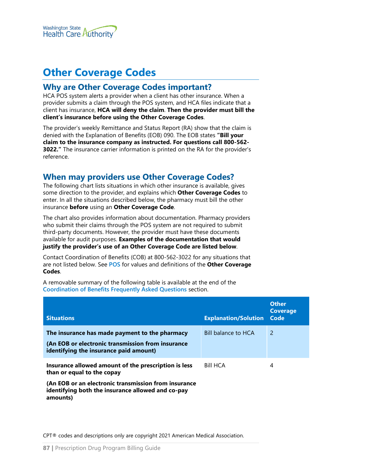

# **Other Coverage Codes**

## **Why are Other Coverage Codes important?**

HCA POS system alerts a provider when a client has other insurance. When a provider submits a claim through the POS system, and HCA files indicate that a client has insurance, **HCA will deny the claim**. **Then the provider must bill the client's insurance before using the Other Coverage Codes**.

The provider's weekly Remittance and Status Report (RA) show that the claim is denied with the Explanation of Benefits (EOB) 090. The EOB states **"Bill your claim to the insurance company as instructed. For questions call 800-562- 3022."** The insurance carrier information is printed on the RA for the provider's reference.

## **When may providers use Other Coverage Codes?**

The following chart lists situations in which other insurance is available, gives some direction to the provider, and explains which **Other Coverage Codes** to enter. In all the situations described below, the pharmacy must bill the other insurance **before** using an **Other Coverage Code**.

The chart also provides information about documentation. Pharmacy providers who submit their claims through the POS system are not required to submit third-party documents. However, the provider must have these documents available for audit purposes. **Examples of the documentation that would justify the provider's use of an Other Coverage Code are listed below**.

Contact Coordination of Benefits (COB) at 800-562-3022 for any situations that are not listed below. See **[POS](#page-65-0)** for values and definitions of the **Other Coverage Codes**.

A removable summary of the following table is available at the end of the **[Coordination of Benefits Frequently Asked Questions](#page-90-0)** section.

| <b>Situations</b>                                                                                                                             | <b>Explanation/Solution</b> | <b>Other</b><br><b>Coverage</b><br>Code |
|-----------------------------------------------------------------------------------------------------------------------------------------------|-----------------------------|-----------------------------------------|
| The insurance has made payment to the pharmacy<br>(An EOB or electronic transmission from insurance<br>identifying the insurance paid amount) | Bill balance to HCA         | 2                                       |
| Insurance allowed amount of the prescription is less<br>than or equal to the copay                                                            | <b>Bill HCA</b>             | 4                                       |

**(An EOB or an electronic transmission from insurance identifying both the insurance allowed and co-pay amounts)**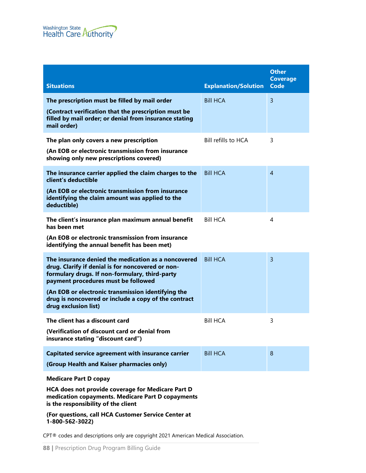

| <b>Situations</b>                                                                                                                                                                                 | <b>Explanation/Solution</b> | <b>Other</b><br><b>Coverage</b><br><b>Code</b> |
|---------------------------------------------------------------------------------------------------------------------------------------------------------------------------------------------------|-----------------------------|------------------------------------------------|
| The prescription must be filled by mail order                                                                                                                                                     | <b>Bill HCA</b>             | $\overline{3}$                                 |
| (Contract verification that the prescription must be<br>filled by mail order; or denial from insurance stating<br>mail order)                                                                     |                             |                                                |
| The plan only covers a new prescription<br>(An EOB or electronic transmission from insurance<br>showing only new prescriptions covered)                                                           | Bill refills to HCA         | 3                                              |
| The insurance carrier applied the claim charges to the<br>client's deductible                                                                                                                     | <b>Bill HCA</b>             | $\overline{4}$                                 |
| (An EOB or electronic transmission from insurance<br>identifying the claim amount was applied to the<br>deductible)                                                                               |                             |                                                |
| The client's insurance plan maximum annual benefit<br>has been met                                                                                                                                | <b>Bill HCA</b>             | 4                                              |
| (An EOB or electronic transmission from insurance<br>identifying the annual benefit has been met)                                                                                                 |                             |                                                |
| The insurance denied the medication as a noncovered<br>drug. Clarify if denial is for noncovered or non-<br>formulary drugs. If non-formulary, third-party<br>payment procedures must be followed | <b>Bill HCA</b>             | $\overline{3}$                                 |
| (An EOB or electronic transmission identifying the<br>drug is noncovered or include a copy of the contract<br>drug exclusion list)                                                                |                             |                                                |
| The client has a discount card<br>(Verification of discount card or denial from<br>insurance stating "discount card")                                                                             | <b>Bill HCA</b>             | 3                                              |
| <b>Capitated service agreement with insurance carrier</b><br>(Group Health and Kaiser pharmacies only)                                                                                            | <b>Bill HCA</b>             | 8                                              |
| <b>Medicare Part D copay</b><br>HCA does not provide coverage for Medicare Part D<br>medication copayments. Medicare Part D copayments<br>is the responsibility of the client                     |                             |                                                |
| (For questions, call HCA Customer Service Center at<br>1-800-562-3022)                                                                                                                            |                             |                                                |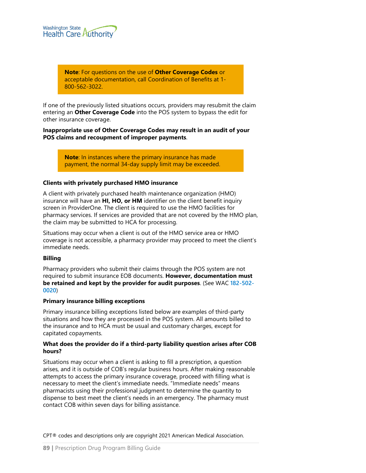

**Note**: For questions on the use of **Other Coverage Codes** or acceptable documentation, call Coordination of Benefits at 1- 800-562-3022.

If one of the previously listed situations occurs, providers may resubmit the claim entering an **Other Coverage Code** into the POS system to bypass the edit for other insurance coverage.

**Inappropriate use of Other Coverage Codes may result in an audit of your POS claims and recoupment of improper payments**.

> **Note**: In instances where the primary insurance has made payment, the normal 34-day supply limit may be exceeded.

#### **Clients with privately purchased HMO insurance**

A client with privately purchased health maintenance organization (HMO) insurance will have an **HI, HO, or HM** identifier on the client benefit inquiry screen in ProviderOne. The client is required to use the HMO facilities for pharmacy services. If services are provided that are not covered by the HMO plan, the claim may be submitted to HCA for processing.

Situations may occur when a client is out of the HMO service area or HMO coverage is not accessible, a pharmacy provider may proceed to meet the client's immediate needs.

#### **Billing**

Pharmacy providers who submit their claims through the POS system are not required to submit insurance EOB documents. **However, documentation must be retained and kept by the provider for audit purposes**. (See WAC **[182-502-](http://app.leg.wa.gov/WAC/default.aspx?cite=182-502-0020) [0020](http://app.leg.wa.gov/WAC/default.aspx?cite=182-502-0020)**)

#### **Primary insurance billing exceptions**

Primary insurance billing exceptions listed below are examples of third-party situations and how they are processed in the POS system. All amounts billed to the insurance and to HCA must be usual and customary charges, except for capitated copayments.

#### **What does the provider do if a third-party liability question arises after COB hours?**

Situations may occur when a client is asking to fill a prescription, a question arises, and it is outside of COB's regular business hours. After making reasonable attempts to access the primary insurance coverage, proceed with filling what is necessary to meet the client's immediate needs. "Immediate needs" means pharmacists using their professional judgment to determine the quantity to dispense to best meet the client's needs in an emergency. The pharmacy must contact COB within seven days for billing assistance.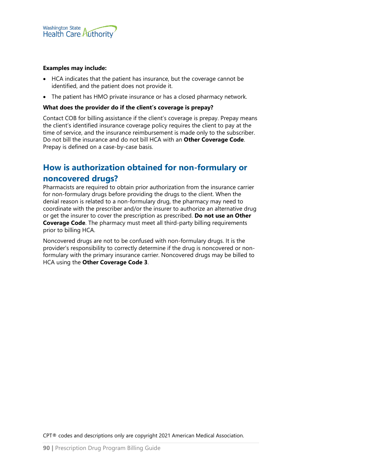

#### **Examples may include:**

- HCA indicates that the patient has insurance, but the coverage cannot be identified, and the patient does not provide it.
- The patient has HMO private insurance or has a closed pharmacy network.

#### **What does the provider do if the client's coverage is prepay?**

Contact COB for billing assistance if the client's coverage is prepay. Prepay means the client's identified insurance coverage policy requires the client to pay at the time of service, and the insurance reimbursement is made only to the subscriber. Do not bill the insurance and do not bill HCA with an **Other Coverage Code**. Prepay is defined on a case-by-case basis.

### **How is authorization obtained for non-formulary or**

#### **noncovered drugs?**

Pharmacists are required to obtain prior authorization from the insurance carrier for non-formulary drugs before providing the drugs to the client. When the denial reason is related to a non-formulary drug, the pharmacy may need to coordinate with the prescriber and/or the insurer to authorize an alternative drug or get the insurer to cover the prescription as prescribed. **Do not use an Other Coverage Code**. The pharmacy must meet all third-party billing requirements prior to billing HCA.

Noncovered drugs are not to be confused with non-formulary drugs. It is the provider's responsibility to correctly determine if the drug is noncovered or nonformulary with the primary insurance carrier. Noncovered drugs may be billed to HCA using the **Other Coverage Code 3**.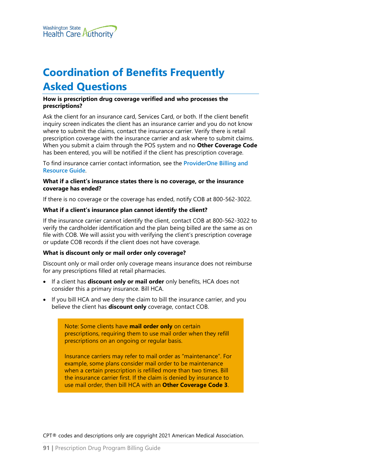# <span id="page-90-0"></span>**Coordination of Benefits Frequently Asked Questions**

#### **How is prescription drug coverage verified and who processes the prescriptions?**

Ask the client for an insurance card, Services Card, or both. If the client benefit inquiry screen indicates the client has an insurance carrier and you do not know where to submit the claims, contact the insurance carrier. Verify there is retail prescription coverage with the insurance carrier and ask where to submit claims. When you submit a claim through the POS system and no **Other Coverage Code** has been entered, you will be notified if the client has prescription coverage.

To find insurance carrier contact information, see the **[ProviderOne Billing and](https://www.hca.wa.gov/node/311)  [Resource Guide](https://www.hca.wa.gov/node/311)**.

#### **What if a client's insurance states there is no coverage, or the insurance coverage has ended?**

If there is no coverage or the coverage has ended, notify COB at 800-562-3022.

#### **What if a client's insurance plan cannot identify the client?**

If the insurance carrier cannot identify the client, contact COB at 800-562-3022 to verify the cardholder identification and the plan being billed are the same as on file with COB. We will assist you with verifying the client's prescription coverage or update COB records if the client does not have coverage.

#### **What is discount only or mail order only coverage?**

Discount only or mail order only coverage means insurance does not reimburse for any prescriptions filled at retail pharmacies.

- If a client has **discount only or mail order** only benefits, HCA does not consider this a primary insurance. Bill HCA.
- If you bill HCA and we deny the claim to bill the insurance carrier, and you believe the client has **discount only** coverage, contact COB.

Note: Some clients have **mail order only** on certain prescriptions, requiring them to use mail order when they refill prescriptions on an ongoing or regular basis.

Insurance carriers may refer to mail order as "maintenance". For example, some plans consider mail order to be maintenance when a certain prescription is refilled more than two times. Bill the insurance carrier first. If the claim is denied by insurance to use mail order, then bill HCA with an **Other Coverage Code 3**.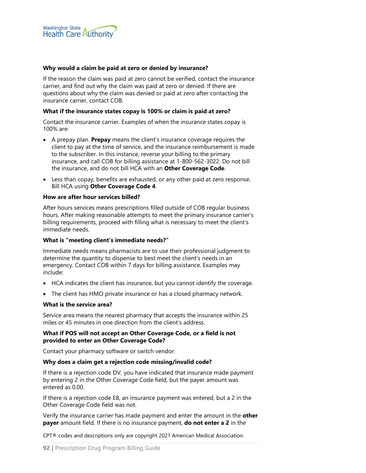

#### **Why would a claim be paid at zero or denied by insurance?**

If the reason the claim was paid at zero cannot be verified, contact the insurance carrier, and find out why the claim was paid at zero or denied. If there are questions about why the claim was denied or paid at zero after contacting the insurance carrier, contact COB.

#### **What if the insurance states copay is 100% or claim is paid at zero?**

Contact the insurance carrier. Examples of when the insurance states copay is 100% are:

- A prepay plan. **Prepay** means the client's insurance coverage requires the client to pay at the time of service, and the insurance reimbursement is made to the subscriber. In this instance, reverse your billing to the primary insurance, and call COB for billing assistance at 1-800-562-3022. Do not bill the insurance, and do not bill HCA with an **Other Coverage Code**.
- Less than copay, benefits are exhausted, or any other paid at zero response. Bill HCA using **Other Coverage Code 4**.

#### **How are after hour services billed?**

After hours services means prescriptions filled outside of COB regular business hours. After making reasonable attempts to meet the primary insurance carrier's billing requirements, proceed with filling what is necessary to meet the client's immediate needs.

#### **What is "meeting client's immediate needs?"**

Immediate needs means pharmacists are to use their professional judgment to determine the quantity to dispense to best meet the client's needs in an emergency. Contact COB within 7 days for billing assistance. Examples may include:

- HCA indicates the client has insurance, but you cannot identify the coverage.
- The client has HMO private insurance or has a closed pharmacy network.

#### **What is the service area?**

Service area means the nearest pharmacy that accepts the insurance within 25 miles or 45 minutes in one direction from the client's address.

#### **What if POS will not accept an Other Coverage Code, or a field is not provided to enter an Other Coverage Code?**

Contact your pharmacy software or switch vendor.

#### **Why does a claim get a rejection code missing/invalid code?**

If there is a rejection code DV, you have indicated that insurance made payment by entering 2 in the Other Coverage Code field, but the payer amount was entered as 0.00.

If there is a rejection code E8, an insurance payment was entered, but a 2 in the Other Coverage Code field was not.

Verify the insurance carrier has made payment and enter the amount in the **other payer** amount field. If there is no insurance payment, **do not enter a 2** in the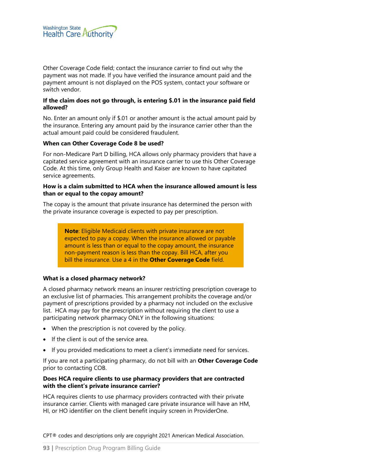

Other Coverage Code field; contact the insurance carrier to find out why the payment was not made. If you have verified the insurance amount paid and the payment amount is not displayed on the POS system, contact your software or switch vendor.

#### **If the claim does not go through, is entering \$.01 in the insurance paid field allowed?**

No. Enter an amount only if \$.01 or another amount is the actual amount paid by the insurance. Entering any amount paid by the insurance carrier other than the actual amount paid could be considered fraudulent.

#### **When can Other Coverage Code 8 be used?**

For non-Medicare Part D billing, HCA allows only pharmacy providers that have a capitated service agreement with an insurance carrier to use this Other Coverage Code. At this time, only Group Health and Kaiser are known to have capitated service agreements.

#### **How is a claim submitted to HCA when the insurance allowed amount is less than or equal to the copay amount?**

The copay is the amount that private insurance has determined the person with the private insurance coverage is expected to pay per prescription.

> **Note**: Eligible Medicaid clients with private insurance are not expected to pay a copay. When the insurance allowed or payable amount is less than or equal to the copay amount, the insurance non-payment reason is less than the copay. Bill HCA, after you bill the insurance. Use a 4 in the **Other Coverage Code** field.

#### **What is a closed pharmacy network?**

A closed pharmacy network means an insurer restricting prescription coverage to an exclusive list of pharmacies. This arrangement prohibits the coverage and/or payment of prescriptions provided by a pharmacy not included on the exclusive list. HCA may pay for the prescription without requiring the client to use a participating network pharmacy ONLY in the following situations:

- When the prescription is not covered by the policy.
- If the client is out of the service area.
- If you provided medications to meet a client's immediate need for services.

If you are not a participating pharmacy, do not bill with an **Other Coverage Code** prior to contacting COB.

#### **Does HCA require clients to use pharmacy providers that are contracted with the client's private insurance carrier?**

HCA requires clients to use pharmacy providers contracted with their private insurance carrier. Clients with managed care private insurance will have an HM, HI, or HO identifier on the client benefit inquiry screen in ProviderOne.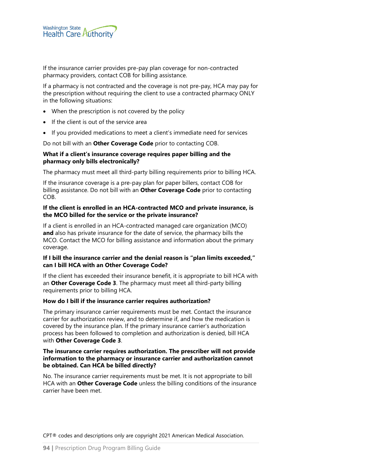If the insurance carrier provides pre-pay plan coverage for non-contracted pharmacy providers, contact COB for billing assistance.

If a pharmacy is not contracted and the coverage is not pre-pay, HCA may pay for the prescription without requiring the client to use a contracted pharmacy ONLY in the following situations:

- When the prescription is not covered by the policy
- If the client is out of the service area
- If you provided medications to meet a client's immediate need for services

Do not bill with an **Other Coverage Code** prior to contacting COB.

#### **What if a client's insurance coverage requires paper billing and the pharmacy only bills electronically?**

The pharmacy must meet all third-party billing requirements prior to billing HCA.

If the insurance coverage is a pre-pay plan for paper billers, contact COB for billing assistance. Do not bill with an **Other Coverage Code** prior to contacting COB.

#### **If the client is enrolled in an HCA-contracted MCO and private insurance, is the MCO billed for the service or the private insurance?**

If a client is enrolled in an HCA-contracted managed care organization (MCO) **and** also has private insurance for the date of service, the pharmacy bills the MCO. Contact the MCO for billing assistance and information about the primary coverage.

#### **If I bill the insurance carrier and the denial reason is "plan limits exceeded," can I bill HCA with an Other Coverage Code?**

If the client has exceeded their insurance benefit, it is appropriate to bill HCA with an **Other Coverage Code 3**. The pharmacy must meet all third-party billing requirements prior to billing HCA.

#### **How do I bill if the insurance carrier requires authorization?**

The primary insurance carrier requirements must be met. Contact the insurance carrier for authorization review, and to determine if, and how the medication is covered by the insurance plan. If the primary insurance carrier's authorization process has been followed to completion and authorization is denied, bill HCA with **Other Coverage Code 3**.

#### **The insurance carrier requires authorization. The prescriber will not provide information to the pharmacy or insurance carrier and authorization cannot be obtained. Can HCA be billed directly?**

No. The insurance carrier requirements must be met. It is not appropriate to bill HCA with an **Other Coverage Code** unless the billing conditions of the insurance carrier have been met.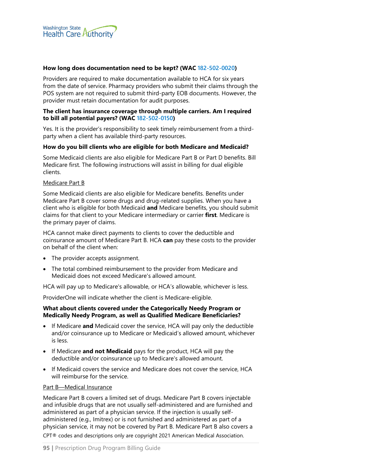

#### **How long does documentation need to be kept? (WAC [182-502-0020](http://app.leg.wa.gov/WAC/default.aspx?cite=182-502-0020))**

Providers are required to make documentation available to HCA for six years from the date of service. Pharmacy providers who submit their claims through the POS system are not required to submit third-party EOB documents. However, the provider must retain documentation for audit purposes.

#### **The client has insurance coverage through multiple carriers. Am I required to bill all potential payers? (WAC [182-502-0150](http://app.leg.wa.gov/WAC/default.aspx?cite=182-502-0150))**

Yes. It is the provider's responsibility to seek timely reimbursement from a thirdparty when a client has available third-party resources.

#### **How do you bill clients who are eligible for both Medicare and Medicaid?**

Some Medicaid clients are also eligible for Medicare Part B or Part D benefits. Bill Medicare first. The following instructions will assist in billing for dual eligible clients.

#### Medicare Part B

Some Medicaid clients are also eligible for Medicare benefits. Benefits under Medicare Part B cover some drugs and drug-related supplies. When you have a client who is eligible for both Medicaid **and** Medicare benefits, you should submit claims for that client to your Medicare intermediary or carrier **first**. Medicare is the primary payer of claims.

HCA cannot make direct payments to clients to cover the deductible and coinsurance amount of Medicare Part B. HCA **can** pay these costs to the provider on behalf of the client when:

- The provider accepts assignment.
- The total combined reimbursement to the provider from Medicare and Medicaid does not exceed Medicare's allowed amount.

HCA will pay up to Medicare's allowable, or HCA's allowable, whichever is less.

ProviderOne will indicate whether the client is Medicare-eligible.

#### **What about clients covered under the Categorically Needy Program or Medically Needy Program, as well as Qualified Medicare Beneficiaries?**

- If Medicare **and** Medicaid cover the service, HCA will pay only the deductible and/or coinsurance up to Medicare or Medicaid's allowed amount, whichever is less.
- If Medicare **and not Medicaid** pays for the product, HCA will pay the deductible and/or coinsurance up to Medicare's allowed amount.
- If Medicaid covers the service and Medicare does not cover the service, HCA will reimburse for the service.

#### Part B—Medical Insurance

Medicare Part B covers a limited set of drugs. Medicare Part B covers injectable and infusible drugs that are not usually self-administered and are furnished and administered as part of a physician service. If the injection is usually selfadministered (e.g., Imitrex) or is not furnished and administered as part of a physician service, it may not be covered by Part B. Medicare Part B also covers a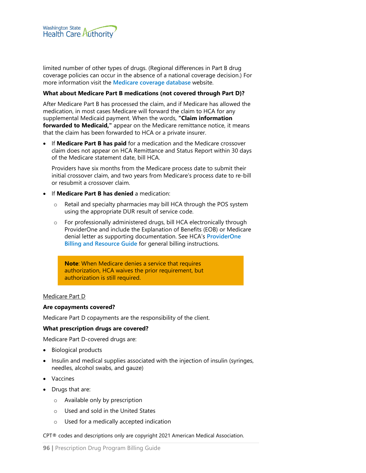

limited number of other types of drugs. (Regional differences in Part B drug coverage policies can occur in the absence of a national coverage decision.) For more information visit the **[Medicare coverage database](http://www.cms.gov/medicare-coverage-database/)** website.

#### **What about Medicare Part B medications (not covered through Part D)?**

After Medicare Part B has processed the claim, and if Medicare has allowed the medication, in most cases Medicare will forward the claim to HCA for any supplemental Medicaid payment. When the words, **"Claim information forwarded to Medicaid,"** appear on the Medicare remittance notice, it means that the claim has been forwarded to HCA or a private insurer.

• If **Medicare Part B has paid** for a medication and the Medicare crossover claim does not appear on HCA Remittance and Status Report within 30 days of the Medicare statement date, bill HCA.

Providers have six months from the Medicare process date to submit their initial crossover claim, and two years from Medicare's process date to re-bill or resubmit a crossover claim.

- If **Medicare Part B has denied** a medication:
	- o Retail and specialty pharmacies may bill HCA through the POS system using the appropriate DUR result of service code.
	- $\circ$  For professionally administered drugs, bill HCA electronically through ProviderOne and include the Explanation of Benefits (EOB) or Medicare denial letter as supporting documentation. See HCA's **[ProviderOne](http://www.hca.wa.gov/node/311)  [Billing and Resource Guide](http://www.hca.wa.gov/node/311)** for general billing instructions.

**Note**: When Medicare denies a service that requires authorization, HCA waives the prior requirement, but authorization is still required.

#### Medicare Part D

#### **Are copayments covered?**

Medicare Part D copayments are the responsibility of the client.

#### **What prescription drugs are covered?**

Medicare Part D-covered drugs are:

- Biological products
- Insulin and medical supplies associated with the injection of insulin (syringes, needles, alcohol swabs, and gauze)
- **Vaccines**
- Drugs that are:
	- o Available only by prescription
	- o Used and sold in the United States
	- o Used for a medically accepted indication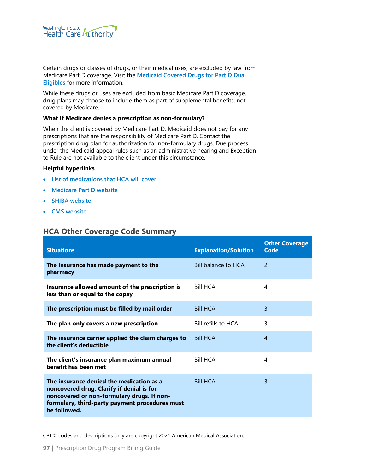

Certain drugs or classes of drugs, or their medical uses, are excluded by law from Medicare Part D coverage. Visit the **[Medicaid Covered Drugs for Part D Dual](http://www.hca.wa.gov/node/2671)  [Eligibles](http://www.hca.wa.gov/node/2671)** for more information.

While these drugs or uses are excluded from basic Medicare Part D coverage, drug plans may choose to include them as part of supplemental benefits, not covered by Medicare.

#### **What if Medicare denies a prescription as non-formulary?**

When the client is covered by Medicare Part D, Medicaid does not pay for any prescriptions that are the responsibility of Medicare Part D. Contact the prescription drug plan for authorization for non-formulary drugs. Due process under the Medicaid appeal rules such as an administrative hearing and Exception to Rule are not available to the client under this circumstance.

#### **Helpful hyperlinks**

- **[List of medications that HCA will cover](http://www.hca.wa.gov/billers-providers/programs-and-services/fee-service-ffs-drug-coverage-lists)**
- **[Medicare Part D website](https://www.medicare.gov/part-d/)**
- **[SHIBA website](http://www.insurance.wa.gov/about-oic/what-we-do/advocate-for-consumers/shiba/)**
- **[CMS website](http://www.cms.gov/)**

## **HCA Other Coverage Code Summary**

| <b>Situations</b>                                                                                                                                                                                     | <b>Explanation/Solution</b> | <b>Other Coverage</b><br>Code |
|-------------------------------------------------------------------------------------------------------------------------------------------------------------------------------------------------------|-----------------------------|-------------------------------|
| The insurance has made payment to the<br>pharmacy                                                                                                                                                     | <b>Bill balance to HCA</b>  | $\mathcal{P}$                 |
| Insurance allowed amount of the prescription is<br>less than or equal to the copay                                                                                                                    | <b>Bill HCA</b>             | 4                             |
| The prescription must be filled by mail order                                                                                                                                                         | <b>Bill HCA</b>             | 3                             |
| The plan only covers a new prescription                                                                                                                                                               | Bill refills to HCA         | 3                             |
| The insurance carrier applied the claim charges to<br>the client's deductible                                                                                                                         | <b>Bill HCA</b>             | $\overline{A}$                |
| The client's insurance plan maximum annual<br>benefit has been met                                                                                                                                    | <b>Bill HCA</b>             | 4                             |
| The insurance denied the medication as a<br>noncovered drug. Clarify if denial is for<br>noncovered or non-formulary drugs. If non-<br>formulary, third-party payment procedures must<br>be followed. | <b>Bill HCA</b>             | 3                             |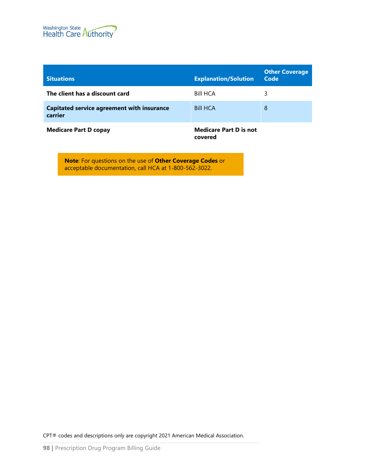

| <b>Situations</b>                                            | <b>Explanation/Solution</b>   | <b>Other Coverage</b><br>Code |
|--------------------------------------------------------------|-------------------------------|-------------------------------|
| The client has a discount card                               | <b>Bill HCA</b>               | 3                             |
| <b>Capitated service agreement with insurance</b><br>carrier | <b>Bill HCA</b>               | 8                             |
| <b>Medicare Part D copay</b>                                 | <b>Medicare Part D is not</b> |                               |

**covered**

**Note**: For questions on the use of **Other Coverage Codes** or acceptable documentation, call HCA at 1-800-562-3022.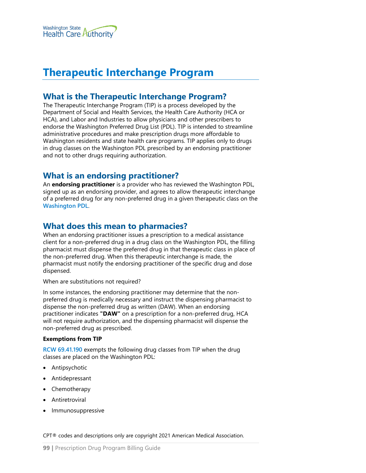

# <span id="page-98-0"></span>**Therapeutic Interchange Program**

## **What is the Therapeutic Interchange Program?**

The Therapeutic Interchange Program (TIP) is a process developed by the Department of Social and Health Services, the Health Care Authority (HCA or HCA), and Labor and Industries to allow physicians and other prescribers to endorse the Washington Preferred Drug List (PDL). TIP is intended to streamline administrative procedures and make prescription drugs more affordable to Washington residents and state health care programs. TIP applies only to drugs in drug classes on the Washington PDL prescribed by an endorsing practitioner and not to other drugs requiring authorization.

## **What is an endorsing practitioner?**

An **endorsing practitioner** is a provider who has reviewed the Washington PDL, signed up as an endorsing provider, and agrees to allow therapeutic interchange of a preferred drug for any non-preferred drug in a given therapeutic class on the **[Washington PDL](https://www.hca.wa.gov/about-hca/prescription-drug-program)**.

## **What does this mean to pharmacies?**

When an endorsing practitioner issues a prescription to a medical assistance client for a non-preferred drug in a drug class on the Washington PDL, the filling pharmacist must dispense the preferred drug in that therapeutic class in place of the non-preferred drug. When this therapeutic interchange is made, the pharmacist must notify the endorsing practitioner of the specific drug and dose dispensed.

When are substitutions not required?

In some instances, the endorsing practitioner may determine that the nonpreferred drug is medically necessary and instruct the dispensing pharmacist to dispense the non-preferred drug as written (DAW). When an endorsing practitioner indicates **"DAW"** on a prescription for a non-preferred drug, HCA will not require authorization, and the dispensing pharmacist will dispense the non-preferred drug as prescribed.

#### **Exemptions from TIP**

**[RCW 69.41.190](https://app.leg.wa.gov/RCW/default.aspx?cite=69.41.190)** exempts the following drug classes from TIP when the drug classes are placed on the Washington PDL:

- Antipsychotic
- Antidepressant
- Chemotherapy
- **Antiretroviral**
- Immunosuppressive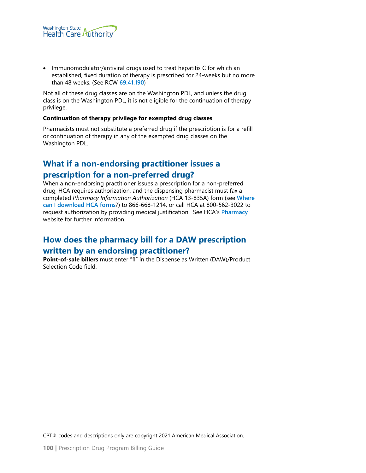

• Immunomodulator/antiviral drugs used to treat hepatitis C for which an established, fixed duration of therapy is prescribed for 24-weeks but no more than 48 weeks. (See RCW **[69.41.190](http://apps.leg.wa.gov/RCW/default.aspx?cite=69.41.190)**)

Not all of these drug classes are on the Washington PDL, and unless the drug class is on the Washington PDL, it is not eligible for the continuation of therapy privilege.

#### **Continuation of therapy privilege for exempted drug classes**

Pharmacists must not substitute a preferred drug if the prescription is for a refill or continuation of therapy in any of the exempted drug classes on the Washington PDL.

## **What if a non-endorsing practitioner issues a**

## **prescription for a non-preferred drug?**

When a non-endorsing practitioner issues a prescription for a non-preferred drug, HCA requires authorization, and the dispensing pharmacist must fax a completed *Pharmacy Information Authorization* (HCA 13-835A) form (see **[Where](#page-1-0)  [can I download HCA forms](#page-1-0)**?) to 866-668-1214, or call HCA at 800-562-3022 to request authorization by providing medical justification. See HCA's **[Pharmacy](http://www.hca.wa.gov/node/2456)** website for further information.

# **How does the pharmacy bill for a DAW prescription written by an endorsing practitioner?**

**Point-of-sale billers** must enter "**1**" in the Dispense as Written (DAW)/Product Selection Code field.